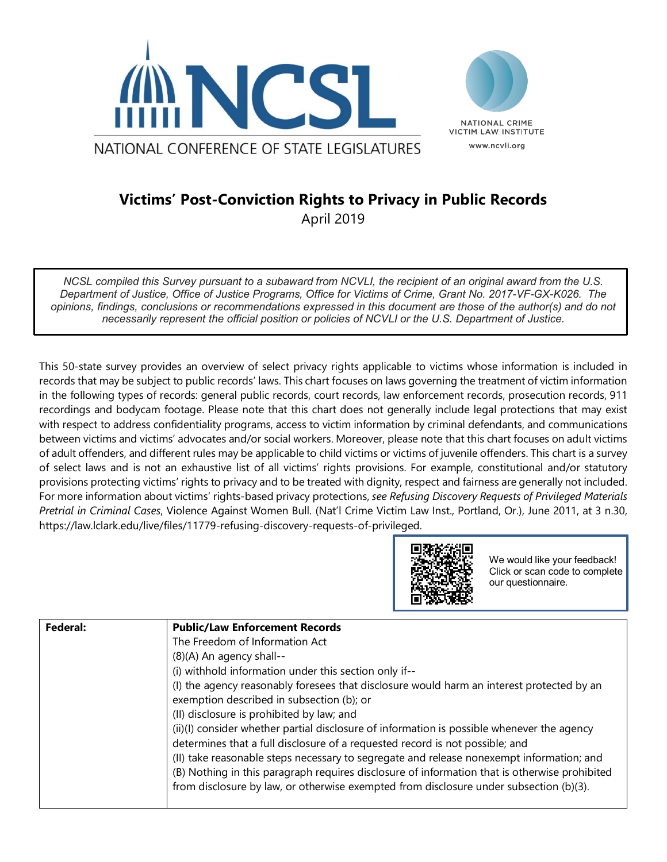



# **Victims' Post-Conviction Rights to Privacy in Public Records**

April 2019

*NCSL compiled this Survey pursuant to a subaward from NCVLI, the recipient of an original award from the U.S. Department of Justice, Office of Justice Programs, Office for Victims of Crime, Grant No. 2017-VF-GX-K026. The opinions, findings, conclusions or recommendations expressed in this document are those of the author(s) and do not necessarily represent the official position or policies of NCVLI or the U.S. Department of Justice.*

This 50-state survey provides an overview of select privacy rights applicable to victims whose information is included in records that may be subject to public records' laws. This chart focuses on laws governing the treatment of victim information in the following types of records: general public records, court records, law enforcement records, prosecution records, 911 recordings and bodycam footage. Please note that this chart does not generally include legal protections that may exist with respect to address confidentiality programs, access to victim information by criminal defendants, and communications between victims and victims' advocates and/or social workers. Moreover, please note that this chart focuses on adult victims of adult offenders, and different rules may be applicable to child victims or victims of juvenile offenders. This chart is a survey of select laws and is not an exhaustive list of all victims' rights provisions. For example, constitutional and/or statutory provisions protecting victims' rights to privacy and to be treated with dignity, respect and fairness are generally not included. For more information about victims' rights-based privacy protections, *see Refusing Discovery Requests of Privileged Materials Pretrial in Criminal Cases*, Violence Against Women Bull. (Nat'l Crime Victim Law Inst., Portland, Or.), June 2011, at 3 n.30, [https://law.lclark.edu/live/files/11779-refusing-discovery-requests-of-privileged.](https://law.lclark.edu/live/files/11779-refusing-discovery-requests-of-privileged)



We would like your feedback! Click or scan code to complete our questionnaire.

| Federal: | <b>Public/Law Enforcement Records</b>                                                         |
|----------|-----------------------------------------------------------------------------------------------|
|          | The Freedom of Information Act                                                                |
|          | (8)(A) An agency shall--                                                                      |
|          | (i) withhold information under this section only if--                                         |
|          | (I) the agency reasonably foresees that disclosure would harm an interest protected by an     |
|          | exemption described in subsection (b); or                                                     |
|          | (II) disclosure is prohibited by law; and                                                     |
|          | (ii)(I) consider whether partial disclosure of information is possible whenever the agency    |
|          | determines that a full disclosure of a requested record is not possible; and                  |
|          | (II) take reasonable steps necessary to segregate and release nonexempt information; and      |
|          | (B) Nothing in this paragraph requires disclosure of information that is otherwise prohibited |
|          | from disclosure by law, or otherwise exempted from disclosure under subsection (b)(3).        |
|          |                                                                                               |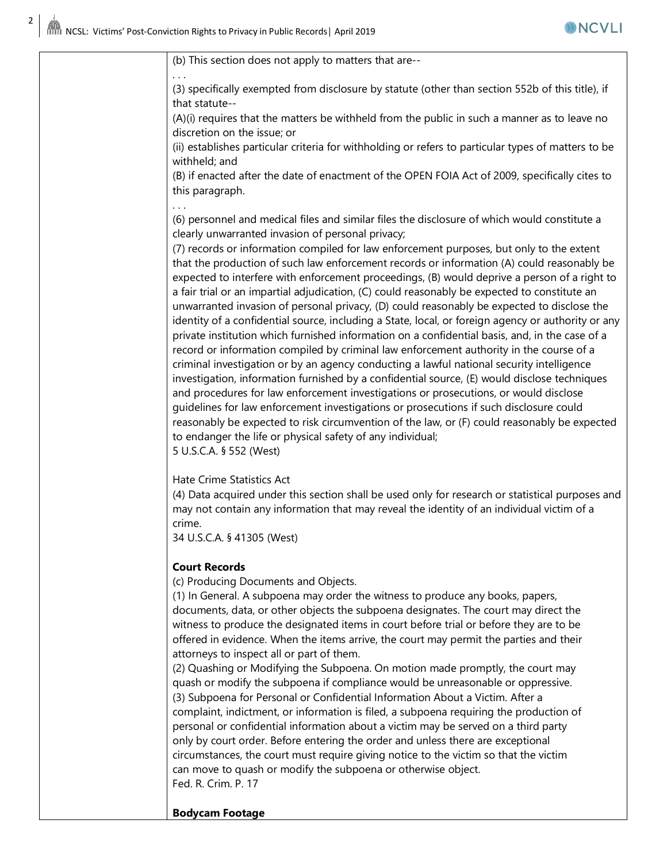(b) This section does not apply to matters that are--

(3) specifically exempted from disclosure by statute (other than section 552b of this title), if that statute--

(A)(i) requires that the matters be withheld from the public in such a manner as to leave no discretion on the issue; or

(ii) establishes particular criteria for withholding or refers to particular types of matters to be withheld; and

(B) if enacted after the date of enactment of the OPEN FOIA Act of 2009, specifically cites to this paragraph.

. . .

. . .

(6) personnel and medical files and similar files the disclosure of which would constitute a clearly unwarranted invasion of personal privacy;

(7) records or information compiled for law enforcement purposes, but only to the extent that the production of such law enforcement records or information (A) could reasonably be expected to interfere with enforcement proceedings, (B) would deprive a person of a right to a fair trial or an impartial adjudication, (C) could reasonably be expected to constitute an unwarranted invasion of personal privacy, (D) could reasonably be expected to disclose the identity of a confidential source, including a State, local, or foreign agency or authority or any private institution which furnished information on a confidential basis, and, in the case of a record or information compiled by criminal law enforcement authority in the course of a criminal investigation or by an agency conducting a lawful national security intelligence investigation, information furnished by a confidential source, (E) would disclose techniques and procedures for law enforcement investigations or prosecutions, or would disclose guidelines for law enforcement investigations or prosecutions if such disclosure could reasonably be expected to risk circumvention of the law, or (F) could reasonably be expected to endanger the life or physical safety of any individual; 5 U.S.C.A. § 552 (West)

Hate Crime Statistics Act

(4) Data acquired under this section shall be used only for research or statistical purposes and may not contain any information that may reveal the identity of an individual victim of a crime.

34 U.S.C.A. § 41305 (West)

## **Court Records**

(c) Producing Documents and Objects.

(1) In General. A subpoena may order the witness to produce any books, papers, documents, data, or other objects the subpoena designates. The court may direct the witness to produce the designated items in court before trial or before they are to be offered in evidence. When the items arrive, the court may permit the parties and their attorneys to inspect all or part of them.

(2) Quashing or Modifying the Subpoena. On motion made promptly, the court may quash or modify the subpoena if compliance would be unreasonable or oppressive. (3) Subpoena for Personal or Confidential Information About a Victim. After a complaint, indictment, or information is filed, a subpoena requiring the production of personal or confidential information about a victim may be served on a third party only by court order. Before entering the order and unless there are exceptional circumstances, the court must require giving notice to the victim so that the victim can move to quash or modify the subpoena or otherwise object. Fed. R. Crim. P. 17

## **Bodycam Footage**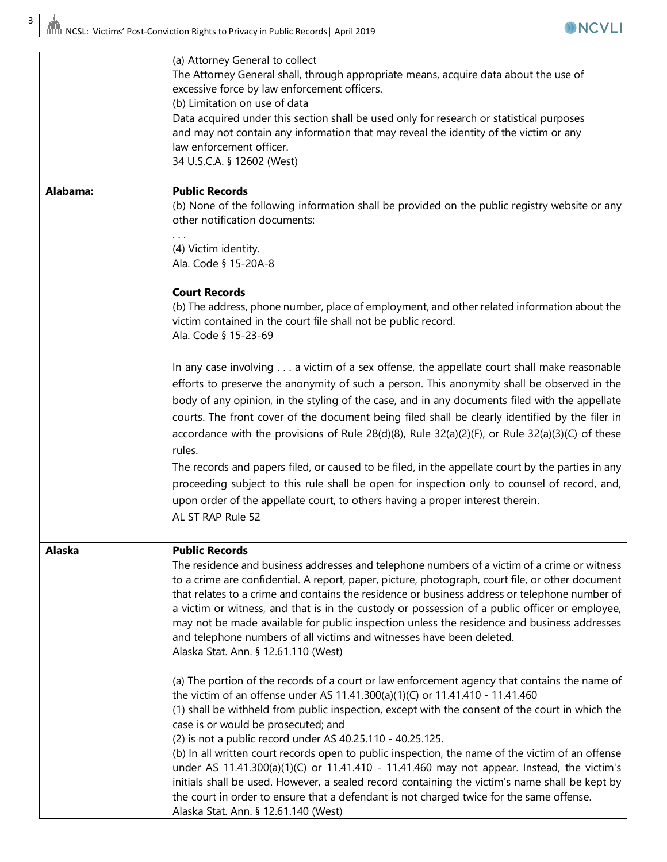

|               | (a) Attorney General to collect<br>The Attorney General shall, through appropriate means, acquire data about the use of<br>excessive force by law enforcement officers.<br>(b) Limitation on use of data<br>Data acquired under this section shall be used only for research or statistical purposes<br>and may not contain any information that may reveal the identity of the victim or any<br>law enforcement officer.<br>34 U.S.C.A. § 12602 (West)                                                                                                                                                                                                                                                                                                                                                                        |
|---------------|--------------------------------------------------------------------------------------------------------------------------------------------------------------------------------------------------------------------------------------------------------------------------------------------------------------------------------------------------------------------------------------------------------------------------------------------------------------------------------------------------------------------------------------------------------------------------------------------------------------------------------------------------------------------------------------------------------------------------------------------------------------------------------------------------------------------------------|
| Alabama:      | <b>Public Records</b><br>(b) None of the following information shall be provided on the public registry website or any<br>other notification documents:<br>(4) Victim identity.<br>Ala. Code § 15-20A-8                                                                                                                                                                                                                                                                                                                                                                                                                                                                                                                                                                                                                        |
|               | <b>Court Records</b><br>(b) The address, phone number, place of employment, and other related information about the<br>victim contained in the court file shall not be public record.<br>Ala. Code § 15-23-69                                                                                                                                                                                                                                                                                                                                                                                                                                                                                                                                                                                                                  |
|               | In any case involving a victim of a sex offense, the appellate court shall make reasonable<br>efforts to preserve the anonymity of such a person. This anonymity shall be observed in the<br>body of any opinion, in the styling of the case, and in any documents filed with the appellate<br>courts. The front cover of the document being filed shall be clearly identified by the filer in<br>accordance with the provisions of Rule $28(d)(8)$ , Rule $32(a)(2)(F)$ , or Rule $32(a)(3)(C)$ of these<br>rules.                                                                                                                                                                                                                                                                                                            |
|               | The records and papers filed, or caused to be filed, in the appellate court by the parties in any<br>proceeding subject to this rule shall be open for inspection only to counsel of record, and,<br>upon order of the appellate court, to others having a proper interest therein.<br>AL ST RAP Rule 52                                                                                                                                                                                                                                                                                                                                                                                                                                                                                                                       |
| <b>Alaska</b> | <b>Public Records</b><br>The residence and business addresses and telephone numbers of a victim of a crime or witness<br>to a crime are confidential. A report, paper, picture, photograph, court file, or other document<br>that relates to a crime and contains the residence or business address or telephone number of<br>a victim or witness, and that is in the custody or possession of a public officer or employee,<br>may not be made available for public inspection unless the residence and business addresses<br>and telephone numbers of all victims and witnesses have been deleted.<br>Alaska Stat. Ann. § 12.61.110 (West)                                                                                                                                                                                   |
|               | (a) The portion of the records of a court or law enforcement agency that contains the name of<br>the victim of an offense under AS 11.41.300(a)(1)(C) or 11.41.410 - 11.41.460<br>(1) shall be withheld from public inspection, except with the consent of the court in which the<br>case is or would be prosecuted; and<br>(2) is not a public record under AS 40.25.110 - 40.25.125.<br>(b) In all written court records open to public inspection, the name of the victim of an offense<br>under AS 11.41.300(a)(1)(C) or 11.41.410 - 11.41.460 may not appear. Instead, the victim's<br>initials shall be used. However, a sealed record containing the victim's name shall be kept by<br>the court in order to ensure that a defendant is not charged twice for the same offense.<br>Alaska Stat. Ann. § 12.61.140 (West) |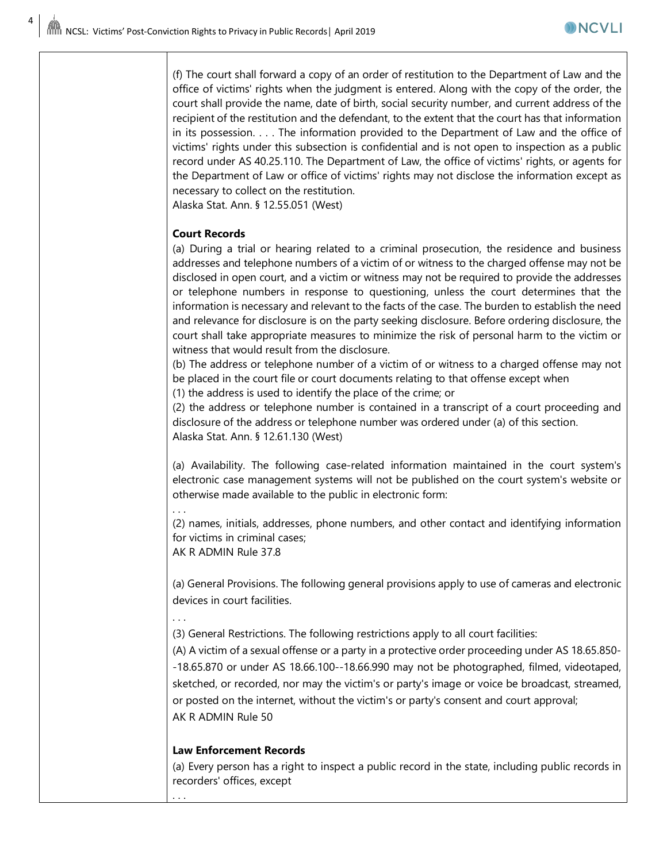4



(f) The court shall forward a copy of an order of restitution to the Department of Law and the office of victims' rights when the judgment is entered. Along with the copy of the order, the court shall provide the name, date of birth, social security number, and current address of the recipient of the restitution and the defendant, to the extent that the court has that information in its possession. . . . The information provided to the Department of Law and the office of victims' rights under this subsection is confidential and is not open to inspection as a public record under AS 40.25.110. The Department of Law, the office of victims' rights, or agents for the Department of Law or office of victims' rights may not disclose the information except as necessary to collect on the restitution.

Alaska Stat. Ann. § 12.55.051 (West)

#### **Court Records**

(a) During a trial or hearing related to a criminal prosecution, the residence and business addresses and telephone numbers of a victim of or witness to the charged offense may not be disclosed in open court, and a victim or witness may not be required to provide the addresses or telephone numbers in response to questioning, unless the court determines that the information is necessary and relevant to the facts of the case. The burden to establish the need and relevance for disclosure is on the party seeking disclosure. Before ordering disclosure, the court shall take appropriate measures to minimize the risk of personal harm to the victim or witness that would result from the disclosure.

(b) The address or telephone number of a victim of or witness to a charged offense may not be placed in the court file or court documents relating to that offense except when

(1) the address is used to identify the place of the crime; or

(2) the address or telephone number is contained in a transcript of a court proceeding and disclosure of the address or telephone number was ordered under (a) of this section. Alaska Stat. Ann. § 12.61.130 (West)

(a) Availability. The following case-related information maintained in the court system's electronic case management systems will not be published on the court system's website or otherwise made available to the public in electronic form:

(2) names, initials, addresses, phone numbers, and other contact and identifying information for victims in criminal cases; AK R ADMIN Rule 37.8

(a) General Provisions. The following general provisions apply to use of cameras and electronic devices in court facilities.

. . .

. . .

. . .

(3) General Restrictions. The following restrictions apply to all court facilities:

(A) A victim of a sexual offense or a party in a protective order proceeding under AS 18.65.850- -18.65.870 or under AS 18.66.100--18.66.990 may not be photographed, filmed, videotaped, sketched, or recorded, nor may the victim's or party's image or voice be broadcast, streamed, or posted on the internet, without the victim's or party's consent and court approval; AK R ADMIN Rule 50

#### **Law Enforcement Records**

(a) Every person has a right to inspect a public record in the state, including public records in recorders' offices, except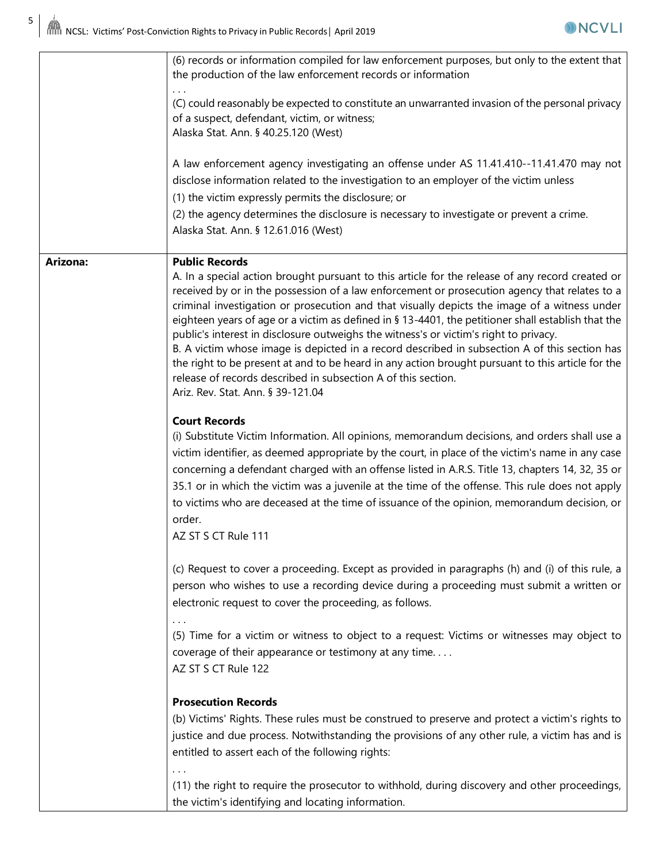

|          | (6) records or information compiled for law enforcement purposes, but only to the extent that<br>the production of the law enforcement records or information                                                                                                                                                                                                                                                                                                                                                                                                                                                                                                                                                                                                                                                                         |
|----------|---------------------------------------------------------------------------------------------------------------------------------------------------------------------------------------------------------------------------------------------------------------------------------------------------------------------------------------------------------------------------------------------------------------------------------------------------------------------------------------------------------------------------------------------------------------------------------------------------------------------------------------------------------------------------------------------------------------------------------------------------------------------------------------------------------------------------------------|
|          | (C) could reasonably be expected to constitute an unwarranted invasion of the personal privacy<br>of a suspect, defendant, victim, or witness;<br>Alaska Stat. Ann. § 40.25.120 (West)                                                                                                                                                                                                                                                                                                                                                                                                                                                                                                                                                                                                                                                |
|          | A law enforcement agency investigating an offense under AS 11.41.410--11.41.470 may not<br>disclose information related to the investigation to an employer of the victim unless<br>(1) the victim expressly permits the disclosure; or<br>(2) the agency determines the disclosure is necessary to investigate or prevent a crime.<br>Alaska Stat. Ann. § 12.61.016 (West)                                                                                                                                                                                                                                                                                                                                                                                                                                                           |
| Arizona: | <b>Public Records</b><br>A. In a special action brought pursuant to this article for the release of any record created or<br>received by or in the possession of a law enforcement or prosecution agency that relates to a<br>criminal investigation or prosecution and that visually depicts the image of a witness under<br>eighteen years of age or a victim as defined in § 13-4401, the petitioner shall establish that the<br>public's interest in disclosure outweighs the witness's or victim's right to privacy.<br>B. A victim whose image is depicted in a record described in subsection A of this section has<br>the right to be present at and to be heard in any action brought pursuant to this article for the<br>release of records described in subsection A of this section.<br>Ariz. Rev. Stat. Ann. § 39-121.04 |
|          | <b>Court Records</b><br>(i) Substitute Victim Information. All opinions, memorandum decisions, and orders shall use a<br>victim identifier, as deemed appropriate by the court, in place of the victim's name in any case<br>concerning a defendant charged with an offense listed in A.R.S. Title 13, chapters 14, 32, 35 or<br>35.1 or in which the victim was a juvenile at the time of the offense. This rule does not apply<br>to victims who are deceased at the time of issuance of the opinion, memorandum decision, or<br>order.<br>AZ ST S CT Rule 111                                                                                                                                                                                                                                                                      |
|          | (c) Request to cover a proceeding. Except as provided in paragraphs (h) and (i) of this rule, a<br>person who wishes to use a recording device during a proceeding must submit a written or<br>electronic request to cover the proceeding, as follows.                                                                                                                                                                                                                                                                                                                                                                                                                                                                                                                                                                                |
|          | (5) Time for a victim or witness to object to a request: Victims or witnesses may object to<br>coverage of their appearance or testimony at any time<br>AZ ST S CT Rule 122                                                                                                                                                                                                                                                                                                                                                                                                                                                                                                                                                                                                                                                           |
|          | <b>Prosecution Records</b><br>(b) Victims' Rights. These rules must be construed to preserve and protect a victim's rights to<br>justice and due process. Notwithstanding the provisions of any other rule, a victim has and is<br>entitled to assert each of the following rights:                                                                                                                                                                                                                                                                                                                                                                                                                                                                                                                                                   |
|          | (11) the right to require the prosecutor to withhold, during discovery and other proceedings,<br>the victim's identifying and locating information.                                                                                                                                                                                                                                                                                                                                                                                                                                                                                                                                                                                                                                                                                   |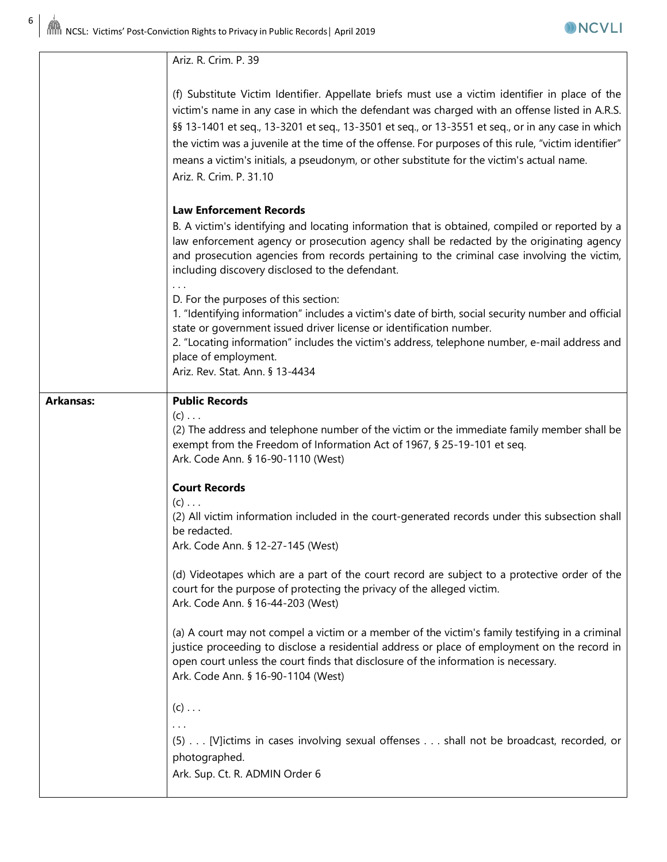

|                  | Ariz. R. Crim. P. 39                                                                                                                                                                                                                                                                                                                                                                                                                                                                                                                  |
|------------------|---------------------------------------------------------------------------------------------------------------------------------------------------------------------------------------------------------------------------------------------------------------------------------------------------------------------------------------------------------------------------------------------------------------------------------------------------------------------------------------------------------------------------------------|
|                  | (f) Substitute Victim Identifier. Appellate briefs must use a victim identifier in place of the<br>victim's name in any case in which the defendant was charged with an offense listed in A.R.S.<br>§§ 13-1401 et seq., 13-3201 et seq., 13-3501 et seq., or 13-3551 et seq., or in any case in which<br>the victim was a juvenile at the time of the offense. For purposes of this rule, "victim identifier"<br>means a victim's initials, a pseudonym, or other substitute for the victim's actual name.<br>Ariz. R. Crim. P. 31.10 |
|                  | <b>Law Enforcement Records</b>                                                                                                                                                                                                                                                                                                                                                                                                                                                                                                        |
|                  | B. A victim's identifying and locating information that is obtained, compiled or reported by a<br>law enforcement agency or prosecution agency shall be redacted by the originating agency<br>and prosecution agencies from records pertaining to the criminal case involving the victim,<br>including discovery disclosed to the defendant.                                                                                                                                                                                          |
|                  | D. For the purposes of this section:<br>1. "Identifying information" includes a victim's date of birth, social security number and official<br>state or government issued driver license or identification number.<br>2. "Locating information" includes the victim's address, telephone number, e-mail address and<br>place of employment.<br>Ariz. Rev. Stat. Ann. § 13-4434                                                                                                                                                        |
| <b>Arkansas:</b> | <b>Public Records</b>                                                                                                                                                                                                                                                                                                                                                                                                                                                                                                                 |
|                  | $(C)$<br>(2) The address and telephone number of the victim or the immediate family member shall be<br>exempt from the Freedom of Information Act of 1967, § 25-19-101 et seq.<br>Ark. Code Ann. § 16-90-1110 (West)                                                                                                                                                                                                                                                                                                                  |
|                  | <b>Court Records</b>                                                                                                                                                                                                                                                                                                                                                                                                                                                                                                                  |
|                  | $(c)$<br>(2) All victim information included in the court-generated records under this subsection shall<br>be redacted.<br>Ark. Code Ann. § 12-27-145 (West)                                                                                                                                                                                                                                                                                                                                                                          |
|                  | (d) Videotapes which are a part of the court record are subject to a protective order of the<br>court for the purpose of protecting the privacy of the alleged victim.<br>Ark. Code Ann. § 16-44-203 (West)                                                                                                                                                                                                                                                                                                                           |
|                  | (a) A court may not compel a victim or a member of the victim's family testifying in a criminal<br>justice proceeding to disclose a residential address or place of employment on the record in<br>open court unless the court finds that disclosure of the information is necessary.<br>Ark. Code Ann. § 16-90-1104 (West)                                                                                                                                                                                                           |
|                  | $(C)$<br>(5) [V] ictims in cases involving sexual offenses shall not be broadcast, recorded, or                                                                                                                                                                                                                                                                                                                                                                                                                                       |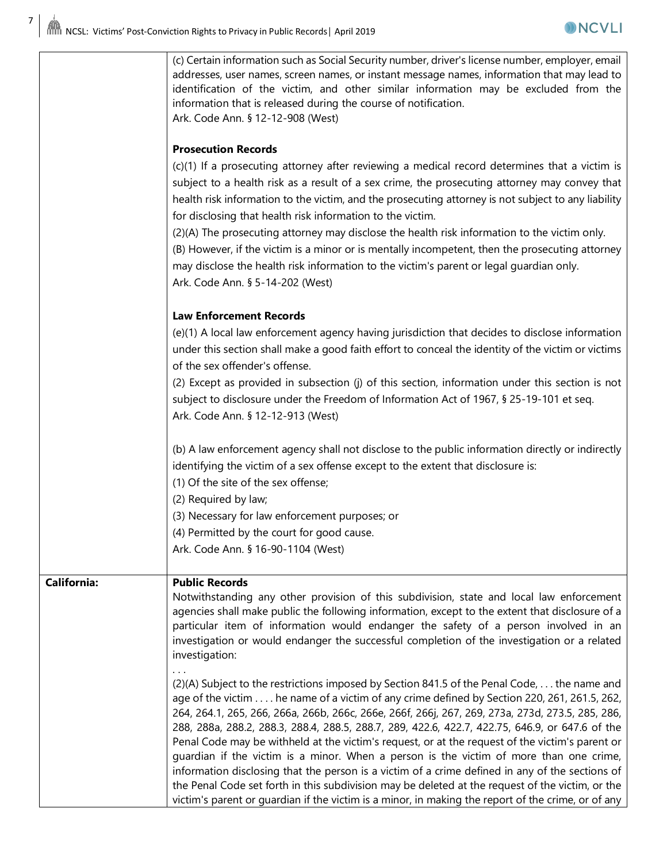

|                    | (c) Certain information such as Social Security number, driver's license number, employer, email<br>addresses, user names, screen names, or instant message names, information that may lead to |
|--------------------|-------------------------------------------------------------------------------------------------------------------------------------------------------------------------------------------------|
|                    | identification of the victim, and other similar information may be excluded from the                                                                                                            |
|                    | information that is released during the course of notification.                                                                                                                                 |
|                    | Ark. Code Ann. § 12-12-908 (West)                                                                                                                                                               |
|                    |                                                                                                                                                                                                 |
|                    | <b>Prosecution Records</b>                                                                                                                                                                      |
|                    | $(c)(1)$ If a prosecuting attorney after reviewing a medical record determines that a victim is                                                                                                 |
|                    | subject to a health risk as a result of a sex crime, the prosecuting attorney may convey that                                                                                                   |
|                    | health risk information to the victim, and the prosecuting attorney is not subject to any liability                                                                                             |
|                    | for disclosing that health risk information to the victim.                                                                                                                                      |
|                    | (2)(A) The prosecuting attorney may disclose the health risk information to the victim only.                                                                                                    |
|                    | (B) However, if the victim is a minor or is mentally incompetent, then the prosecuting attorney                                                                                                 |
|                    | may disclose the health risk information to the victim's parent or legal guardian only.                                                                                                         |
|                    | Ark. Code Ann. § 5-14-202 (West)                                                                                                                                                                |
|                    |                                                                                                                                                                                                 |
|                    | <b>Law Enforcement Records</b>                                                                                                                                                                  |
|                    | (e)(1) A local law enforcement agency having jurisdiction that decides to disclose information                                                                                                  |
|                    | under this section shall make a good faith effort to conceal the identity of the victim or victims                                                                                              |
|                    | of the sex offender's offense.                                                                                                                                                                  |
|                    | (2) Except as provided in subsection (j) of this section, information under this section is not                                                                                                 |
|                    | subject to disclosure under the Freedom of Information Act of 1967, § 25-19-101 et seq.                                                                                                         |
|                    | Ark. Code Ann. § 12-12-913 (West)                                                                                                                                                               |
|                    |                                                                                                                                                                                                 |
|                    | (b) A law enforcement agency shall not disclose to the public information directly or indirectly                                                                                                |
|                    | identifying the victim of a sex offense except to the extent that disclosure is:                                                                                                                |
|                    | (1) Of the site of the sex offense;                                                                                                                                                             |
|                    | (2) Required by law;                                                                                                                                                                            |
|                    | (3) Necessary for law enforcement purposes; or                                                                                                                                                  |
|                    | (4) Permitted by the court for good cause.                                                                                                                                                      |
|                    | Ark. Code Ann. § 16-90-1104 (West)                                                                                                                                                              |
|                    |                                                                                                                                                                                                 |
| <b>California:</b> | <b>Public Records</b>                                                                                                                                                                           |
|                    | Notwithstanding any other provision of this subdivision, state and local law enforcement                                                                                                        |
|                    | agencies shall make public the following information, except to the extent that disclosure of a                                                                                                 |
|                    | particular item of information would endanger the safety of a person involved in an                                                                                                             |
|                    | investigation or would endanger the successful completion of the investigation or a related                                                                                                     |
|                    | investigation:                                                                                                                                                                                  |
|                    | (2)(A) Subject to the restrictions imposed by Section 841.5 of the Penal Code,  the name and                                                                                                    |
|                    | age of the victim he name of a victim of any crime defined by Section 220, 261, 261.5, 262,                                                                                                     |
|                    | 264, 264.1, 265, 266, 266a, 266b, 266c, 266e, 266f, 266j, 267, 269, 273a, 273d, 273.5, 285, 286,                                                                                                |
|                    | 288, 288a, 288.2, 288.3, 288.4, 288.5, 288.7, 289, 422.6, 422.7, 422.75, 646.9, or 647.6 of the                                                                                                 |
|                    | Penal Code may be withheld at the victim's request, or at the request of the victim's parent or                                                                                                 |
|                    | guardian if the victim is a minor. When a person is the victim of more than one crime,                                                                                                          |
|                    | information disclosing that the person is a victim of a crime defined in any of the sections of                                                                                                 |
|                    | the Penal Code set forth in this subdivision may be deleted at the request of the victim, or the                                                                                                |
|                    | victim's parent or guardian if the victim is a minor, in making the report of the crime, or of any                                                                                              |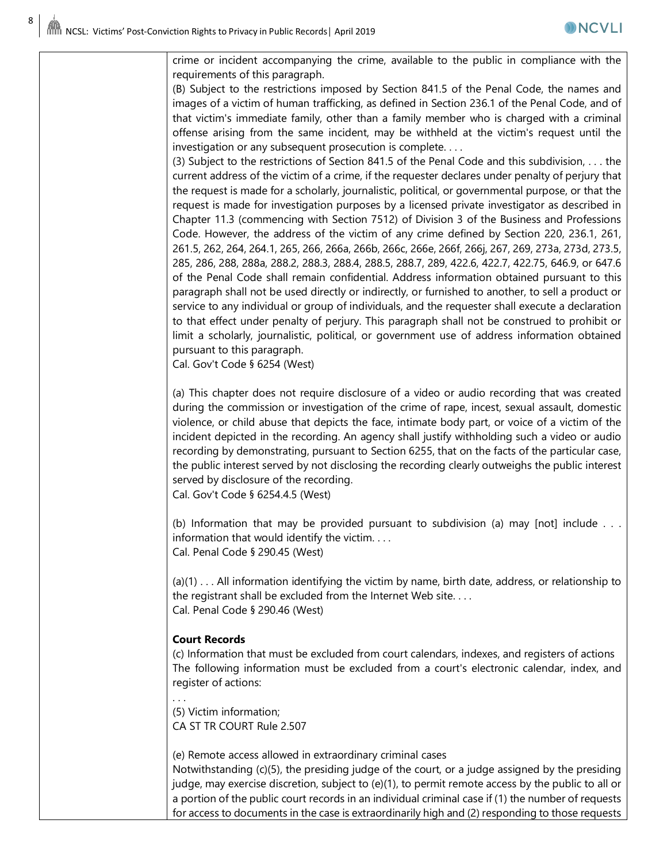crime or incident accompanying the crime, available to the public in compliance with the requirements of this paragraph.

(B) Subject to the restrictions imposed by Section 841.5 of the Penal Code, the names and images of a victim of human trafficking, as defined in Section 236.1 of the Penal Code, and of that victim's immediate family, other than a family member who is charged with a criminal offense arising from the same incident, may be withheld at the victim's request until the investigation or any subsequent prosecution is complete. . . .

(3) Subject to the restrictions of Section 841.5 of the Penal Code and this subdivision, . . . the current address of the victim of a crime, if the requester declares under penalty of perjury that the request is made for a scholarly, journalistic, political, or governmental purpose, or that the request is made for investigation purposes by a licensed private investigator as described in Chapter 11.3 (commencing with Section 7512) of Division 3 of the Business and Professions Code. However, the address of the victim of any crime defined by Section 220, 236.1, 261, 261.5, 262, 264, 264.1, 265, 266, 266a, 266b, 266c, 266e, 266f, 266j, 267, 269, 273a, 273d, 273.5, 285, 286, 288, 288a, 288.2, 288.3, 288.4, 288.5, 288.7, 289, 422.6, 422.7, 422.75, 646.9, or 647.6 of the Penal Code shall remain confidential. Address information obtained pursuant to this paragraph shall not be used directly or indirectly, or furnished to another, to sell a product or service to any individual or group of individuals, and the requester shall execute a declaration to that effect under penalty of perjury. This paragraph shall not be construed to prohibit or limit a scholarly, journalistic, political, or government use of address information obtained pursuant to this paragraph.

Cal. Gov't Code § 6254 (West)

(a) This chapter does not require disclosure of a video or audio recording that was created during the commission or investigation of the crime of rape, incest, sexual assault, domestic violence, or child abuse that depicts the face, intimate body part, or voice of a victim of the incident depicted in the recording. An agency shall justify withholding such a video or audio recording by demonstrating, pursuant to Section 6255, that on the facts of the particular case, the public interest served by not disclosing the recording clearly outweighs the public interest served by disclosure of the recording.

Cal. Gov't Code § 6254.4.5 (West)

(b) Information that may be provided pursuant to subdivision (a) may [not] include . . . information that would identify the victim. . . . Cal. Penal Code § 290.45 (West)

(a)(1) . . . All information identifying the victim by name, birth date, address, or relationship to the registrant shall be excluded from the Internet Web site. . . . Cal. Penal Code § 290.46 (West)

#### **Court Records**

(c) Information that must be excluded from court calendars, indexes, and registers of actions The following information must be excluded from a court's electronic calendar, index, and register of actions:

(5) Victim information; CA ST TR COURT Rule 2.507

(e) Remote access allowed in extraordinary criminal cases

Notwithstanding (c)(5), the presiding judge of the court, or a judge assigned by the presiding judge, may exercise discretion, subject to (e)(1), to permit remote access by the public to all or a portion of the public court records in an individual criminal case if (1) the number of requests for access to documents in the case is extraordinarily high and (2) responding to those requests

8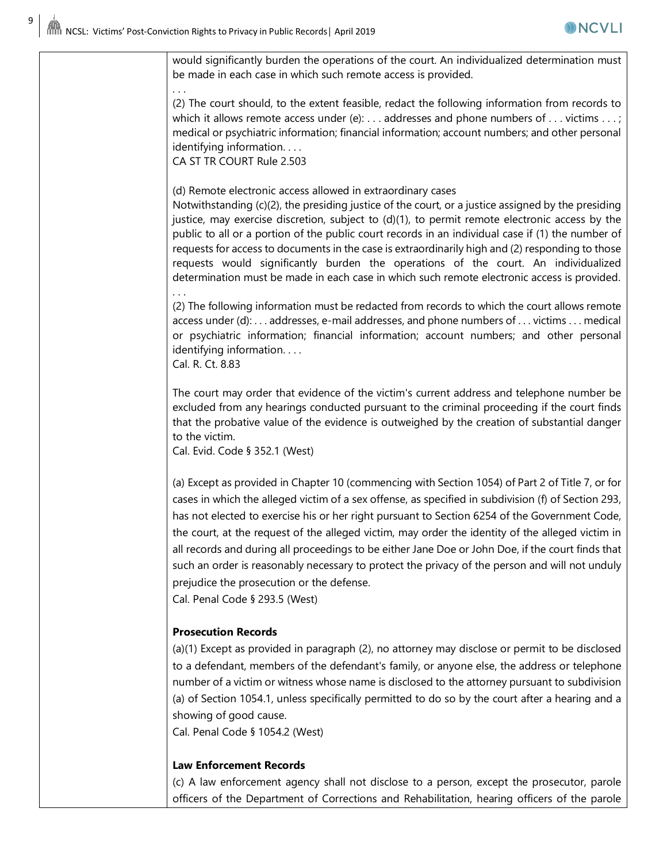9



would significantly burden the operations of the court. An individualized determination must be made in each case in which such remote access is provided.

. . . (2) The court should, to the extent feasible, redact the following information from records to which it allows remote access under (e):  $\dots$  addresses and phone numbers of  $\dots$  victims  $\dots$ ; medical or psychiatric information; financial information; account numbers; and other personal identifying information. . . .

CA ST TR COURT Rule 2.503

(d) Remote electronic access allowed in extraordinary cases

Notwithstanding (c)(2), the presiding justice of the court, or a justice assigned by the presiding justice, may exercise discretion, subject to (d)(1), to permit remote electronic access by the public to all or a portion of the public court records in an individual case if (1) the number of requests for access to documents in the case is extraordinarily high and (2) responding to those requests would significantly burden the operations of the court. An individualized determination must be made in each case in which such remote electronic access is provided. . . .

(2) The following information must be redacted from records to which the court allows remote access under (d): . . . addresses, e-mail addresses, and phone numbers of . . . victims . . . medical or psychiatric information; financial information; account numbers; and other personal identifying information. . . .

Cal. R. Ct. 8.83

The court may order that evidence of the victim's current address and telephone number be excluded from any hearings conducted pursuant to the criminal proceeding if the court finds that the probative value of the evidence is outweighed by the creation of substantial danger to the victim.

Cal. Evid. Code § 352.1 (West)

(a) Except as provided in Chapter 10 (commencing with Section 1054) of Part 2 of Title 7, or for cases in which the alleged victim of a sex offense, as specified in subdivision (f) of Section 293, has not elected to exercise his or her right pursuant to Section 6254 of the Government Code, the court, at the request of the alleged victim, may order the identity of the alleged victim in all records and during all proceedings to be either Jane Doe or John Doe, if the court finds that such an order is reasonably necessary to protect the privacy of the person and will not unduly prejudice the prosecution or the defense.

Cal. Penal Code § 293.5 (West)

## **Prosecution Records**

(a)(1) Except as provided in paragraph (2), no attorney may disclose or permit to be disclosed to a defendant, members of the defendant's family, or anyone else, the address or telephone number of a victim or witness whose name is disclosed to the attorney pursuant to subdivision (a) of Section 1054.1, unless specifically permitted to do so by the court after a hearing and a showing of good cause.

Cal. Penal Code § 1054.2 (West)

## **Law Enforcement Records**

(c) A law enforcement agency shall not disclose to a person, except the prosecutor, parole officers of the Department of Corrections and Rehabilitation, hearing officers of the parole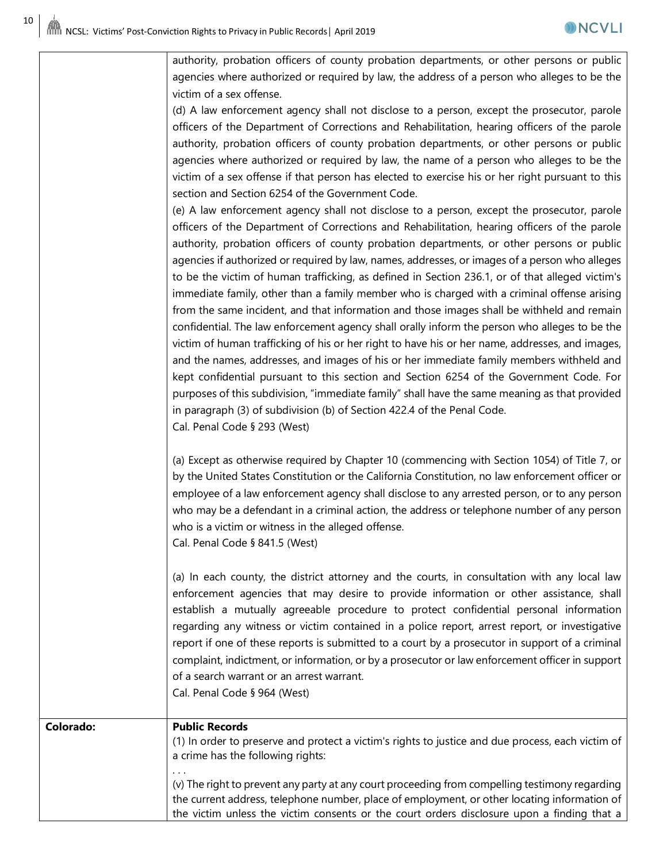authority, probation officers of county probation departments, or other persons or public agencies where authorized or required by law, the address of a person who alleges to be the victim of a sex offense.

(d) A law enforcement agency shall not disclose to a person, except the prosecutor, parole officers of the Department of Corrections and Rehabilitation, hearing officers of the parole authority, probation officers of county probation departments, or other persons or public agencies where authorized or required by law, the name of a person who alleges to be the victim of a sex offense if that person has elected to exercise his or her right pursuant to this section and Section 6254 of the Government Code.

(e) A law enforcement agency shall not disclose to a person, except the prosecutor, parole officers of the Department of Corrections and Rehabilitation, hearing officers of the parole authority, probation officers of county probation departments, or other persons or public agencies if authorized or required by law, names, addresses, or images of a person who alleges to be the victim of human trafficking, as defined in Section 236.1, or of that alleged victim's immediate family, other than a family member who is charged with a criminal offense arising from the same incident, and that information and those images shall be withheld and remain confidential. The law enforcement agency shall orally inform the person who alleges to be the victim of human trafficking of his or her right to have his or her name, addresses, and images, and the names, addresses, and images of his or her immediate family members withheld and kept confidential pursuant to this section and Section 6254 of the Government Code. For purposes of this subdivision, "immediate family" shall have the same meaning as that provided in paragraph (3) of subdivision (b) of Section 422.4 of the Penal Code. Cal. Penal Code § 293 (West)

(a) Except as otherwise required by Chapter 10 (commencing with Section 1054) of Title 7, or by the United States Constitution or the California Constitution, no law enforcement officer or employee of a law enforcement agency shall disclose to any arrested person, or to any person who may be a defendant in a criminal action, the address or telephone number of any person who is a victim or witness in the alleged offense. Cal. Penal Code § 841.5 (West)

(a) In each county, the district attorney and the courts, in consultation with any local law enforcement agencies that may desire to provide information or other assistance, shall establish a mutually agreeable procedure to protect confidential personal information regarding any witness or victim contained in a police report, arrest report, or investigative report if one of these reports is submitted to a court by a prosecutor in support of a criminal complaint, indictment, or information, or by a prosecutor or law enforcement officer in support of a search warrant or an arrest warrant.

Cal. Penal Code § 964 (West)

# **Colorado: Public Records**

(1) In order to preserve and protect a victim's rights to justice and due process, each victim of a crime has the following rights:

. . . (v) The right to prevent any party at any court proceeding from compelling testimony regarding the current address, telephone number, place of employment, or other locating information of the victim unless the victim consents or the court orders disclosure upon a finding that a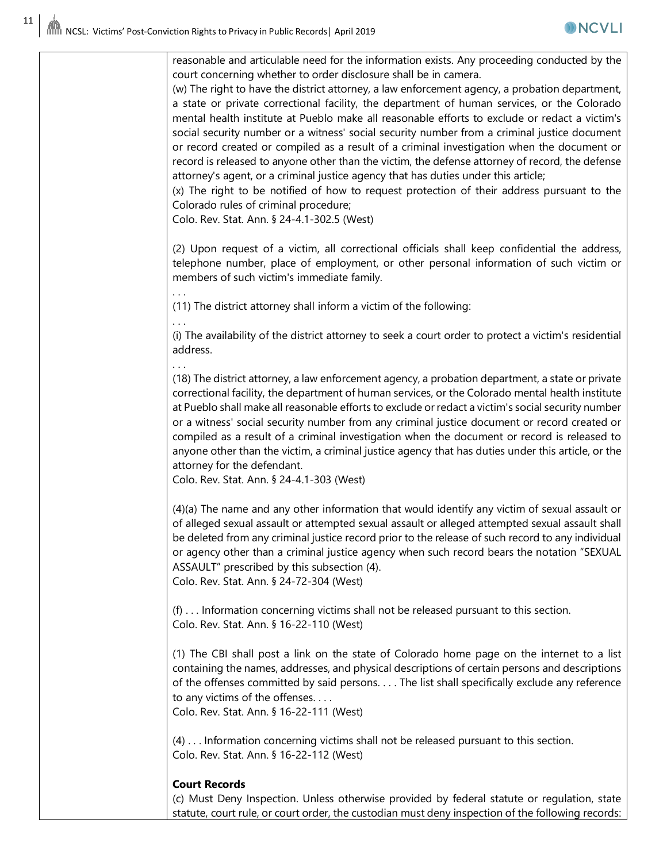

reasonable and articulable need for the information exists. Any proceeding conducted by the court concerning whether to order disclosure shall be in camera.

(w) The right to have the district attorney, a law enforcement agency, a probation department, a state or private correctional facility, the department of human services, or the Colorado mental health institute at Pueblo make all reasonable efforts to exclude or redact a victim's social security number or a witness' social security number from a criminal justice document or record created or compiled as a result of a criminal investigation when the document or record is released to anyone other than the victim, the defense attorney of record, the defense attorney's agent, or a criminal justice agency that has duties under this article;

(x) The right to be notified of how to request protection of their address pursuant to the Colorado rules of criminal procedure;

Colo. Rev. Stat. Ann. § 24-4.1-302.5 (West)

(2) Upon request of a victim, all correctional officials shall keep confidential the address, telephone number, place of employment, or other personal information of such victim or members of such victim's immediate family.

. . . (11) The district attorney shall inform a victim of the following:

. . . (i) The availability of the district attorney to seek a court order to protect a victim's residential address.

. . . (18) The district attorney, a law enforcement agency, a probation department, a state or private correctional facility, the department of human services, or the Colorado mental health institute at Pueblo shall make all reasonable efforts to exclude or redact a victim's social security number or a witness' social security number from any criminal justice document or record created or compiled as a result of a criminal investigation when the document or record is released to anyone other than the victim, a criminal justice agency that has duties under this article, or the attorney for the defendant.

Colo. Rev. Stat. Ann. § 24-4.1-303 (West)

(4)(a) The name and any other information that would identify any victim of sexual assault or of alleged sexual assault or attempted sexual assault or alleged attempted sexual assault shall be deleted from any criminal justice record prior to the release of such record to any individual or agency other than a criminal justice agency when such record bears the notation "SEXUAL ASSAULT" prescribed by this subsection (4).

Colo. Rev. Stat. Ann. § 24-72-304 (West)

(f) . . . Information concerning victims shall not be released pursuant to this section. Colo. Rev. Stat. Ann. § 16-22-110 (West)

(1) The CBI shall post a link on the state of Colorado home page on the internet to a list containing the names, addresses, and physical descriptions of certain persons and descriptions of the offenses committed by said persons. . . . The list shall specifically exclude any reference to any victims of the offenses. . . .

Colo. Rev. Stat. Ann. § 16-22-111 (West)

(4) . . . Information concerning victims shall not be released pursuant to this section. Colo. Rev. Stat. Ann. § 16-22-112 (West)

## **Court Records**

(c) Must Deny Inspection. Unless otherwise provided by federal statute or regulation, state statute, court rule, or court order, the custodian must deny inspection of the following records: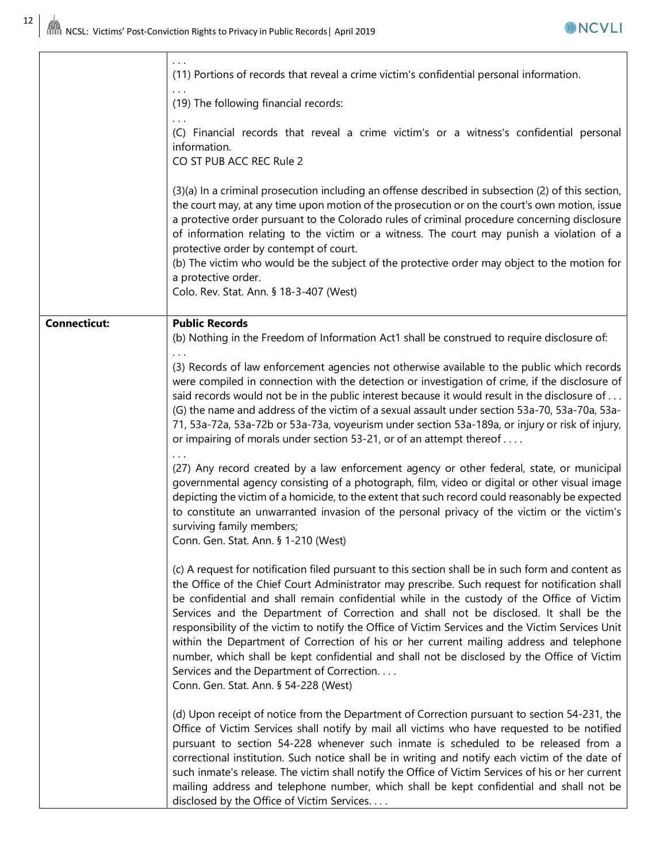

|                     | (11) Portions of records that reveal a crime victim's confidential personal information.                                                                                                                                                                                                                                                                                                                                                                                                                                                                                                                                                                                                                                                                                          |
|---------------------|-----------------------------------------------------------------------------------------------------------------------------------------------------------------------------------------------------------------------------------------------------------------------------------------------------------------------------------------------------------------------------------------------------------------------------------------------------------------------------------------------------------------------------------------------------------------------------------------------------------------------------------------------------------------------------------------------------------------------------------------------------------------------------------|
|                     | (19) The following financial records:                                                                                                                                                                                                                                                                                                                                                                                                                                                                                                                                                                                                                                                                                                                                             |
|                     | (C) Financial records that reveal a crime victim's or a witness's confidential personal<br>information.<br>CO ST PUB ACC REC Rule 2                                                                                                                                                                                                                                                                                                                                                                                                                                                                                                                                                                                                                                               |
|                     | (3)(a) In a criminal prosecution including an offense described in subsection (2) of this section,<br>the court may, at any time upon motion of the prosecution or on the court's own motion, issue<br>a protective order pursuant to the Colorado rules of criminal procedure concerning disclosure<br>of information relating to the victim or a witness. The court may punish a violation of a<br>protective order by contempt of court.<br>(b) The victim who would be the subject of the protective order may object to the motion for<br>a protective order.<br>Colo. Rev. Stat. Ann. § 18-3-407 (West)                                                                                                                                                                     |
| <b>Connecticut:</b> | <b>Public Records</b><br>(b) Nothing in the Freedom of Information Act1 shall be construed to require disclosure of:                                                                                                                                                                                                                                                                                                                                                                                                                                                                                                                                                                                                                                                              |
|                     | (3) Records of law enforcement agencies not otherwise available to the public which records<br>were compiled in connection with the detection or investigation of crime, if the disclosure of<br>said records would not be in the public interest because it would result in the disclosure of<br>(G) the name and address of the victim of a sexual assault under section 53a-70, 53a-70a, 53a-<br>71, 53a-72a, 53a-72b or 53a-73a, voyeurism under section 53a-189a, or injury or risk of injury,<br>or impairing of morals under section 53-21, or of an attempt thereof                                                                                                                                                                                                       |
|                     | (27) Any record created by a law enforcement agency or other federal, state, or municipal<br>governmental agency consisting of a photograph, film, video or digital or other visual image<br>depicting the victim of a homicide, to the extent that such record could reasonably be expected<br>to constitute an unwarranted invasion of the personal privacy of the victim or the victim's<br>surviving family members;<br>Conn. Gen. Stat. Ann. § 1-210 (West)                                                                                                                                                                                                                                                                                                                  |
|                     | (c) A request for notification filed pursuant to this section shall be in such form and content as<br>the Office of the Chief Court Administrator may prescribe. Such request for notification shall<br>be confidential and shall remain confidential while in the custody of the Office of Victim<br>Services and the Department of Correction and shall not be disclosed. It shall be the<br>responsibility of the victim to notify the Office of Victim Services and the Victim Services Unit<br>within the Department of Correction of his or her current mailing address and telephone<br>number, which shall be kept confidential and shall not be disclosed by the Office of Victim<br>Services and the Department of Correction.<br>Conn. Gen. Stat. Ann. § 54-228 (West) |
|                     | (d) Upon receipt of notice from the Department of Correction pursuant to section 54-231, the<br>Office of Victim Services shall notify by mail all victims who have requested to be notified<br>pursuant to section 54-228 whenever such inmate is scheduled to be released from a<br>correctional institution. Such notice shall be in writing and notify each victim of the date of<br>such inmate's release. The victim shall notify the Office of Victim Services of his or her current<br>mailing address and telephone number, which shall be kept confidential and shall not be<br>disclosed by the Office of Victim Services.                                                                                                                                             |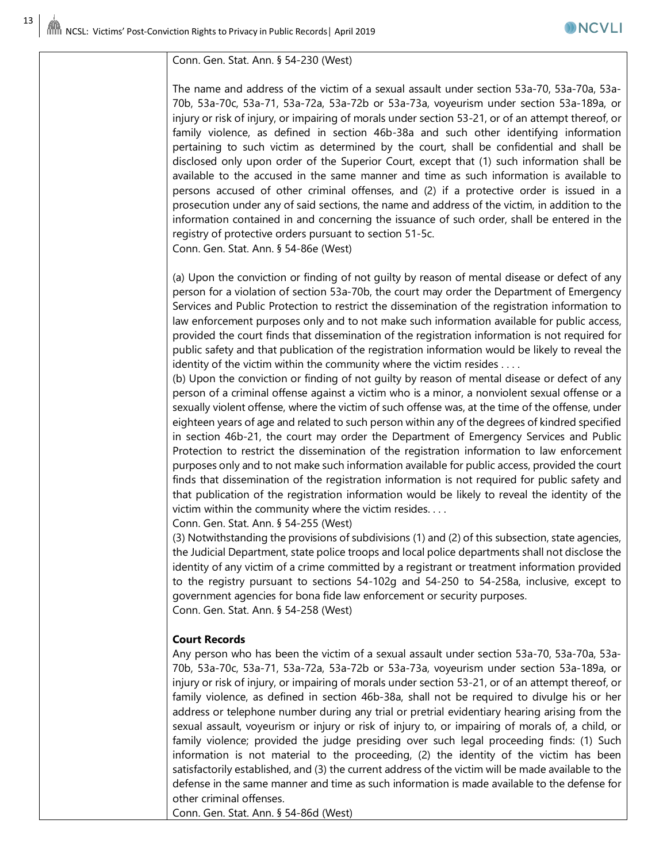

#### Conn. Gen. Stat. Ann. § 54-230 (West)

The name and address of the victim of a sexual assault under section 53a-70, 53a-70a, 53a-70b, 53a-70c, 53a-71, 53a-72a, 53a-72b or 53a-73a, voyeurism under section 53a-189a, or injury or risk of injury, or impairing of morals under section 53-21, or of an attempt thereof, or family violence, as defined in section 46b-38a and such other identifying information pertaining to such victim as determined by the court, shall be confidential and shall be disclosed only upon order of the Superior Court, except that (1) such information shall be available to the accused in the same manner and time as such information is available to persons accused of other criminal offenses, and (2) if a protective order is issued in a prosecution under any of said sections, the name and address of the victim, in addition to the information contained in and concerning the issuance of such order, shall be entered in the registry of protective orders pursuant to section 51-5c. Conn. Gen. Stat. Ann. § 54-86e (West)

(a) Upon the conviction or finding of not guilty by reason of mental disease or defect of any person for a violation of section 53a-70b, the court may order the Department of Emergency Services and Public Protection to restrict the dissemination of the registration information to law enforcement purposes only and to not make such information available for public access, provided the court finds that dissemination of the registration information is not required for public safety and that publication of the registration information would be likely to reveal the identity of the victim within the community where the victim resides . . . .

(b) Upon the conviction or finding of not guilty by reason of mental disease or defect of any person of a criminal offense against a victim who is a minor, a nonviolent sexual offense or a sexually violent offense, where the victim of such offense was, at the time of the offense, under eighteen years of age and related to such person within any of the degrees of kindred specified in section 46b-21, the court may order the Department of Emergency Services and Public Protection to restrict the dissemination of the registration information to law enforcement purposes only and to not make such information available for public access, provided the court finds that dissemination of the registration information is not required for public safety and that publication of the registration information would be likely to reveal the identity of the victim within the community where the victim resides. . . .

Conn. Gen. Stat. Ann. § 54-255 (West)

(3) Notwithstanding the provisions of subdivisions (1) and (2) of this subsection, state agencies, the Judicial Department, state police troops and local police departments shall not disclose the identity of any victim of a crime committed by a registrant or treatment information provided to the registry pursuant to sections 54-102g and 54-250 to 54-258a, inclusive, except to government agencies for bona fide law enforcement or security purposes. Conn. Gen. Stat. Ann. § 54-258 (West)

#### **Court Records**

Any person who has been the victim of a sexual assault under section 53a-70, 53a-70a, 53a-70b, 53a-70c, 53a-71, 53a-72a, 53a-72b or 53a-73a, voyeurism under section 53a-189a, or injury or risk of injury, or impairing of morals under section 53-21, or of an attempt thereof, or family violence, as defined in section 46b-38a, shall not be required to divulge his or her address or telephone number during any trial or pretrial evidentiary hearing arising from the sexual assault, voyeurism or injury or risk of injury to, or impairing of morals of, a child, or family violence; provided the judge presiding over such legal proceeding finds: (1) Such information is not material to the proceeding, (2) the identity of the victim has been satisfactorily established, and (3) the current address of the victim will be made available to the defense in the same manner and time as such information is made available to the defense for other criminal offenses.

Conn. Gen. Stat. Ann. § 54-86d (West)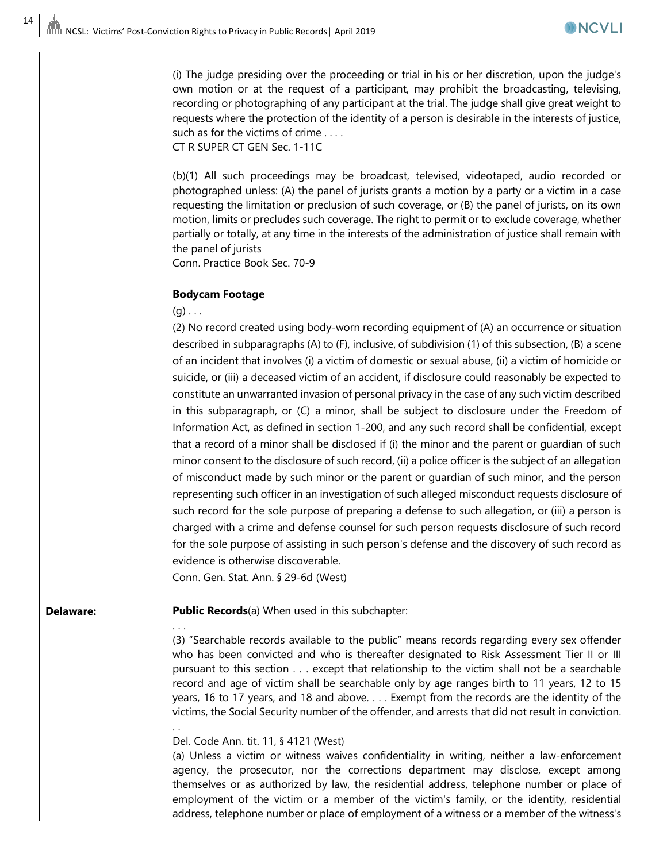

|                  | (i) The judge presiding over the proceeding or trial in his or her discretion, upon the judge's<br>own motion or at the request of a participant, may prohibit the broadcasting, televising,<br>recording or photographing of any participant at the trial. The judge shall give great weight to<br>requests where the protection of the identity of a person is desirable in the interests of justice,<br>such as for the victims of crime<br>CT R SUPER CT GEN Sec. 1-11C<br>(b)(1) All such proceedings may be broadcast, televised, videotaped, audio recorded or<br>photographed unless: (A) the panel of jurists grants a motion by a party or a victim in a case<br>requesting the limitation or preclusion of such coverage, or (B) the panel of jurists, on its own<br>motion, limits or precludes such coverage. The right to permit or to exclude coverage, whether<br>partially or totally, at any time in the interests of the administration of justice shall remain with<br>the panel of jurists<br>Conn. Practice Book Sec. 70-9                                                                                                                                                                                                                                                                                                                                                                                                                                                                                  |
|------------------|-----------------------------------------------------------------------------------------------------------------------------------------------------------------------------------------------------------------------------------------------------------------------------------------------------------------------------------------------------------------------------------------------------------------------------------------------------------------------------------------------------------------------------------------------------------------------------------------------------------------------------------------------------------------------------------------------------------------------------------------------------------------------------------------------------------------------------------------------------------------------------------------------------------------------------------------------------------------------------------------------------------------------------------------------------------------------------------------------------------------------------------------------------------------------------------------------------------------------------------------------------------------------------------------------------------------------------------------------------------------------------------------------------------------------------------------------------------------------------------------------------------------------------------|
|                  | <b>Bodycam Footage</b>                                                                                                                                                                                                                                                                                                                                                                                                                                                                                                                                                                                                                                                                                                                                                                                                                                                                                                                                                                                                                                                                                                                                                                                                                                                                                                                                                                                                                                                                                                            |
|                  | $(g) \ldots$<br>(2) No record created using body-worn recording equipment of (A) an occurrence or situation<br>described in subparagraphs (A) to (F), inclusive, of subdivision (1) of this subsection, (B) a scene<br>of an incident that involves (i) a victim of domestic or sexual abuse, (ii) a victim of homicide or<br>suicide, or (iii) a deceased victim of an accident, if disclosure could reasonably be expected to<br>constitute an unwarranted invasion of personal privacy in the case of any such victim described<br>in this subparagraph, or (C) a minor, shall be subject to disclosure under the Freedom of<br>Information Act, as defined in section 1-200, and any such record shall be confidential, except<br>that a record of a minor shall be disclosed if (i) the minor and the parent or guardian of such<br>minor consent to the disclosure of such record, (ii) a police officer is the subject of an allegation<br>of misconduct made by such minor or the parent or guardian of such minor, and the person<br>representing such officer in an investigation of such alleged misconduct requests disclosure of<br>such record for the sole purpose of preparing a defense to such allegation, or (iii) a person is<br>charged with a crime and defense counsel for such person requests disclosure of such record<br>for the sole purpose of assisting in such person's defense and the discovery of such record as<br>evidence is otherwise discoverable.<br>Conn. Gen. Stat. Ann. § 29-6d (West) |
| <b>Delaware:</b> | <b>Public Records</b> (a) When used in this subchapter:                                                                                                                                                                                                                                                                                                                                                                                                                                                                                                                                                                                                                                                                                                                                                                                                                                                                                                                                                                                                                                                                                                                                                                                                                                                                                                                                                                                                                                                                           |
|                  | (3) "Searchable records available to the public" means records regarding every sex offender<br>who has been convicted and who is thereafter designated to Risk Assessment Tier II or III<br>pursuant to this section except that relationship to the victim shall not be a searchable<br>record and age of victim shall be searchable only by age ranges birth to 11 years, 12 to 15<br>years, 16 to 17 years, and 18 and above. Exempt from the records are the identity of the<br>victims, the Social Security number of the offender, and arrests that did not result in conviction.<br>Del. Code Ann. tit. 11, § 4121 (West)                                                                                                                                                                                                                                                                                                                                                                                                                                                                                                                                                                                                                                                                                                                                                                                                                                                                                                  |
|                  | (a) Unless a victim or witness waives confidentiality in writing, neither a law-enforcement<br>agency, the prosecutor, nor the corrections department may disclose, except among<br>themselves or as authorized by law, the residential address, telephone number or place of<br>employment of the victim or a member of the victim's family, or the identity, residential<br>address, telephone number or place of employment of a witness or a member of the witness's                                                                                                                                                                                                                                                                                                                                                                                                                                                                                                                                                                                                                                                                                                                                                                                                                                                                                                                                                                                                                                                          |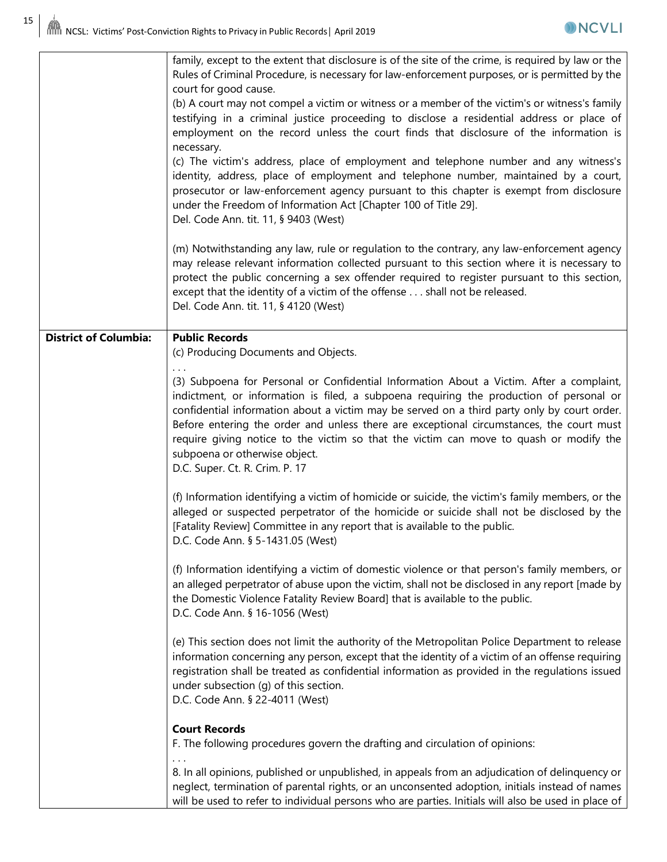

|                              | family, except to the extent that disclosure is of the site of the crime, is required by law or the<br>Rules of Criminal Procedure, is necessary for law-enforcement purposes, or is permitted by the<br>court for good cause.<br>(b) A court may not compel a victim or witness or a member of the victim's or witness's family<br>testifying in a criminal justice proceeding to disclose a residential address or place of<br>employment on the record unless the court finds that disclosure of the information is<br>necessary.<br>(c) The victim's address, place of employment and telephone number and any witness's<br>identity, address, place of employment and telephone number, maintained by a court,<br>prosecutor or law-enforcement agency pursuant to this chapter is exempt from disclosure<br>under the Freedom of Information Act [Chapter 100 of Title 29].<br>Del. Code Ann. tit. 11, § 9403 (West)<br>(m) Notwithstanding any law, rule or regulation to the contrary, any law-enforcement agency<br>may release relevant information collected pursuant to this section where it is necessary to<br>protect the public concerning a sex offender required to register pursuant to this section,<br>except that the identity of a victim of the offense shall not be released.<br>Del. Code Ann. tit. 11, § 4120 (West) |
|------------------------------|-------------------------------------------------------------------------------------------------------------------------------------------------------------------------------------------------------------------------------------------------------------------------------------------------------------------------------------------------------------------------------------------------------------------------------------------------------------------------------------------------------------------------------------------------------------------------------------------------------------------------------------------------------------------------------------------------------------------------------------------------------------------------------------------------------------------------------------------------------------------------------------------------------------------------------------------------------------------------------------------------------------------------------------------------------------------------------------------------------------------------------------------------------------------------------------------------------------------------------------------------------------------------------------------------------------------------------------------------|
| <b>District of Columbia:</b> | <b>Public Records</b><br>(c) Producing Documents and Objects.                                                                                                                                                                                                                                                                                                                                                                                                                                                                                                                                                                                                                                                                                                                                                                                                                                                                                                                                                                                                                                                                                                                                                                                                                                                                                   |
|                              |                                                                                                                                                                                                                                                                                                                                                                                                                                                                                                                                                                                                                                                                                                                                                                                                                                                                                                                                                                                                                                                                                                                                                                                                                                                                                                                                                 |
|                              | (3) Subpoena for Personal or Confidential Information About a Victim. After a complaint,<br>indictment, or information is filed, a subpoena requiring the production of personal or<br>confidential information about a victim may be served on a third party only by court order.<br>Before entering the order and unless there are exceptional circumstances, the court must<br>require giving notice to the victim so that the victim can move to quash or modify the<br>subpoena or otherwise object.<br>D.C. Super. Ct. R. Crim. P. 17                                                                                                                                                                                                                                                                                                                                                                                                                                                                                                                                                                                                                                                                                                                                                                                                     |
|                              | (f) Information identifying a victim of homicide or suicide, the victim's family members, or the<br>alleged or suspected perpetrator of the homicide or suicide shall not be disclosed by the<br>[Fatality Review] Committee in any report that is available to the public.<br>D.C. Code Ann. § 5-1431.05 (West)                                                                                                                                                                                                                                                                                                                                                                                                                                                                                                                                                                                                                                                                                                                                                                                                                                                                                                                                                                                                                                |
|                              | (f) Information identifying a victim of domestic violence or that person's family members, or<br>an alleged perpetrator of abuse upon the victim, shall not be disclosed in any report [made by<br>the Domestic Violence Fatality Review Board] that is available to the public.<br>D.C. Code Ann. § 16-1056 (West)                                                                                                                                                                                                                                                                                                                                                                                                                                                                                                                                                                                                                                                                                                                                                                                                                                                                                                                                                                                                                             |
|                              | (e) This section does not limit the authority of the Metropolitan Police Department to release<br>information concerning any person, except that the identity of a victim of an offense requiring<br>registration shall be treated as confidential information as provided in the regulations issued<br>under subsection (q) of this section.<br>D.C. Code Ann. § 22-4011 (West)                                                                                                                                                                                                                                                                                                                                                                                                                                                                                                                                                                                                                                                                                                                                                                                                                                                                                                                                                                |
|                              | <b>Court Records</b><br>F. The following procedures govern the drafting and circulation of opinions:                                                                                                                                                                                                                                                                                                                                                                                                                                                                                                                                                                                                                                                                                                                                                                                                                                                                                                                                                                                                                                                                                                                                                                                                                                            |
|                              | 8. In all opinions, published or unpublished, in appeals from an adjudication of delinquency or<br>neglect, termination of parental rights, or an unconsented adoption, initials instead of names<br>will be used to refer to individual persons who are parties. Initials will also be used in place of                                                                                                                                                                                                                                                                                                                                                                                                                                                                                                                                                                                                                                                                                                                                                                                                                                                                                                                                                                                                                                        |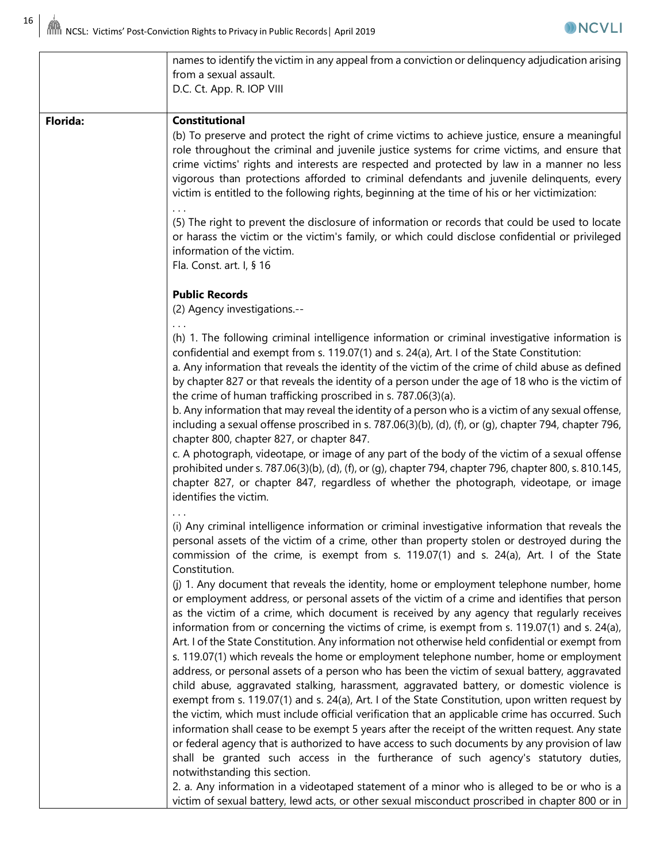

|                 | names to identify the victim in any appeal from a conviction or delinquency adjudication arising                                                                                                                                                                                                                                                                                                                                                                                                                                                                                                                                                                                                                                                                                                                                                                                                                                                                                                                                                                                                                                                                                                                                                                                                                               |
|-----------------|--------------------------------------------------------------------------------------------------------------------------------------------------------------------------------------------------------------------------------------------------------------------------------------------------------------------------------------------------------------------------------------------------------------------------------------------------------------------------------------------------------------------------------------------------------------------------------------------------------------------------------------------------------------------------------------------------------------------------------------------------------------------------------------------------------------------------------------------------------------------------------------------------------------------------------------------------------------------------------------------------------------------------------------------------------------------------------------------------------------------------------------------------------------------------------------------------------------------------------------------------------------------------------------------------------------------------------|
|                 | from a sexual assault.                                                                                                                                                                                                                                                                                                                                                                                                                                                                                                                                                                                                                                                                                                                                                                                                                                                                                                                                                                                                                                                                                                                                                                                                                                                                                                         |
|                 | D.C. Ct. App. R. IOP VIII                                                                                                                                                                                                                                                                                                                                                                                                                                                                                                                                                                                                                                                                                                                                                                                                                                                                                                                                                                                                                                                                                                                                                                                                                                                                                                      |
|                 |                                                                                                                                                                                                                                                                                                                                                                                                                                                                                                                                                                                                                                                                                                                                                                                                                                                                                                                                                                                                                                                                                                                                                                                                                                                                                                                                |
| <b>Florida:</b> | Constitutional                                                                                                                                                                                                                                                                                                                                                                                                                                                                                                                                                                                                                                                                                                                                                                                                                                                                                                                                                                                                                                                                                                                                                                                                                                                                                                                 |
|                 | (b) To preserve and protect the right of crime victims to achieve justice, ensure a meaningful<br>role throughout the criminal and juvenile justice systems for crime victims, and ensure that<br>crime victims' rights and interests are respected and protected by law in a manner no less<br>vigorous than protections afforded to criminal defendants and juvenile delinquents, every<br>victim is entitled to the following rights, beginning at the time of his or her victimization:                                                                                                                                                                                                                                                                                                                                                                                                                                                                                                                                                                                                                                                                                                                                                                                                                                    |
|                 | (5) The right to prevent the disclosure of information or records that could be used to locate<br>or harass the victim or the victim's family, or which could disclose confidential or privileged<br>information of the victim.<br>Fla. Const. art. I, § 16                                                                                                                                                                                                                                                                                                                                                                                                                                                                                                                                                                                                                                                                                                                                                                                                                                                                                                                                                                                                                                                                    |
|                 | <b>Public Records</b>                                                                                                                                                                                                                                                                                                                                                                                                                                                                                                                                                                                                                                                                                                                                                                                                                                                                                                                                                                                                                                                                                                                                                                                                                                                                                                          |
|                 | (2) Agency investigations .--                                                                                                                                                                                                                                                                                                                                                                                                                                                                                                                                                                                                                                                                                                                                                                                                                                                                                                                                                                                                                                                                                                                                                                                                                                                                                                  |
|                 |                                                                                                                                                                                                                                                                                                                                                                                                                                                                                                                                                                                                                                                                                                                                                                                                                                                                                                                                                                                                                                                                                                                                                                                                                                                                                                                                |
|                 | (h) 1. The following criminal intelligence information or criminal investigative information is<br>confidential and exempt from s. 119.07(1) and s. 24(a), Art. I of the State Constitution:<br>a. Any information that reveals the identity of the victim of the crime of child abuse as defined<br>by chapter 827 or that reveals the identity of a person under the age of 18 who is the victim of<br>the crime of human trafficking proscribed in s. 787.06(3)(a).<br>b. Any information that may reveal the identity of a person who is a victim of any sexual offense,<br>including a sexual offense proscribed in s. 787.06(3)(b), (d), (f), or (g), chapter 794, chapter 796,                                                                                                                                                                                                                                                                                                                                                                                                                                                                                                                                                                                                                                          |
|                 | chapter 800, chapter 827, or chapter 847.<br>c. A photograph, videotape, or image of any part of the body of the victim of a sexual offense<br>prohibited under s. 787.06(3)(b), (d), (f), or (g), chapter 794, chapter 796, chapter 800, s. 810.145,<br>chapter 827, or chapter 847, regardless of whether the photograph, videotape, or image<br>identifies the victim.                                                                                                                                                                                                                                                                                                                                                                                                                                                                                                                                                                                                                                                                                                                                                                                                                                                                                                                                                      |
|                 | (i) Any criminal intelligence information or criminal investigative information that reveals the<br>personal assets of the victim of a crime, other than property stolen or destroyed during the<br>commission of the crime, is exempt from s. 119.07(1) and s. 24(a), Art. I of the State<br>Constitution.                                                                                                                                                                                                                                                                                                                                                                                                                                                                                                                                                                                                                                                                                                                                                                                                                                                                                                                                                                                                                    |
|                 | (j) 1. Any document that reveals the identity, home or employment telephone number, home<br>or employment address, or personal assets of the victim of a crime and identifies that person<br>as the victim of a crime, which document is received by any agency that regularly receives<br>information from or concerning the victims of crime, is exempt from s. $119.07(1)$ and s. $24(a)$ ,<br>Art. I of the State Constitution. Any information not otherwise held confidential or exempt from<br>s. 119.07(1) which reveals the home or employment telephone number, home or employment<br>address, or personal assets of a person who has been the victim of sexual battery, aggravated<br>child abuse, aggravated stalking, harassment, aggravated battery, or domestic violence is<br>exempt from s. 119.07(1) and s. 24(a), Art. I of the State Constitution, upon written request by<br>the victim, which must include official verification that an applicable crime has occurred. Such<br>information shall cease to be exempt 5 years after the receipt of the written request. Any state<br>or federal agency that is authorized to have access to such documents by any provision of law<br>shall be granted such access in the furtherance of such agency's statutory duties,<br>notwithstanding this section. |
|                 | 2. a. Any information in a videotaped statement of a minor who is alleged to be or who is a<br>victim of sexual battery, lewd acts, or other sexual misconduct proscribed in chapter 800 or in                                                                                                                                                                                                                                                                                                                                                                                                                                                                                                                                                                                                                                                                                                                                                                                                                                                                                                                                                                                                                                                                                                                                 |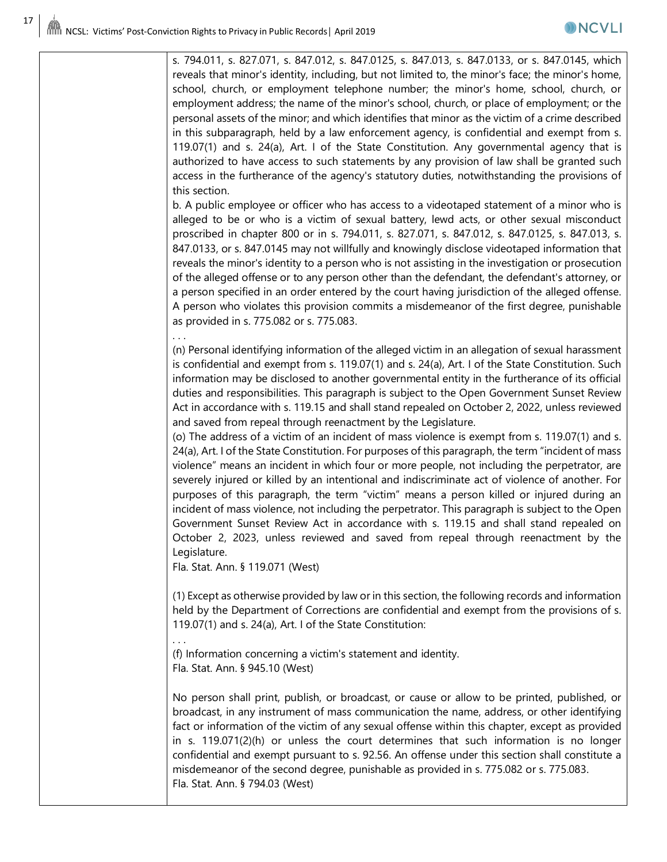s. 794.011, s. 827.071, s. 847.012, s. 847.0125, s. 847.013, s. 847.0133, or s. 847.0145, which reveals that minor's identity, including, but not limited to, the minor's face; the minor's home, school, church, or employment telephone number; the minor's home, school, church, or employment address; the name of the minor's school, church, or place of employment; or the personal assets of the minor; and which identifies that minor as the victim of a crime described in this subparagraph, held by a law enforcement agency, is confidential and exempt from s. 119.07(1) and s. 24(a), Art. I of the State Constitution. Any governmental agency that is authorized to have access to such statements by any provision of law shall be granted such access in the furtherance of the agency's statutory duties, notwithstanding the provisions of this section. b. A public employee or officer who has access to a videotaped statement of a minor who is alleged to be or who is a victim of sexual battery, lewd acts, or other sexual misconduct proscribed in chapter 800 or in s. 794.011, s. 827.071, s. 847.012, s. 847.0125, s. 847.013, s. 847.0133, or s. 847.0145 may not willfully and knowingly disclose videotaped information that reveals the minor's identity to a person who is not assisting in the investigation or prosecution of the alleged offense or to any person other than the defendant, the defendant's attorney, or a person specified in an order entered by the court having jurisdiction of the alleged offense. A person who violates this provision commits a misdemeanor of the first degree, punishable as provided in s. 775.082 or s. 775.083. . . . (n) Personal identifying information of the alleged victim in an allegation of sexual harassment is confidential and exempt from s. 119.07(1) and s. 24(a), Art. I of the State Constitution. Such information may be disclosed to another governmental entity in the furtherance of its official duties and responsibilities. This paragraph is subject to the Open Government Sunset Review Act in accordance with s. 119.15 and shall stand repealed on October 2, 2022, unless reviewed and saved from repeal through reenactment by the Legislature. (o) The address of a victim of an incident of mass violence is exempt from s. 119.07(1) and s. 24(a), Art. I of the State Constitution. For purposes of this paragraph, the term "incident of mass violence" means an incident in which four or more people, not including the perpetrator, are severely injured or killed by an intentional and indiscriminate act of violence of another. For purposes of this paragraph, the term "victim" means a person killed or injured during an incident of mass violence, not including the perpetrator. This paragraph is subject to the Open Government Sunset Review Act in accordance with s. 119.15 and shall stand repealed on October 2, 2023, unless reviewed and saved from repeal through reenactment by the Legislature. Fla. Stat. Ann. § 119.071 (West) (1) Except as otherwise provided by law or in this section, the following records and information held by the Department of Corrections are confidential and exempt from the provisions of s. 119.07(1) and s. 24(a), Art. I of the State Constitution: . . . (f) Information concerning a victim's statement and identity. Fla. Stat. Ann. § 945.10 (West) No person shall print, publish, or broadcast, or cause or allow to be printed, published, or broadcast, in any instrument of mass communication the name, address, or other identifying fact or information of the victim of any sexual offense within this chapter, except as provided in s. 119.071(2)(h) or unless the court determines that such information is no longer confidential and exempt pursuant to s. 92.56. An offense under this section shall constitute a misdemeanor of the second degree, punishable as provided in s. 775.082 or s. 775.083. Fla. Stat. Ann. § 794.03 (West)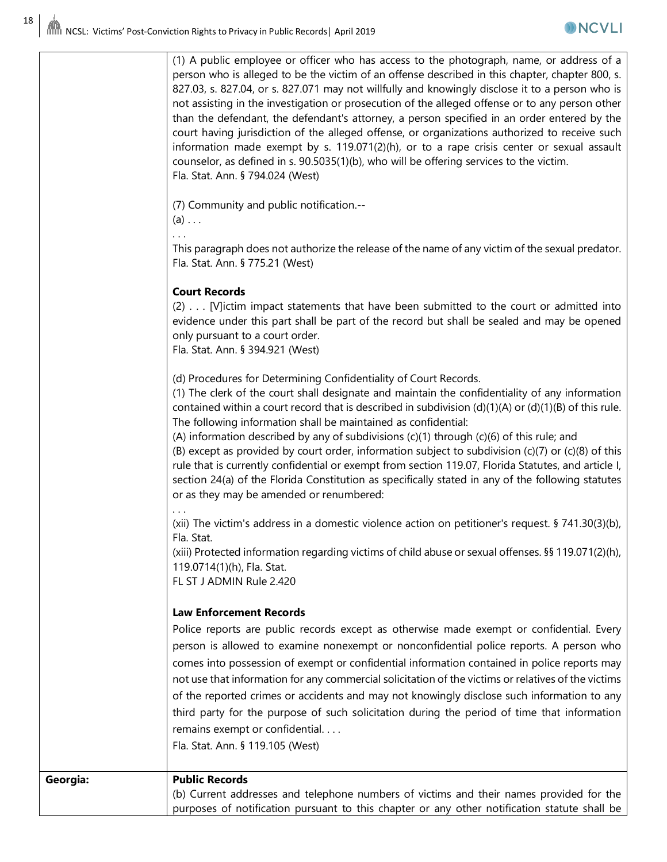

(1) A public employee or officer who has access to the photograph, name, or address of a person who is alleged to be the victim of an offense described in this chapter, chapter 800, s. 827.03, s. 827.04, or s. 827.071 may not willfully and knowingly disclose it to a person who is not assisting in the investigation or prosecution of the alleged offense or to any person other than the defendant, the defendant's attorney, a person specified in an order entered by the court having jurisdiction of the alleged offense, or organizations authorized to receive such information made exempt by s.  $119.071(2)(h)$ , or to a rape crisis center or sexual assault counselor, as defined in s. 90.5035(1)(b), who will be offering services to the victim. Fla. Stat. Ann. § 794.024 (West)

(7) Community and public notification.--

 $(a) \ldots$ . . .

. . .

This paragraph does not authorize the release of the name of any victim of the sexual predator. Fla. Stat. Ann. § 775.21 (West)

#### **Court Records**

(2) . . . [V]ictim impact statements that have been submitted to the court or admitted into evidence under this part shall be part of the record but shall be sealed and may be opened only pursuant to a court order.

Fla. Stat. Ann. § 394.921 (West)

(d) Procedures for Determining Confidentiality of Court Records.

(1) The clerk of the court shall designate and maintain the confidentiality of any information contained within a court record that is described in subdivision  $(d)(1)(A)$  or  $(d)(1)(B)$  of this rule. The following information shall be maintained as confidential:

(A) information described by any of subdivisions (c)(1) through (c)(6) of this rule; and (B) except as provided by court order, information subject to subdivision (c)(7) or (c)(8) of this rule that is currently confidential or exempt from section 119.07, Florida Statutes, and article I, section 24(a) of the Florida Constitution as specifically stated in any of the following statutes or as they may be amended or renumbered:

(xii) The victim's address in a domestic violence action on petitioner's request. § 741.30(3)(b), Fla. Stat.

(xiii) Protected information regarding victims of child abuse or sexual offenses. §§ 119.071(2)(h), 119.0714(1)(h), Fla. Stat.

FL ST J ADMIN Rule 2.420

#### **Law Enforcement Records**

Police reports are public records except as otherwise made exempt or confidential. Every person is allowed to examine nonexempt or nonconfidential police reports. A person who comes into possession of exempt or confidential information contained in police reports may not use that information for any commercial solicitation of the victims or relatives of the victims of the reported crimes or accidents and may not knowingly disclose such information to any third party for the purpose of such solicitation during the period of time that information remains exempt or confidential. . . .

Fla. Stat. Ann. § 119.105 (West)

#### **Georgia: Public Records**

(b) Current addresses and telephone numbers of victims and their names provided for the purposes of notification pursuant to this chapter or any other notification statute shall be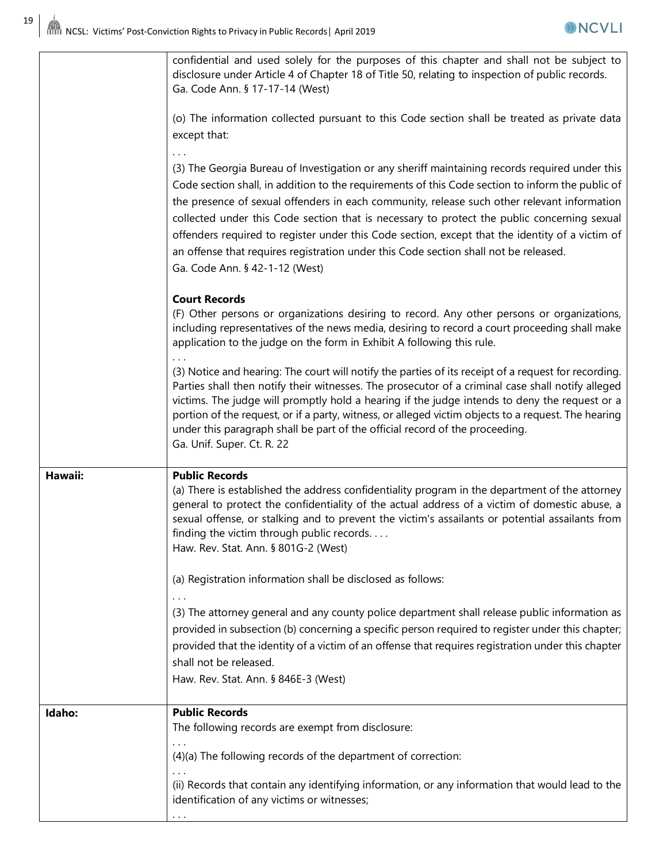

|         | confidential and used solely for the purposes of this chapter and shall not be subject to<br>disclosure under Article 4 of Chapter 18 of Title 50, relating to inspection of public records.<br>Ga. Code Ann. § 17-17-14 (West)                                                                                                                                                                                                                                                                                                                                                                                               |
|---------|-------------------------------------------------------------------------------------------------------------------------------------------------------------------------------------------------------------------------------------------------------------------------------------------------------------------------------------------------------------------------------------------------------------------------------------------------------------------------------------------------------------------------------------------------------------------------------------------------------------------------------|
|         | (o) The information collected pursuant to this Code section shall be treated as private data<br>except that:                                                                                                                                                                                                                                                                                                                                                                                                                                                                                                                  |
|         | (3) The Georgia Bureau of Investigation or any sheriff maintaining records required under this<br>Code section shall, in addition to the requirements of this Code section to inform the public of<br>the presence of sexual offenders in each community, release such other relevant information<br>collected under this Code section that is necessary to protect the public concerning sexual<br>offenders required to register under this Code section, except that the identity of a victim of<br>an offense that requires registration under this Code section shall not be released.<br>Ga. Code Ann. § 42-1-12 (West) |
|         | <b>Court Records</b><br>(F) Other persons or organizations desiring to record. Any other persons or organizations,<br>including representatives of the news media, desiring to record a court proceeding shall make<br>application to the judge on the form in Exhibit A following this rule.                                                                                                                                                                                                                                                                                                                                 |
|         | (3) Notice and hearing: The court will notify the parties of its receipt of a request for recording.<br>Parties shall then notify their witnesses. The prosecutor of a criminal case shall notify alleged<br>victims. The judge will promptly hold a hearing if the judge intends to deny the request or a<br>portion of the request, or if a party, witness, or alleged victim objects to a request. The hearing<br>under this paragraph shall be part of the official record of the proceeding.<br>Ga. Unif. Super. Ct. R. 22                                                                                               |
|         |                                                                                                                                                                                                                                                                                                                                                                                                                                                                                                                                                                                                                               |
| Hawaii: | <b>Public Records</b><br>(a) There is established the address confidentiality program in the department of the attorney<br>general to protect the confidentiality of the actual address of a victim of domestic abuse, a<br>sexual offense, or stalking and to prevent the victim's assailants or potential assailants from<br>finding the victim through public records.<br>Haw. Rev. Stat. Ann. § 801G-2 (West)                                                                                                                                                                                                             |
|         | (a) Registration information shall be disclosed as follows:                                                                                                                                                                                                                                                                                                                                                                                                                                                                                                                                                                   |
|         | (3) The attorney general and any county police department shall release public information as<br>provided in subsection (b) concerning a specific person required to register under this chapter;<br>provided that the identity of a victim of an offense that requires registration under this chapter<br>shall not be released.<br>Haw. Rev. Stat. Ann. § 846E-3 (West)                                                                                                                                                                                                                                                     |
| Idaho:  | <b>Public Records</b><br>The following records are exempt from disclosure:                                                                                                                                                                                                                                                                                                                                                                                                                                                                                                                                                    |
|         | (4)(a) The following records of the department of correction:                                                                                                                                                                                                                                                                                                                                                                                                                                                                                                                                                                 |
|         | (ii) Records that contain any identifying information, or any information that would lead to the<br>identification of any victims or witnesses;                                                                                                                                                                                                                                                                                                                                                                                                                                                                               |
|         |                                                                                                                                                                                                                                                                                                                                                                                                                                                                                                                                                                                                                               |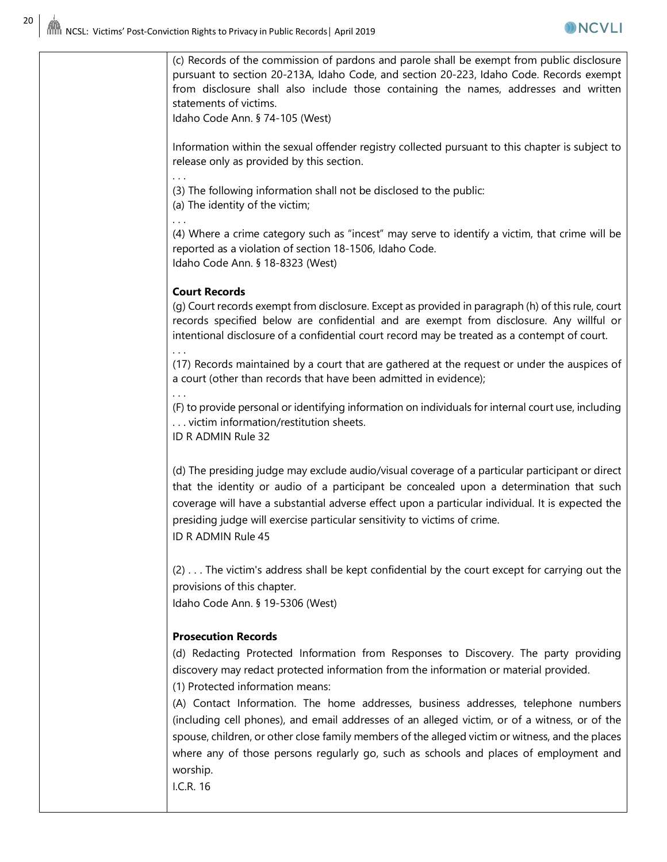**INCVLI** (c) Records of the commission of pardons and parole shall be exempt from public disclosure pursuant to section 20-213A, Idaho Code, and section 20-223, Idaho Code. Records exempt from disclosure shall also include those containing the names, addresses and written statements of victims. Idaho Code Ann. § 74-105 (West) Information within the sexual offender registry collected pursuant to this chapter is subject to release only as provided by this section. . . . (3) The following information shall not be disclosed to the public: (a) The identity of the victim; . . . (4) Where a crime category such as "incest" may serve to identify a victim, that crime will be reported as a violation of section 18-1506, Idaho Code. Idaho Code Ann. § 18-8323 (West) **Court Records** (g) Court records exempt from disclosure. Except as provided in paragraph (h) of this rule, court

records specified below are confidential and are exempt from disclosure. Any willful or intentional disclosure of a confidential court record may be treated as a contempt of court. . . .

(17) Records maintained by a court that are gathered at the request or under the auspices of a court (other than records that have been admitted in evidence);

(F) to provide personal or identifying information on individuals for internal court use, including . . . victim information/restitution sheets.

ID R ADMIN Rule 32

(d) The presiding judge may exclude audio/visual coverage of a particular participant or direct that the identity or audio of a participant be concealed upon a determination that such coverage will have a substantial adverse effect upon a particular individual. It is expected the presiding judge will exercise particular sensitivity to victims of crime. ID R ADMIN Rule 45

(2) . . . The victim's address shall be kept confidential by the court except for carrying out the provisions of this chapter.

Idaho Code Ann. § 19-5306 (West)

## **Prosecution Records**

(d) Redacting Protected Information from Responses to Discovery. The party providing discovery may redact protected information from the information or material provided.

(1) Protected information means:

(A) Contact Information. The home addresses, business addresses, telephone numbers (including cell phones), and email addresses of an alleged victim, or of a witness, or of the spouse, children, or other close family members of the alleged victim or witness, and the places where any of those persons regularly go, such as schools and places of employment and worship.

I.C.R. 16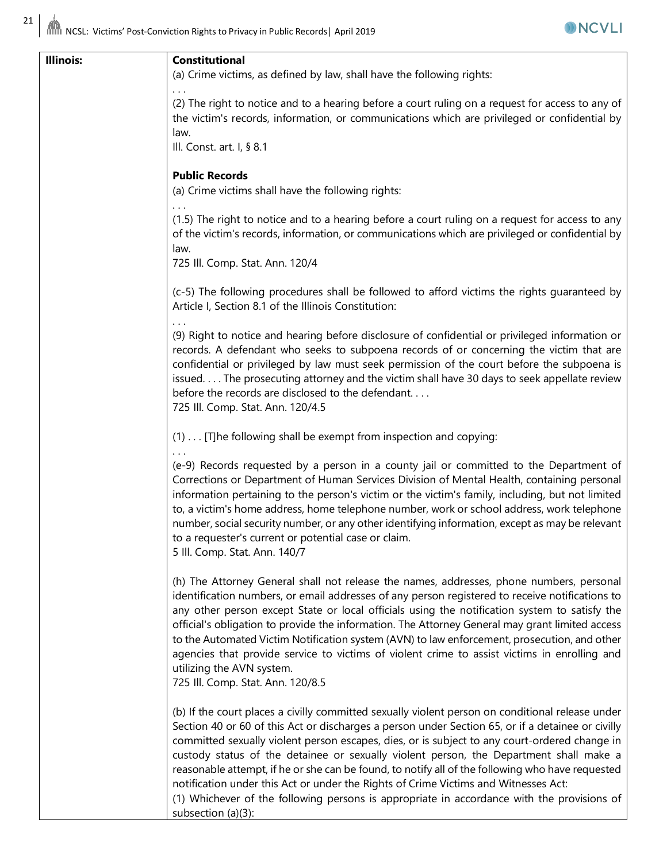

| <b>Illinois:</b> | Constitutional<br>(a) Crime victims, as defined by law, shall have the following rights:                                                                                                                                                                                                                                                                                                                                                                                                                                                                                                                                                                                                                           |
|------------------|--------------------------------------------------------------------------------------------------------------------------------------------------------------------------------------------------------------------------------------------------------------------------------------------------------------------------------------------------------------------------------------------------------------------------------------------------------------------------------------------------------------------------------------------------------------------------------------------------------------------------------------------------------------------------------------------------------------------|
|                  | (2) The right to notice and to a hearing before a court ruling on a request for access to any of<br>the victim's records, information, or communications which are privileged or confidential by<br>law.<br>Ill. Const. art. I, § 8.1                                                                                                                                                                                                                                                                                                                                                                                                                                                                              |
|                  | <b>Public Records</b>                                                                                                                                                                                                                                                                                                                                                                                                                                                                                                                                                                                                                                                                                              |
|                  | (a) Crime victims shall have the following rights:                                                                                                                                                                                                                                                                                                                                                                                                                                                                                                                                                                                                                                                                 |
|                  | (1.5) The right to notice and to a hearing before a court ruling on a request for access to any<br>of the victim's records, information, or communications which are privileged or confidential by<br>law.<br>725 III. Comp. Stat. Ann. 120/4                                                                                                                                                                                                                                                                                                                                                                                                                                                                      |
|                  | (c-5) The following procedures shall be followed to afford victims the rights guaranteed by<br>Article I, Section 8.1 of the Illinois Constitution:                                                                                                                                                                                                                                                                                                                                                                                                                                                                                                                                                                |
|                  | (9) Right to notice and hearing before disclosure of confidential or privileged information or<br>records. A defendant who seeks to subpoena records of or concerning the victim that are<br>confidential or privileged by law must seek permission of the court before the subpoena is<br>issued The prosecuting attorney and the victim shall have 30 days to seek appellate review<br>before the records are disclosed to the defendant<br>725 Ill. Comp. Stat. Ann. 120/4.5                                                                                                                                                                                                                                    |
|                  | (1) [T]he following shall be exempt from inspection and copying:                                                                                                                                                                                                                                                                                                                                                                                                                                                                                                                                                                                                                                                   |
|                  | (e-9) Records requested by a person in a county jail or committed to the Department of<br>Corrections or Department of Human Services Division of Mental Health, containing personal<br>information pertaining to the person's victim or the victim's family, including, but not limited<br>to, a victim's home address, home telephone number, work or school address, work telephone<br>number, social security number, or any other identifying information, except as may be relevant<br>to a requester's current or potential case or claim.<br>5 III. Comp. Stat. Ann. 140/7                                                                                                                                 |
|                  | (h) The Attorney General shall not release the names, addresses, phone numbers, personal<br>identification numbers, or email addresses of any person registered to receive notifications to<br>any other person except State or local officials using the notification system to satisfy the<br>official's obligation to provide the information. The Attorney General may grant limited access<br>to the Automated Victim Notification system (AVN) to law enforcement, prosecution, and other<br>agencies that provide service to victims of violent crime to assist victims in enrolling and<br>utilizing the AVN system.<br>725 Ill. Comp. Stat. Ann. 120/8.5                                                  |
|                  | (b) If the court places a civilly committed sexually violent person on conditional release under<br>Section 40 or 60 of this Act or discharges a person under Section 65, or if a detainee or civilly<br>committed sexually violent person escapes, dies, or is subject to any court-ordered change in<br>custody status of the detainee or sexually violent person, the Department shall make a<br>reasonable attempt, if he or she can be found, to notify all of the following who have requested<br>notification under this Act or under the Rights of Crime Victims and Witnesses Act:<br>(1) Whichever of the following persons is appropriate in accordance with the provisions of<br>subsection $(a)(3)$ : |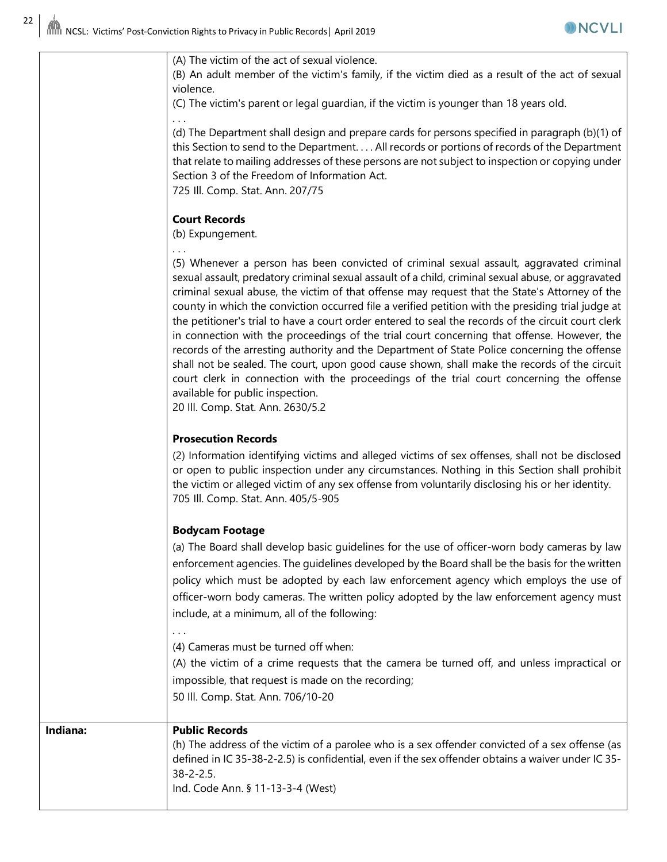

(A) The victim of the act of sexual violence.

(B) An adult member of the victim's family, if the victim died as a result of the act of sexual violence.

(C) The victim's parent or legal guardian, if the victim is younger than 18 years old. . . .

(d) The Department shall design and prepare cards for persons specified in paragraph (b)(1) of this Section to send to the Department. . . . All records or portions of records of the Department that relate to mailing addresses of these persons are not subject to inspection or copying under Section 3 of the Freedom of Information Act.

725 Ill. Comp. Stat. Ann. 207/75

## **Court Records**

(b) Expungement.

. . .

(5) Whenever a person has been convicted of criminal sexual assault, aggravated criminal sexual assault, predatory criminal sexual assault of a child, criminal sexual abuse, or aggravated criminal sexual abuse, the victim of that offense may request that the State's Attorney of the county in which the conviction occurred file a verified petition with the presiding trial judge at the petitioner's trial to have a court order entered to seal the records of the circuit court clerk in connection with the proceedings of the trial court concerning that offense. However, the records of the arresting authority and the Department of State Police concerning the offense shall not be sealed. The court, upon good cause shown, shall make the records of the circuit court clerk in connection with the proceedings of the trial court concerning the offense available for public inspection.

20 Ill. Comp. Stat. Ann. 2630/5.2

## **Prosecution Records**

(2) Information identifying victims and alleged victims of sex offenses, shall not be disclosed or open to public inspection under any circumstances. Nothing in this Section shall prohibit the victim or alleged victim of any sex offense from voluntarily disclosing his or her identity. 705 Ill. Comp. Stat. Ann. 405/5-905

## **Bodycam Footage**

. . .

(a) The Board shall develop basic guidelines for the use of officer-worn body cameras by law enforcement agencies. The guidelines developed by the Board shall be the basis for the written policy which must be adopted by each law enforcement agency which employs the use of officer-worn body cameras. The written policy adopted by the law enforcement agency must include, at a minimum, all of the following:

(4) Cameras must be turned off when:

(A) the victim of a crime requests that the camera be turned off, and unless impractical or impossible, that request is made on the recording;

50 Ill. Comp. Stat. Ann. 706/10-20

| Indiana: | <b>Public Records</b>                                                                                                                                                                                                     |
|----------|---------------------------------------------------------------------------------------------------------------------------------------------------------------------------------------------------------------------------|
|          | (h) The address of the victim of a parolee who is a sex offender convicted of a sex offense (as<br>defined in IC 35-38-2-2.5) is confidential, even if the sex offender obtains a waiver under IC 35-<br>$38 - 2 - 2.5$ . |
|          | Ind. Code Ann. § 11-13-3-4 (West)                                                                                                                                                                                         |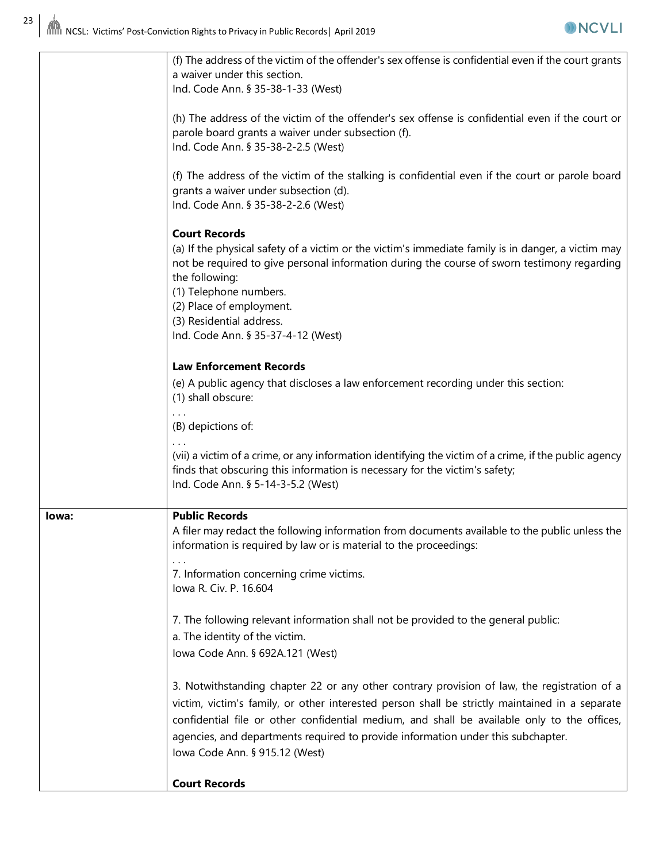

|       | (f) The address of the victim of the offender's sex offense is confidential even if the court grants                                                                                                                                                                                                                                                                             |
|-------|----------------------------------------------------------------------------------------------------------------------------------------------------------------------------------------------------------------------------------------------------------------------------------------------------------------------------------------------------------------------------------|
|       | a waiver under this section.                                                                                                                                                                                                                                                                                                                                                     |
|       | Ind. Code Ann. § 35-38-1-33 (West)                                                                                                                                                                                                                                                                                                                                               |
|       | (h) The address of the victim of the offender's sex offense is confidential even if the court or<br>parole board grants a waiver under subsection (f).<br>Ind. Code Ann. § 35-38-2-2.5 (West)                                                                                                                                                                                    |
|       | (f) The address of the victim of the stalking is confidential even if the court or parole board<br>grants a waiver under subsection (d).<br>Ind. Code Ann. § 35-38-2-2.6 (West)                                                                                                                                                                                                  |
|       | <b>Court Records</b>                                                                                                                                                                                                                                                                                                                                                             |
|       | (a) If the physical safety of a victim or the victim's immediate family is in danger, a victim may<br>not be required to give personal information during the course of sworn testimony regarding<br>the following:<br>(1) Telephone numbers.                                                                                                                                    |
|       | (2) Place of employment.                                                                                                                                                                                                                                                                                                                                                         |
|       | (3) Residential address.                                                                                                                                                                                                                                                                                                                                                         |
|       | Ind. Code Ann. § 35-37-4-12 (West)                                                                                                                                                                                                                                                                                                                                               |
|       |                                                                                                                                                                                                                                                                                                                                                                                  |
|       | <b>Law Enforcement Records</b>                                                                                                                                                                                                                                                                                                                                                   |
|       | (e) A public agency that discloses a law enforcement recording under this section:<br>(1) shall obscure:                                                                                                                                                                                                                                                                         |
|       | (B) depictions of:                                                                                                                                                                                                                                                                                                                                                               |
|       | (vii) a victim of a crime, or any information identifying the victim of a crime, if the public agency<br>finds that obscuring this information is necessary for the victim's safety;<br>Ind. Code Ann. § 5-14-3-5.2 (West)                                                                                                                                                       |
| lowa: | <b>Public Records</b>                                                                                                                                                                                                                                                                                                                                                            |
|       | A filer may redact the following information from documents available to the public unless the<br>information is required by law or is material to the proceedings:                                                                                                                                                                                                              |
|       | 7. Information concerning crime victims.<br>lowa R. Civ. P. 16.604                                                                                                                                                                                                                                                                                                               |
|       | 7. The following relevant information shall not be provided to the general public:                                                                                                                                                                                                                                                                                               |
|       | a. The identity of the victim.                                                                                                                                                                                                                                                                                                                                                   |
|       | lowa Code Ann. § 692A.121 (West)                                                                                                                                                                                                                                                                                                                                                 |
|       | 3. Notwithstanding chapter 22 or any other contrary provision of law, the registration of a<br>victim, victim's family, or other interested person shall be strictly maintained in a separate<br>confidential file or other confidential medium, and shall be available only to the offices,<br>agencies, and departments required to provide information under this subchapter. |
|       | lowa Code Ann. § 915.12 (West)                                                                                                                                                                                                                                                                                                                                                   |
|       | <b>Court Records</b>                                                                                                                                                                                                                                                                                                                                                             |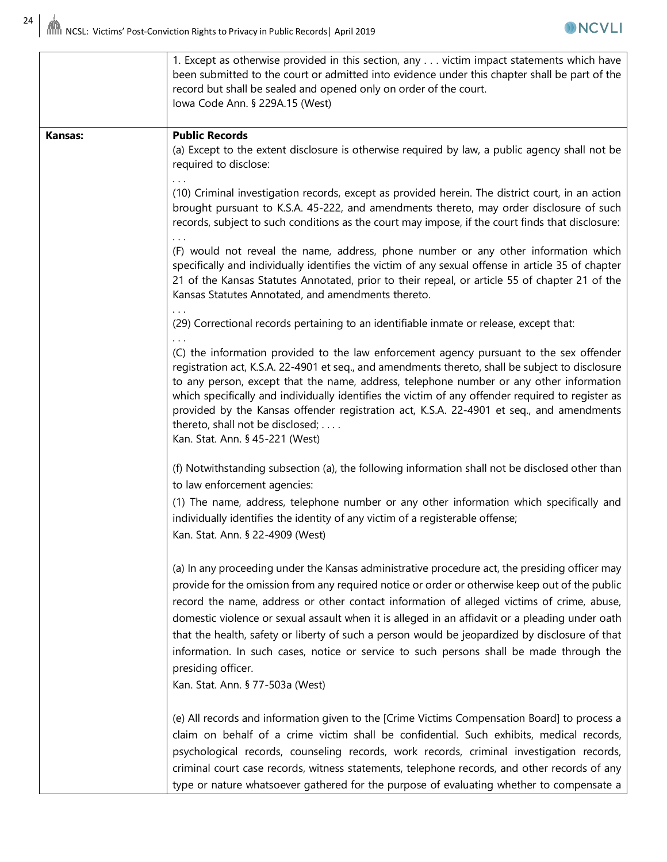

|         | 1. Except as otherwise provided in this section, any victim impact statements which have<br>been submitted to the court or admitted into evidence under this chapter shall be part of the<br>record but shall be sealed and opened only on order of the court.<br>lowa Code Ann. § 229A.15 (West)                                                                                                                                                                                                                                                                                                                                                       |
|---------|---------------------------------------------------------------------------------------------------------------------------------------------------------------------------------------------------------------------------------------------------------------------------------------------------------------------------------------------------------------------------------------------------------------------------------------------------------------------------------------------------------------------------------------------------------------------------------------------------------------------------------------------------------|
| Kansas: | <b>Public Records</b><br>(a) Except to the extent disclosure is otherwise required by law, a public agency shall not be<br>required to disclose:                                                                                                                                                                                                                                                                                                                                                                                                                                                                                                        |
|         | (10) Criminal investigation records, except as provided herein. The district court, in an action<br>brought pursuant to K.S.A. 45-222, and amendments thereto, may order disclosure of such<br>records, subject to such conditions as the court may impose, if the court finds that disclosure:                                                                                                                                                                                                                                                                                                                                                         |
|         | (F) would not reveal the name, address, phone number or any other information which<br>specifically and individually identifies the victim of any sexual offense in article 35 of chapter<br>21 of the Kansas Statutes Annotated, prior to their repeal, or article 55 of chapter 21 of the<br>Kansas Statutes Annotated, and amendments thereto.                                                                                                                                                                                                                                                                                                       |
|         | (29) Correctional records pertaining to an identifiable inmate or release, except that:                                                                                                                                                                                                                                                                                                                                                                                                                                                                                                                                                                 |
|         | (C) the information provided to the law enforcement agency pursuant to the sex offender<br>registration act, K.S.A. 22-4901 et seq., and amendments thereto, shall be subject to disclosure<br>to any person, except that the name, address, telephone number or any other information<br>which specifically and individually identifies the victim of any offender required to register as<br>provided by the Kansas offender registration act, K.S.A. 22-4901 et seq., and amendments<br>thereto, shall not be disclosed;<br>Kan. Stat. Ann. § 45-221 (West)                                                                                          |
|         | (f) Notwithstanding subsection (a), the following information shall not be disclosed other than<br>to law enforcement agencies:<br>(1) The name, address, telephone number or any other information which specifically and<br>individually identifies the identity of any victim of a registerable offense;<br>Kan. Stat. Ann. § 22-4909 (West)                                                                                                                                                                                                                                                                                                         |
|         | (a) In any proceeding under the Kansas administrative procedure act, the presiding officer may<br>provide for the omission from any required notice or order or otherwise keep out of the public<br>record the name, address or other contact information of alleged victims of crime, abuse,<br>domestic violence or sexual assault when it is alleged in an affidavit or a pleading under oath<br>that the health, safety or liberty of such a person would be jeopardized by disclosure of that<br>information. In such cases, notice or service to such persons shall be made through the<br>presiding officer.<br>Kan. Stat. Ann. § 77-503a (West) |
|         | (e) All records and information given to the [Crime Victims Compensation Board] to process a<br>claim on behalf of a crime victim shall be confidential. Such exhibits, medical records,<br>psychological records, counseling records, work records, criminal investigation records,<br>criminal court case records, witness statements, telephone records, and other records of any<br>type or nature whatsoever gathered for the purpose of evaluating whether to compensate a                                                                                                                                                                        |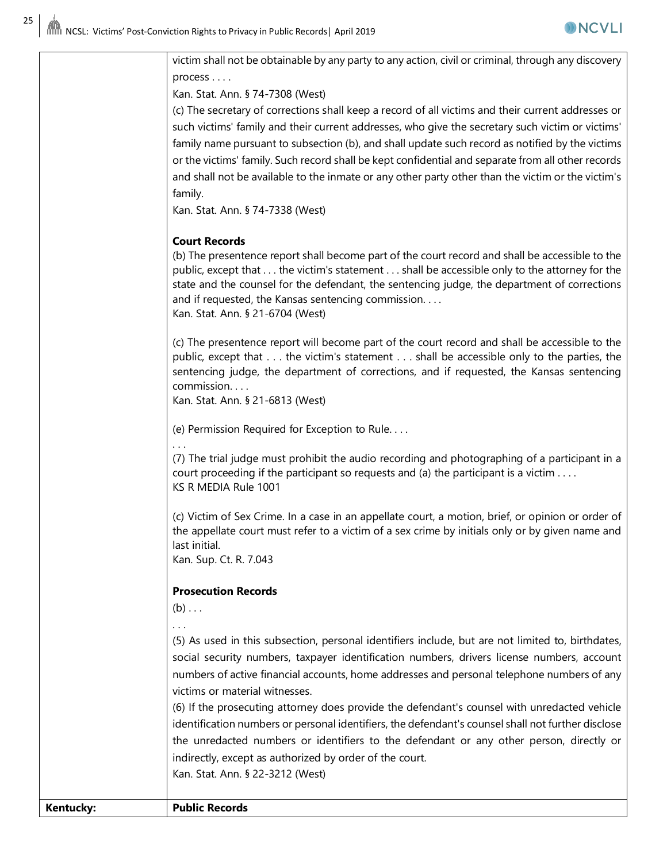

victim shall not be obtainable by any party to any action, civil or criminal, through any discovery process . . . .

Kan. Stat. Ann. § 74-7308 (West)

(c) The secretary of corrections shall keep a record of all victims and their current addresses or such victims' family and their current addresses, who give the secretary such victim or victims' family name pursuant to subsection (b), and shall update such record as notified by the victims or the victims' family. Such record shall be kept confidential and separate from all other records and shall not be available to the inmate or any other party other than the victim or the victim's family.

Kan. Stat. Ann. § 74-7338 (West)

## **Court Records**

(b) The presentence report shall become part of the court record and shall be accessible to the public, except that . . . the victim's statement . . . shall be accessible only to the attorney for the state and the counsel for the defendant, the sentencing judge, the department of corrections and if requested, the Kansas sentencing commission. . . . Kan. Stat. Ann. § 21-6704 (West)

(c) The presentence report will become part of the court record and shall be accessible to the public, except that . . . the victim's statement . . . shall be accessible only to the parties, the sentencing judge, the department of corrections, and if requested, the Kansas sentencing commission. . . .

Kan. Stat. Ann. § 21-6813 (West)

(e) Permission Required for Exception to Rule. . . .

. . . (7) The trial judge must prohibit the audio recording and photographing of a participant in a court proceeding if the participant so requests and (a) the participant is a victim . . . . KS R MEDIA Rule 1001

(c) Victim of Sex Crime. In a case in an appellate court, a motion, brief, or opinion or order of the appellate court must refer to a victim of a sex crime by initials only or by given name and last initial.

Kan. Sup. Ct. R. 7.043

#### **Prosecution Records**

 $(b)$ ... . . .

(5) As used in this subsection, personal identifiers include, but are not limited to, birthdates, social security numbers, taxpayer identification numbers, drivers license numbers, account numbers of active financial accounts, home addresses and personal telephone numbers of any victims or material witnesses.

(6) If the prosecuting attorney does provide the defendant's counsel with unredacted vehicle identification numbers or personal identifiers, the defendant's counsel shall not further disclose the unredacted numbers or identifiers to the defendant or any other person, directly or indirectly, except as authorized by order of the court. Kan. Stat. Ann. § 22-3212 (West)

**Kentucky: Public Records**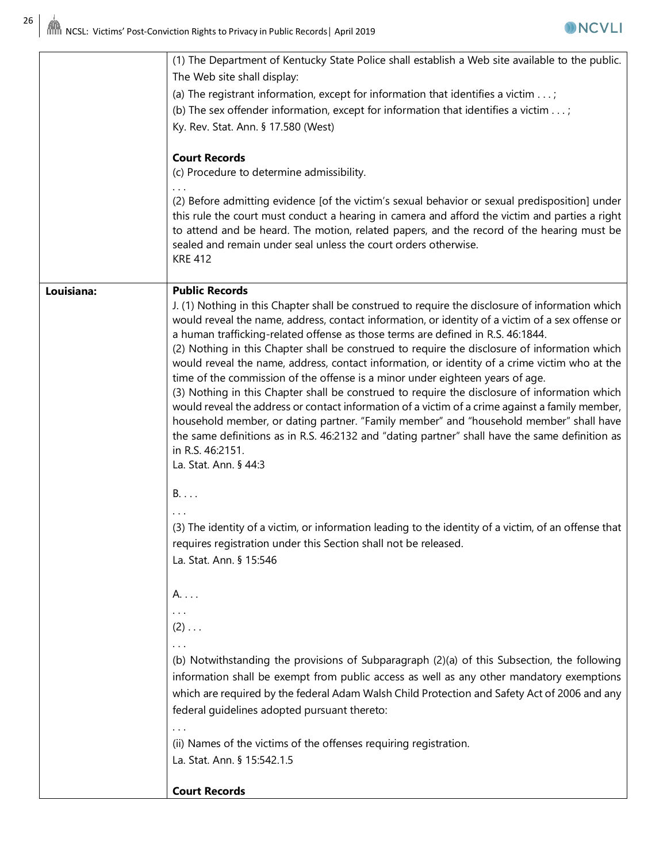

|            | (1) The Department of Kentucky State Police shall establish a Web site available to the public.                                                                                                |
|------------|------------------------------------------------------------------------------------------------------------------------------------------------------------------------------------------------|
|            | The Web site shall display:                                                                                                                                                                    |
|            | (a) The registrant information, except for information that identifies a victim ;                                                                                                              |
|            | (b) The sex offender information, except for information that identifies a victim;                                                                                                             |
|            | Ky. Rev. Stat. Ann. § 17.580 (West)                                                                                                                                                            |
|            |                                                                                                                                                                                                |
|            | <b>Court Records</b>                                                                                                                                                                           |
|            | (c) Procedure to determine admissibility.                                                                                                                                                      |
|            |                                                                                                                                                                                                |
|            | (2) Before admitting evidence [of the victim's sexual behavior or sexual predisposition] under                                                                                                 |
|            | this rule the court must conduct a hearing in camera and afford the victim and parties a right                                                                                                 |
|            | to attend and be heard. The motion, related papers, and the record of the hearing must be                                                                                                      |
|            | sealed and remain under seal unless the court orders otherwise.                                                                                                                                |
|            | <b>KRE 412</b>                                                                                                                                                                                 |
|            |                                                                                                                                                                                                |
| Louisiana: | <b>Public Records</b>                                                                                                                                                                          |
|            | J. (1) Nothing in this Chapter shall be construed to require the disclosure of information which                                                                                               |
|            | would reveal the name, address, contact information, or identity of a victim of a sex offense or                                                                                               |
|            | a human trafficking-related offense as those terms are defined in R.S. 46:1844.                                                                                                                |
|            | (2) Nothing in this Chapter shall be construed to require the disclosure of information which<br>would reveal the name, address, contact information, or identity of a crime victim who at the |
|            | time of the commission of the offense is a minor under eighteen years of age.                                                                                                                  |
|            | (3) Nothing in this Chapter shall be construed to require the disclosure of information which                                                                                                  |
|            | would reveal the address or contact information of a victim of a crime against a family member,                                                                                                |
|            | household member, or dating partner. "Family member" and "household member" shall have                                                                                                         |
|            | the same definitions as in R.S. 46:2132 and "dating partner" shall have the same definition as                                                                                                 |
|            | in R.S. 46:2151.                                                                                                                                                                               |
|            | La. Stat. Ann. § 44:3                                                                                                                                                                          |
|            |                                                                                                                                                                                                |
|            | $B. \ldots$                                                                                                                                                                                    |
|            |                                                                                                                                                                                                |
|            | (3) The identity of a victim, or information leading to the identity of a victim, of an offense that                                                                                           |
|            | requires registration under this Section shall not be released.                                                                                                                                |
|            | La. Stat. Ann. § 15:546                                                                                                                                                                        |
|            |                                                                                                                                                                                                |
|            | A.                                                                                                                                                                                             |
|            | .                                                                                                                                                                                              |
|            | $(2) \ldots$                                                                                                                                                                                   |
|            |                                                                                                                                                                                                |
|            | (b) Notwithstanding the provisions of Subparagraph (2)(a) of this Subsection, the following                                                                                                    |
|            | information shall be exempt from public access as well as any other mandatory exemptions                                                                                                       |
|            | which are required by the federal Adam Walsh Child Protection and Safety Act of 2006 and any                                                                                                   |
|            | federal guidelines adopted pursuant thereto:                                                                                                                                                   |
|            |                                                                                                                                                                                                |
|            |                                                                                                                                                                                                |
|            | (ii) Names of the victims of the offenses requiring registration.                                                                                                                              |
|            | La. Stat. Ann. § 15:542.1.5                                                                                                                                                                    |
|            |                                                                                                                                                                                                |
|            | <b>Court Records</b>                                                                                                                                                                           |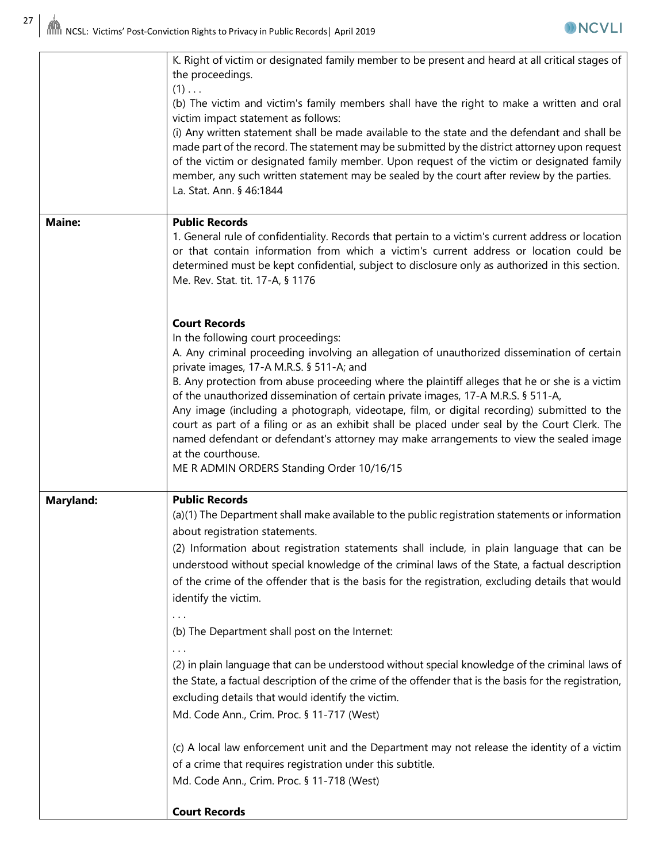

|                  | K. Right of victim or designated family member to be present and heard at all critical stages of<br>the proceedings.                                                                                                                                                                                                                                                                       |
|------------------|--------------------------------------------------------------------------------------------------------------------------------------------------------------------------------------------------------------------------------------------------------------------------------------------------------------------------------------------------------------------------------------------|
|                  | $(1) \ldots$<br>(b) The victim and victim's family members shall have the right to make a written and oral<br>victim impact statement as follows:                                                                                                                                                                                                                                          |
|                  | (i) Any written statement shall be made available to the state and the defendant and shall be<br>made part of the record. The statement may be submitted by the district attorney upon request<br>of the victim or designated family member. Upon request of the victim or designated family<br>member, any such written statement may be sealed by the court after review by the parties. |
|                  | La. Stat. Ann. § 46:1844                                                                                                                                                                                                                                                                                                                                                                   |
| <b>Maine:</b>    | <b>Public Records</b><br>1. General rule of confidentiality. Records that pertain to a victim's current address or location                                                                                                                                                                                                                                                                |
|                  | or that contain information from which a victim's current address or location could be<br>determined must be kept confidential, subject to disclosure only as authorized in this section.<br>Me. Rev. Stat. tit. 17-A, § 1176                                                                                                                                                              |
|                  | <b>Court Records</b>                                                                                                                                                                                                                                                                                                                                                                       |
|                  | In the following court proceedings:<br>A. Any criminal proceeding involving an allegation of unauthorized dissemination of certain<br>private images, 17-A M.R.S. § 511-A; and                                                                                                                                                                                                             |
|                  | B. Any protection from abuse proceeding where the plaintiff alleges that he or she is a victim<br>of the unauthorized dissemination of certain private images, 17-A M.R.S. § 511-A,<br>Any image (including a photograph, videotape, film, or digital recording) submitted to the<br>court as part of a filing or as an exhibit shall be placed under seal by the Court Clerk. The         |
|                  | named defendant or defendant's attorney may make arrangements to view the sealed image<br>at the courthouse.<br>ME R ADMIN ORDERS Standing Order 10/16/15                                                                                                                                                                                                                                  |
| <b>Maryland:</b> | <b>Public Records</b>                                                                                                                                                                                                                                                                                                                                                                      |
|                  | (a)(1) The Department shall make available to the public registration statements or information<br>about registration statements.                                                                                                                                                                                                                                                          |
|                  | (2) Information about registration statements shall include, in plain language that can be<br>understood without special knowledge of the criminal laws of the State, a factual description<br>of the crime of the offender that is the basis for the registration, excluding details that would<br>identify the victim.                                                                   |
|                  | (b) The Department shall post on the Internet:                                                                                                                                                                                                                                                                                                                                             |
|                  | (2) in plain language that can be understood without special knowledge of the criminal laws of<br>the State, a factual description of the crime of the offender that is the basis for the registration,<br>excluding details that would identify the victim.<br>Md. Code Ann., Crim. Proc. § 11-717 (West)                                                                                 |
|                  | (c) A local law enforcement unit and the Department may not release the identity of a victim                                                                                                                                                                                                                                                                                               |
|                  | of a crime that requires registration under this subtitle.<br>Md. Code Ann., Crim. Proc. § 11-718 (West)                                                                                                                                                                                                                                                                                   |
|                  | <b>Court Records</b>                                                                                                                                                                                                                                                                                                                                                                       |
|                  |                                                                                                                                                                                                                                                                                                                                                                                            |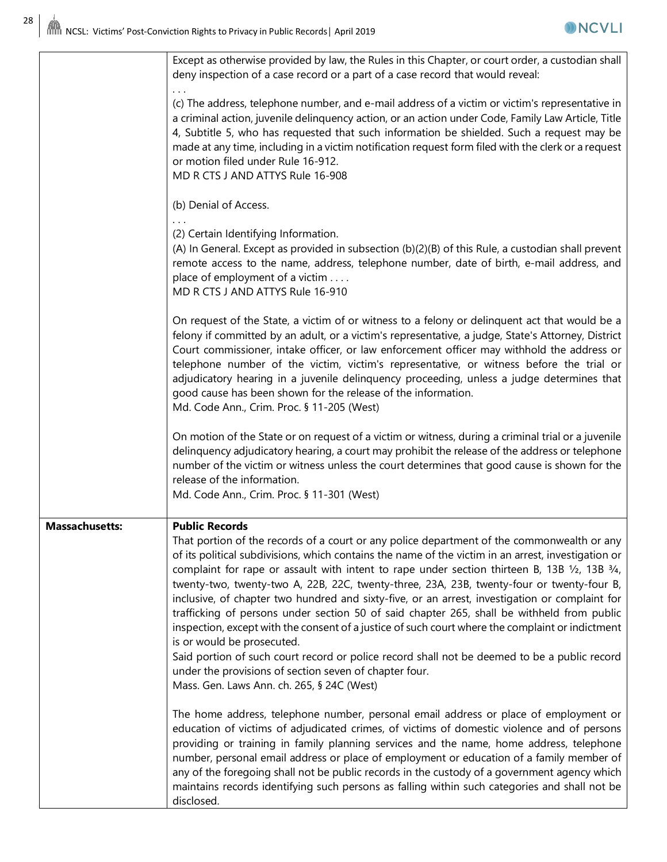

|                       | Except as otherwise provided by law, the Rules in this Chapter, or court order, a custodian shall<br>deny inspection of a case record or a part of a case record that would reveal:                                                                                                                                                                                                                                                                                                                                                                                                                                                                                                                                                                                                                                                                                                                                                                                      |
|-----------------------|--------------------------------------------------------------------------------------------------------------------------------------------------------------------------------------------------------------------------------------------------------------------------------------------------------------------------------------------------------------------------------------------------------------------------------------------------------------------------------------------------------------------------------------------------------------------------------------------------------------------------------------------------------------------------------------------------------------------------------------------------------------------------------------------------------------------------------------------------------------------------------------------------------------------------------------------------------------------------|
|                       | (c) The address, telephone number, and e-mail address of a victim or victim's representative in<br>a criminal action, juvenile delinquency action, or an action under Code, Family Law Article, Title<br>4, Subtitle 5, who has requested that such information be shielded. Such a request may be<br>made at any time, including in a victim notification request form filed with the clerk or a request<br>or motion filed under Rule 16-912.<br>MD R CTS J AND ATTYS Rule 16-908                                                                                                                                                                                                                                                                                                                                                                                                                                                                                      |
|                       | (b) Denial of Access.                                                                                                                                                                                                                                                                                                                                                                                                                                                                                                                                                                                                                                                                                                                                                                                                                                                                                                                                                    |
|                       | (2) Certain Identifying Information.<br>(A) In General. Except as provided in subsection (b)(2)(B) of this Rule, a custodian shall prevent<br>remote access to the name, address, telephone number, date of birth, e-mail address, and<br>place of employment of a victim<br>MD R CTS J AND ATTYS Rule 16-910                                                                                                                                                                                                                                                                                                                                                                                                                                                                                                                                                                                                                                                            |
|                       | On request of the State, a victim of or witness to a felony or delinquent act that would be a<br>felony if committed by an adult, or a victim's representative, a judge, State's Attorney, District<br>Court commissioner, intake officer, or law enforcement officer may withhold the address or<br>telephone number of the victim, victim's representative, or witness before the trial or<br>adjudicatory hearing in a juvenile delinquency proceeding, unless a judge determines that<br>good cause has been shown for the release of the information.<br>Md. Code Ann., Crim. Proc. § 11-205 (West)                                                                                                                                                                                                                                                                                                                                                                 |
|                       | On motion of the State or on request of a victim or witness, during a criminal trial or a juvenile<br>delinquency adjudicatory hearing, a court may prohibit the release of the address or telephone<br>number of the victim or witness unless the court determines that good cause is shown for the<br>release of the information.<br>Md. Code Ann., Crim. Proc. § 11-301 (West)                                                                                                                                                                                                                                                                                                                                                                                                                                                                                                                                                                                        |
| <b>Massachusetts:</b> | <b>Public Records</b><br>That portion of the records of a court or any police department of the commonwealth or any<br>of its political subdivisions, which contains the name of the victim in an arrest, investigation or<br>complaint for rape or assault with intent to rape under section thirteen B, 13B $1/2$ , 13B $3/4$ ,<br>twenty-two, twenty-two A, 22B, 22C, twenty-three, 23A, 23B, twenty-four or twenty-four B,<br>inclusive, of chapter two hundred and sixty-five, or an arrest, investigation or complaint for<br>trafficking of persons under section 50 of said chapter 265, shall be withheld from public<br>inspection, except with the consent of a justice of such court where the complaint or indictment<br>is or would be prosecuted.<br>Said portion of such court record or police record shall not be deemed to be a public record<br>under the provisions of section seven of chapter four.<br>Mass. Gen. Laws Ann. ch. 265, § 24C (West) |
|                       | The home address, telephone number, personal email address or place of employment or<br>education of victims of adjudicated crimes, of victims of domestic violence and of persons<br>providing or training in family planning services and the name, home address, telephone<br>number, personal email address or place of employment or education of a family member of<br>any of the foregoing shall not be public records in the custody of a government agency which<br>maintains records identifying such persons as falling within such categories and shall not be<br>disclosed.                                                                                                                                                                                                                                                                                                                                                                                 |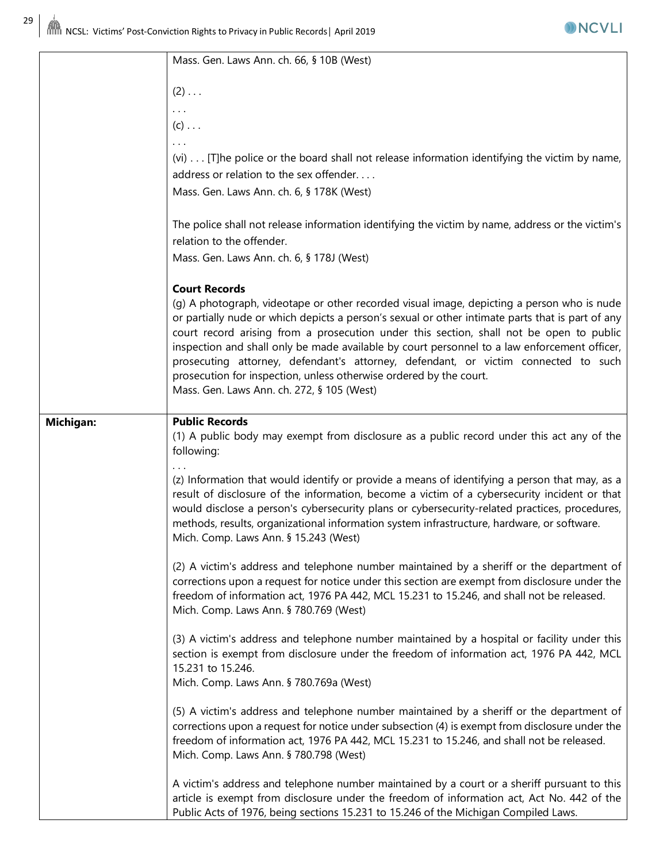

|                  | Mass. Gen. Laws Ann. ch. 66, § 10B (West)                                                                                                                                                                                                                                                                                                                                                                                                                                                                                                                                                           |
|------------------|-----------------------------------------------------------------------------------------------------------------------------------------------------------------------------------------------------------------------------------------------------------------------------------------------------------------------------------------------------------------------------------------------------------------------------------------------------------------------------------------------------------------------------------------------------------------------------------------------------|
|                  | $(2) \ldots$                                                                                                                                                                                                                                                                                                                                                                                                                                                                                                                                                                                        |
|                  | $\ddots$ .                                                                                                                                                                                                                                                                                                                                                                                                                                                                                                                                                                                          |
|                  | $(C)$                                                                                                                                                                                                                                                                                                                                                                                                                                                                                                                                                                                               |
|                  | (vi) [T] he police or the board shall not release information identifying the victim by name,                                                                                                                                                                                                                                                                                                                                                                                                                                                                                                       |
|                  | address or relation to the sex offender                                                                                                                                                                                                                                                                                                                                                                                                                                                                                                                                                             |
|                  | Mass. Gen. Laws Ann. ch. 6, § 178K (West)                                                                                                                                                                                                                                                                                                                                                                                                                                                                                                                                                           |
|                  | The police shall not release information identifying the victim by name, address or the victim's                                                                                                                                                                                                                                                                                                                                                                                                                                                                                                    |
|                  | relation to the offender.                                                                                                                                                                                                                                                                                                                                                                                                                                                                                                                                                                           |
|                  | Mass. Gen. Laws Ann. ch. 6, § 178J (West)                                                                                                                                                                                                                                                                                                                                                                                                                                                                                                                                                           |
|                  | <b>Court Records</b>                                                                                                                                                                                                                                                                                                                                                                                                                                                                                                                                                                                |
|                  | (q) A photograph, videotape or other recorded visual image, depicting a person who is nude<br>or partially nude or which depicts a person's sexual or other intimate parts that is part of any<br>court record arising from a prosecution under this section, shall not be open to public<br>inspection and shall only be made available by court personnel to a law enforcement officer,<br>prosecuting attorney, defendant's attorney, defendant, or victim connected to such<br>prosecution for inspection, unless otherwise ordered by the court.<br>Mass. Gen. Laws Ann. ch. 272, § 105 (West) |
| <b>Michigan:</b> | <b>Public Records</b>                                                                                                                                                                                                                                                                                                                                                                                                                                                                                                                                                                               |
|                  | (1) A public body may exempt from disclosure as a public record under this act any of the<br>following:                                                                                                                                                                                                                                                                                                                                                                                                                                                                                             |
|                  | (z) Information that would identify or provide a means of identifying a person that may, as a<br>result of disclosure of the information, become a victim of a cybersecurity incident or that<br>would disclose a person's cybersecurity plans or cybersecurity-related practices, procedures,<br>methods, results, organizational information system infrastructure, hardware, or software.<br>Mich. Comp. Laws Ann. § 15.243 (West)                                                                                                                                                               |
|                  | (2) A victim's address and telephone number maintained by a sheriff or the department of<br>corrections upon a request for notice under this section are exempt from disclosure under the<br>freedom of information act, 1976 PA 442, MCL 15.231 to 15.246, and shall not be released.<br>Mich. Comp. Laws Ann. § 780.769 (West)                                                                                                                                                                                                                                                                    |
|                  | (3) A victim's address and telephone number maintained by a hospital or facility under this<br>section is exempt from disclosure under the freedom of information act, 1976 PA 442, MCL<br>15.231 to 15.246.<br>Mich. Comp. Laws Ann. § 780.769a (West)                                                                                                                                                                                                                                                                                                                                             |
|                  | (5) A victim's address and telephone number maintained by a sheriff or the department of<br>corrections upon a request for notice under subsection (4) is exempt from disclosure under the<br>freedom of information act, 1976 PA 442, MCL 15.231 to 15.246, and shall not be released.<br>Mich. Comp. Laws Ann. § 780.798 (West)                                                                                                                                                                                                                                                                   |
|                  | A victim's address and telephone number maintained by a court or a sheriff pursuant to this<br>article is exempt from disclosure under the freedom of information act, Act No. 442 of the<br>Public Acts of 1976, being sections 15.231 to 15.246 of the Michigan Compiled Laws.                                                                                                                                                                                                                                                                                                                    |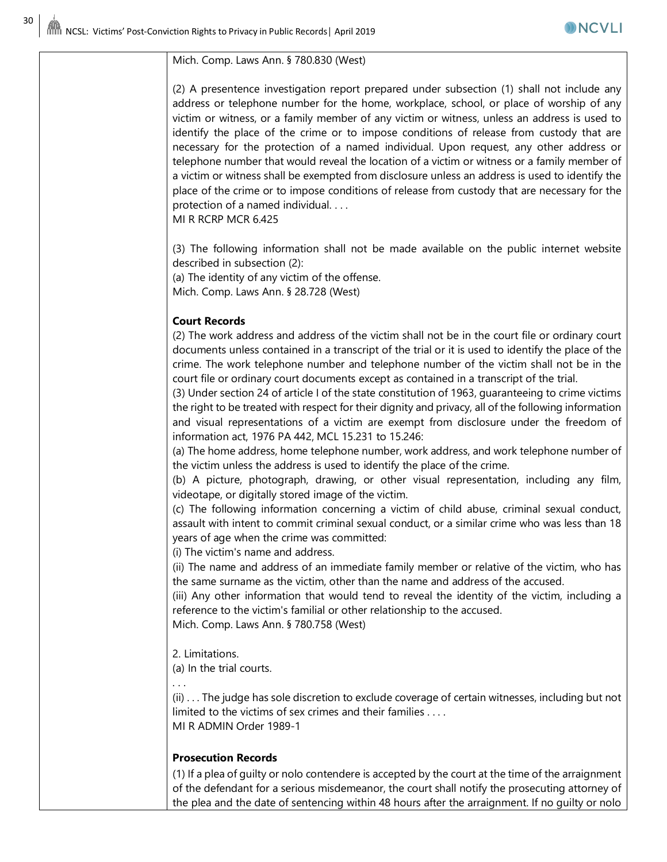

#### Mich. Comp. Laws Ann. § 780.830 (West)

(2) A presentence investigation report prepared under subsection (1) shall not include any address or telephone number for the home, workplace, school, or place of worship of any victim or witness, or a family member of any victim or witness, unless an address is used to identify the place of the crime or to impose conditions of release from custody that are necessary for the protection of a named individual. Upon request, any other address or telephone number that would reveal the location of a victim or witness or a family member of a victim or witness shall be exempted from disclosure unless an address is used to identify the place of the crime or to impose conditions of release from custody that are necessary for the protection of a named individual. . . .

MI R RCRP MCR 6.425

(3) The following information shall not be made available on the public internet website described in subsection (2):

(a) The identity of any victim of the offense.

Mich. Comp. Laws Ann. § 28.728 (West)

#### **Court Records**

(2) The work address and address of the victim shall not be in the court file or ordinary court documents unless contained in a transcript of the trial or it is used to identify the place of the crime. The work telephone number and telephone number of the victim shall not be in the court file or ordinary court documents except as contained in a transcript of the trial.

(3) Under section 24 of article I of the state constitution of 1963, guaranteeing to crime victims the right to be treated with respect for their dignity and privacy, all of the following information and visual representations of a victim are exempt from disclosure under the freedom of information act, 1976 PA 442, MCL 15.231 to 15.246:

(a) The home address, home telephone number, work address, and work telephone number of the victim unless the address is used to identify the place of the crime.

(b) A picture, photograph, drawing, or other visual representation, including any film, videotape, or digitally stored image of the victim.

(c) The following information concerning a victim of child abuse, criminal sexual conduct, assault with intent to commit criminal sexual conduct, or a similar crime who was less than 18 years of age when the crime was committed:

(i) The victim's name and address.

(ii) The name and address of an immediate family member or relative of the victim, who has the same surname as the victim, other than the name and address of the accused.

(iii) Any other information that would tend to reveal the identity of the victim, including a reference to the victim's familial or other relationship to the accused.

Mich. Comp. Laws Ann. § 780.758 (West)

2. Limitations.

(a) In the trial courts.

. . .

(ii) . . . The judge has sole discretion to exclude coverage of certain witnesses, including but not limited to the victims of sex crimes and their families . . . . MI R ADMIN Order 1989-1

#### **Prosecution Records**

(1) If a plea of guilty or nolo contendere is accepted by the court at the time of the arraignment of the defendant for a serious misdemeanor, the court shall notify the prosecuting attorney of the plea and the date of sentencing within 48 hours after the arraignment. If no guilty or nolo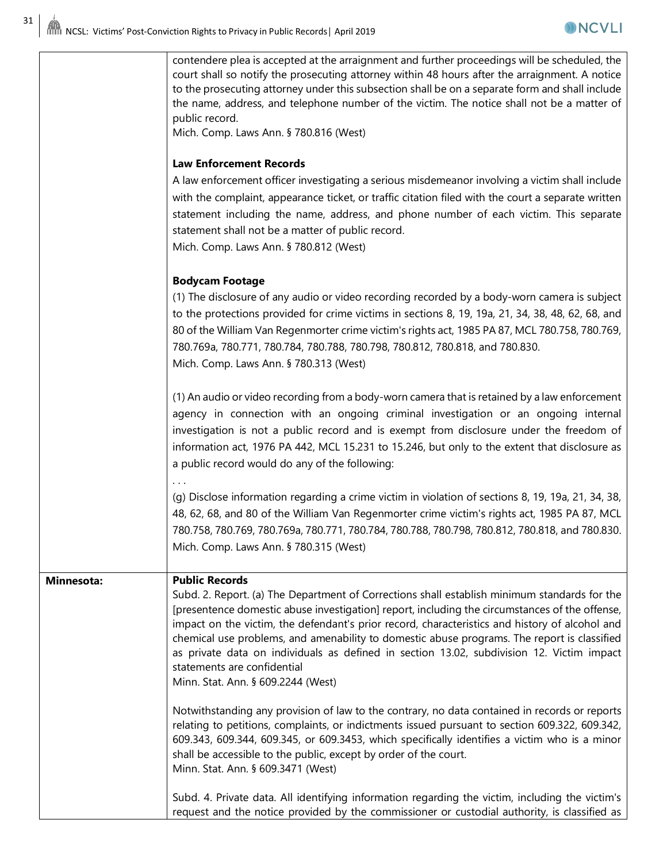

|                   | contendere plea is accepted at the arraignment and further proceedings will be scheduled, the<br>court shall so notify the prosecuting attorney within 48 hours after the arraignment. A notice<br>to the prosecuting attorney under this subsection shall be on a separate form and shall include<br>the name, address, and telephone number of the victim. The notice shall not be a matter of<br>public record.<br>Mich. Comp. Laws Ann. § 780.816 (West)                                                                                                                               |
|-------------------|--------------------------------------------------------------------------------------------------------------------------------------------------------------------------------------------------------------------------------------------------------------------------------------------------------------------------------------------------------------------------------------------------------------------------------------------------------------------------------------------------------------------------------------------------------------------------------------------|
|                   | <b>Law Enforcement Records</b>                                                                                                                                                                                                                                                                                                                                                                                                                                                                                                                                                             |
|                   | A law enforcement officer investigating a serious misdemeanor involving a victim shall include<br>with the complaint, appearance ticket, or traffic citation filed with the court a separate written<br>statement including the name, address, and phone number of each victim. This separate<br>statement shall not be a matter of public record.<br>Mich. Comp. Laws Ann. § 780.812 (West)                                                                                                                                                                                               |
|                   | <b>Bodycam Footage</b>                                                                                                                                                                                                                                                                                                                                                                                                                                                                                                                                                                     |
|                   | (1) The disclosure of any audio or video recording recorded by a body-worn camera is subject<br>to the protections provided for crime victims in sections 8, 19, 19a, 21, 34, 38, 48, 62, 68, and<br>80 of the William Van Regenmorter crime victim's rights act, 1985 PA 87, MCL 780.758, 780.769,<br>780.769a, 780.771, 780.784, 780.788, 780.798, 780.812, 780.818, and 780.830.<br>Mich. Comp. Laws Ann. § 780.313 (West)                                                                                                                                                              |
|                   | (1) An audio or video recording from a body-worn camera that is retained by a law enforcement<br>agency in connection with an ongoing criminal investigation or an ongoing internal<br>investigation is not a public record and is exempt from disclosure under the freedom of<br>information act, 1976 PA 442, MCL 15.231 to 15.246, but only to the extent that disclosure as<br>a public record would do any of the following:                                                                                                                                                          |
|                   | (g) Disclose information regarding a crime victim in violation of sections 8, 19, 19a, 21, 34, 38,<br>48, 62, 68, and 80 of the William Van Regenmorter crime victim's rights act, 1985 PA 87, MCL<br>780.758, 780.769, 780.769a, 780.771, 780.784, 780.788, 780.798, 780.812, 780.818, and 780.830.<br>Mich. Comp. Laws Ann. § 780.315 (West)                                                                                                                                                                                                                                             |
| <b>Minnesota:</b> | <b>Public Records</b><br>Subd. 2. Report. (a) The Department of Corrections shall establish minimum standards for the<br>[presentence domestic abuse investigation] report, including the circumstances of the offense,<br>impact on the victim, the defendant's prior record, characteristics and history of alcohol and<br>chemical use problems, and amenability to domestic abuse programs. The report is classified<br>as private data on individuals as defined in section 13.02, subdivision 12. Victim impact<br>statements are confidential<br>Minn. Stat. Ann. § 609.2244 (West) |
|                   | Notwithstanding any provision of law to the contrary, no data contained in records or reports<br>relating to petitions, complaints, or indictments issued pursuant to section 609.322, 609.342,<br>609.343, 609.344, 609.345, or 609.3453, which specifically identifies a victim who is a minor<br>shall be accessible to the public, except by order of the court.<br>Minn. Stat. Ann. § 609.3471 (West)                                                                                                                                                                                 |
|                   | Subd. 4. Private data. All identifying information regarding the victim, including the victim's<br>request and the notice provided by the commissioner or custodial authority, is classified as                                                                                                                                                                                                                                                                                                                                                                                            |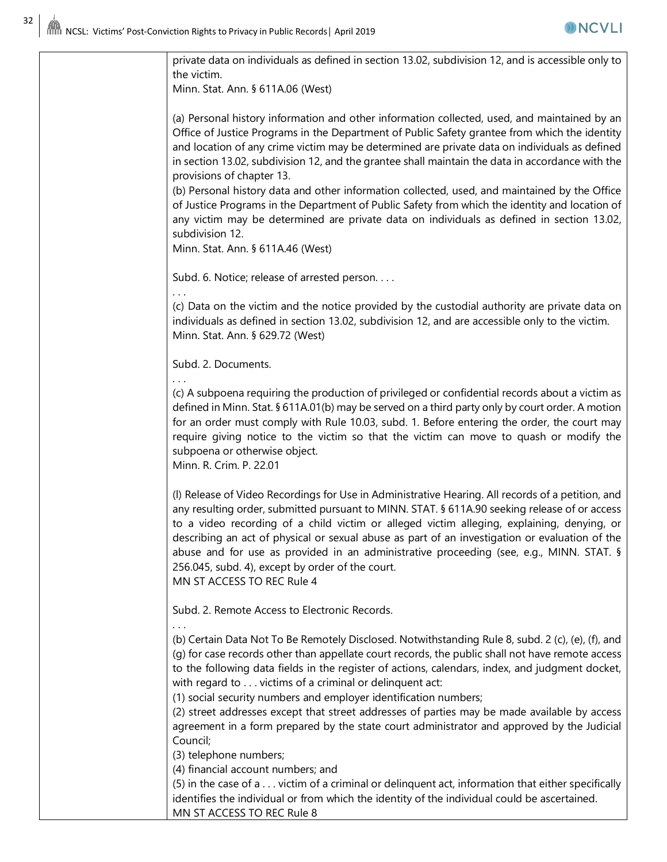

| private data on individuals as defined in section 13.02, subdivision 12, and is accessible only to<br>the victim.                                                                                                                                                                                                                                                                                                                                                                                                                                                                                                                                 |
|---------------------------------------------------------------------------------------------------------------------------------------------------------------------------------------------------------------------------------------------------------------------------------------------------------------------------------------------------------------------------------------------------------------------------------------------------------------------------------------------------------------------------------------------------------------------------------------------------------------------------------------------------|
| Minn. Stat. Ann. § 611A.06 (West)                                                                                                                                                                                                                                                                                                                                                                                                                                                                                                                                                                                                                 |
| (a) Personal history information and other information collected, used, and maintained by an<br>Office of Justice Programs in the Department of Public Safety grantee from which the identity<br>and location of any crime victim may be determined are private data on individuals as defined<br>in section 13.02, subdivision 12, and the grantee shall maintain the data in accordance with the<br>provisions of chapter 13.                                                                                                                                                                                                                   |
| (b) Personal history data and other information collected, used, and maintained by the Office<br>of Justice Programs in the Department of Public Safety from which the identity and location of<br>any victim may be determined are private data on individuals as defined in section 13.02,<br>subdivision 12.                                                                                                                                                                                                                                                                                                                                   |
| Minn. Stat. Ann. § 611A.46 (West)                                                                                                                                                                                                                                                                                                                                                                                                                                                                                                                                                                                                                 |
| Subd. 6. Notice; release of arrested person.                                                                                                                                                                                                                                                                                                                                                                                                                                                                                                                                                                                                      |
| (c) Data on the victim and the notice provided by the custodial authority are private data on<br>individuals as defined in section 13.02, subdivision 12, and are accessible only to the victim.<br>Minn. Stat. Ann. § 629.72 (West)                                                                                                                                                                                                                                                                                                                                                                                                              |
| Subd. 2. Documents.                                                                                                                                                                                                                                                                                                                                                                                                                                                                                                                                                                                                                               |
| (c) A subpoena requiring the production of privileged or confidential records about a victim as<br>defined in Minn. Stat. § 611A.01(b) may be served on a third party only by court order. A motion<br>for an order must comply with Rule 10.03, subd. 1. Before entering the order, the court may<br>require giving notice to the victim so that the victim can move to quash or modify the<br>subpoena or otherwise object.<br>Minn. R. Crim. P. 22.01                                                                                                                                                                                          |
| (I) Release of Video Recordings for Use in Administrative Hearing. All records of a petition, and<br>any resulting order, submitted pursuant to MINN. STAT. § 611A.90 seeking release of or access<br>to a video recording of a child victim or alleged victim alleging, explaining, denying, or<br>describing an act of physical or sexual abuse as part of an investigation or evaluation of the<br>abuse and for use as provided in an administrative proceeding (see, e.g., MINN. STAT. §<br>256.045, subd. 4), except by order of the court.<br>MN ST ACCESS TO REC Rule 4                                                                   |
| Subd. 2. Remote Access to Electronic Records.                                                                                                                                                                                                                                                                                                                                                                                                                                                                                                                                                                                                     |
| (b) Certain Data Not To Be Remotely Disclosed. Notwithstanding Rule 8, subd. 2 (c), (e), (f), and<br>(g) for case records other than appellate court records, the public shall not have remote access<br>to the following data fields in the register of actions, calendars, index, and judgment docket,<br>with regard to victims of a criminal or delinquent act:<br>(1) social security numbers and employer identification numbers;<br>(2) street addresses except that street addresses of parties may be made available by access<br>agreement in a form prepared by the state court administrator and approved by the Judicial<br>Council; |
| (3) telephone numbers;<br>(4) financial account numbers; and<br>(5) in the case of a victim of a criminal or delinguent act, information that either specifically<br>identifies the individual or from which the identity of the individual could be ascertained.<br>MN ST ACCESS TO REC Rule 8                                                                                                                                                                                                                                                                                                                                                   |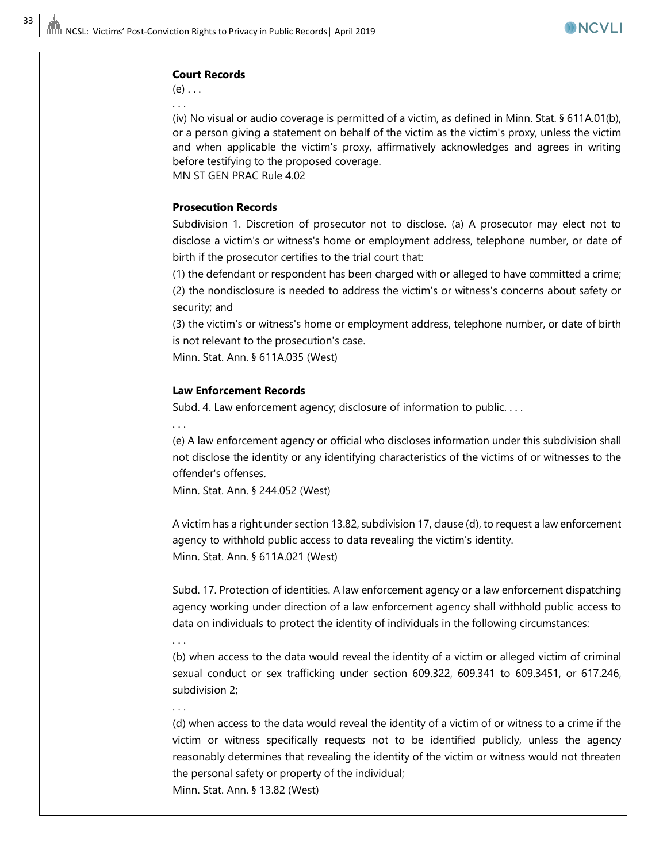

## **Court Records**

 $(e)$  . . .

. . . (iv) No visual or audio coverage is permitted of a victim, as defined in Minn. Stat. § 611A.01(b), or a person giving a statement on behalf of the victim as the victim's proxy, unless the victim and when applicable the victim's proxy, affirmatively acknowledges and agrees in writing before testifying to the proposed coverage. MN ST GEN PRAC Rule 4.02

## **Prosecution Records**

Subdivision 1. Discretion of prosecutor not to disclose. (a) A prosecutor may elect not to disclose a victim's or witness's home or employment address, telephone number, or date of birth if the prosecutor certifies to the trial court that:

(1) the defendant or respondent has been charged with or alleged to have committed a crime; (2) the nondisclosure is needed to address the victim's or witness's concerns about safety or security; and

(3) the victim's or witness's home or employment address, telephone number, or date of birth is not relevant to the prosecution's case.

Minn. Stat. Ann. § 611A.035 (West)

## **Law Enforcement Records**

Subd. 4. Law enforcement agency; disclosure of information to public. . . .

. . .

(e) A law enforcement agency or official who discloses information under this subdivision shall not disclose the identity or any identifying characteristics of the victims of or witnesses to the offender's offenses.

Minn. Stat. Ann. § 244.052 (West)

A victim has a right under section 13.82, subdivision 17, clause (d), to request a law enforcement agency to withhold public access to data revealing the victim's identity. Minn. Stat. Ann. § 611A.021 (West)

Subd. 17. Protection of identities. A law enforcement agency or a law enforcement dispatching agency working under direction of a law enforcement agency shall withhold public access to data on individuals to protect the identity of individuals in the following circumstances:

. . .

(b) when access to the data would reveal the identity of a victim or alleged victim of criminal sexual conduct or sex trafficking under section 609.322, 609.341 to 609.3451, or 617.246, subdivision 2;

. . .

(d) when access to the data would reveal the identity of a victim of or witness to a crime if the victim or witness specifically requests not to be identified publicly, unless the agency reasonably determines that revealing the identity of the victim or witness would not threaten the personal safety or property of the individual; Minn. Stat. Ann. § 13.82 (West)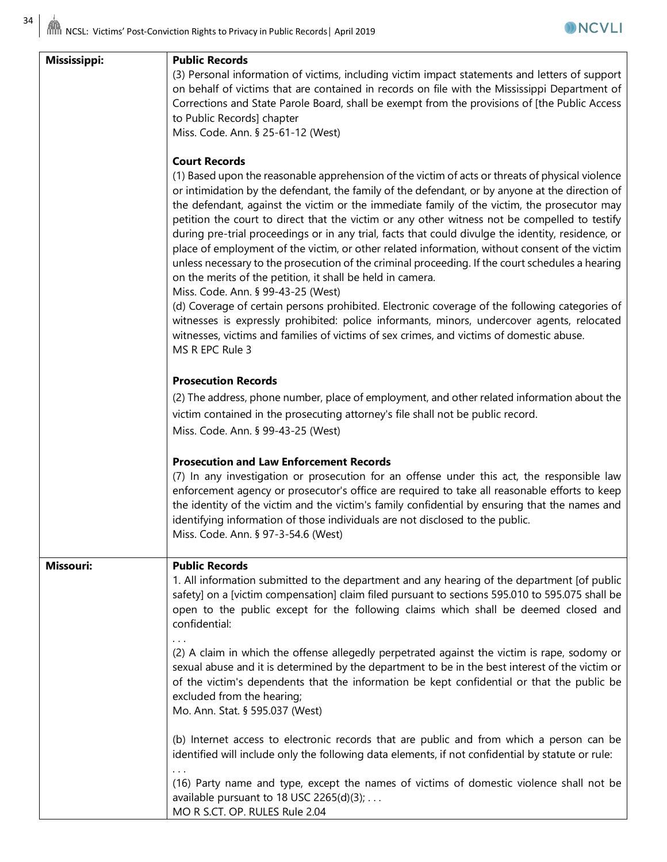

| Mississippi:     | <b>Public Records</b><br>(3) Personal information of victims, including victim impact statements and letters of support<br>on behalf of victims that are contained in records on file with the Mississippi Department of<br>Corrections and State Parole Board, shall be exempt from the provisions of [the Public Access<br>to Public Records] chapter<br>Miss. Code. Ann. § 25-61-12 (West)                                                                                                                                                                                                                                                                                                                                                                                                                                                                                                                                                                                                                                                                                                                                                              |
|------------------|------------------------------------------------------------------------------------------------------------------------------------------------------------------------------------------------------------------------------------------------------------------------------------------------------------------------------------------------------------------------------------------------------------------------------------------------------------------------------------------------------------------------------------------------------------------------------------------------------------------------------------------------------------------------------------------------------------------------------------------------------------------------------------------------------------------------------------------------------------------------------------------------------------------------------------------------------------------------------------------------------------------------------------------------------------------------------------------------------------------------------------------------------------|
|                  | <b>Court Records</b><br>(1) Based upon the reasonable apprehension of the victim of acts or threats of physical violence<br>or intimidation by the defendant, the family of the defendant, or by anyone at the direction of<br>the defendant, against the victim or the immediate family of the victim, the prosecutor may<br>petition the court to direct that the victim or any other witness not be compelled to testify<br>during pre-trial proceedings or in any trial, facts that could divulge the identity, residence, or<br>place of employment of the victim, or other related information, without consent of the victim<br>unless necessary to the prosecution of the criminal proceeding. If the court schedules a hearing<br>on the merits of the petition, it shall be held in camera.<br>Miss. Code. Ann. § 99-43-25 (West)<br>(d) Coverage of certain persons prohibited. Electronic coverage of the following categories of<br>witnesses is expressly prohibited: police informants, minors, undercover agents, relocated<br>witnesses, victims and families of victims of sex crimes, and victims of domestic abuse.<br>MS R EPC Rule 3 |
|                  | <b>Prosecution Records</b><br>(2) The address, phone number, place of employment, and other related information about the<br>victim contained in the prosecuting attorney's file shall not be public record.<br>Miss. Code. Ann. § 99-43-25 (West)                                                                                                                                                                                                                                                                                                                                                                                                                                                                                                                                                                                                                                                                                                                                                                                                                                                                                                         |
|                  | <b>Prosecution and Law Enforcement Records</b><br>(7) In any investigation or prosecution for an offense under this act, the responsible law<br>enforcement agency or prosecutor's office are required to take all reasonable efforts to keep<br>the identity of the victim and the victim's family confidential by ensuring that the names and<br>identifying information of those individuals are not disclosed to the public.<br>Miss. Code. Ann. § 97-3-54.6 (West)                                                                                                                                                                                                                                                                                                                                                                                                                                                                                                                                                                                                                                                                                    |
| <b>Missouri:</b> | <b>Public Records</b><br>1. All information submitted to the department and any hearing of the department [of public<br>safety] on a [victim compensation] claim filed pursuant to sections 595.010 to 595.075 shall be<br>open to the public except for the following claims which shall be deemed closed and<br>confidential:                                                                                                                                                                                                                                                                                                                                                                                                                                                                                                                                                                                                                                                                                                                                                                                                                            |
|                  | (2) A claim in which the offense allegedly perpetrated against the victim is rape, sodomy or<br>sexual abuse and it is determined by the department to be in the best interest of the victim or<br>of the victim's dependents that the information be kept confidential or that the public be<br>excluded from the hearing;<br>Mo. Ann. Stat. § 595.037 (West)                                                                                                                                                                                                                                                                                                                                                                                                                                                                                                                                                                                                                                                                                                                                                                                             |
|                  | (b) Internet access to electronic records that are public and from which a person can be<br>identified will include only the following data elements, if not confidential by statute or rule:                                                                                                                                                                                                                                                                                                                                                                                                                                                                                                                                                                                                                                                                                                                                                                                                                                                                                                                                                              |
|                  | (16) Party name and type, except the names of victims of domestic violence shall not be<br>available pursuant to 18 USC 2265(d)(3);<br>MO R S.CT. OP. RULES Rule 2.04                                                                                                                                                                                                                                                                                                                                                                                                                                                                                                                                                                                                                                                                                                                                                                                                                                                                                                                                                                                      |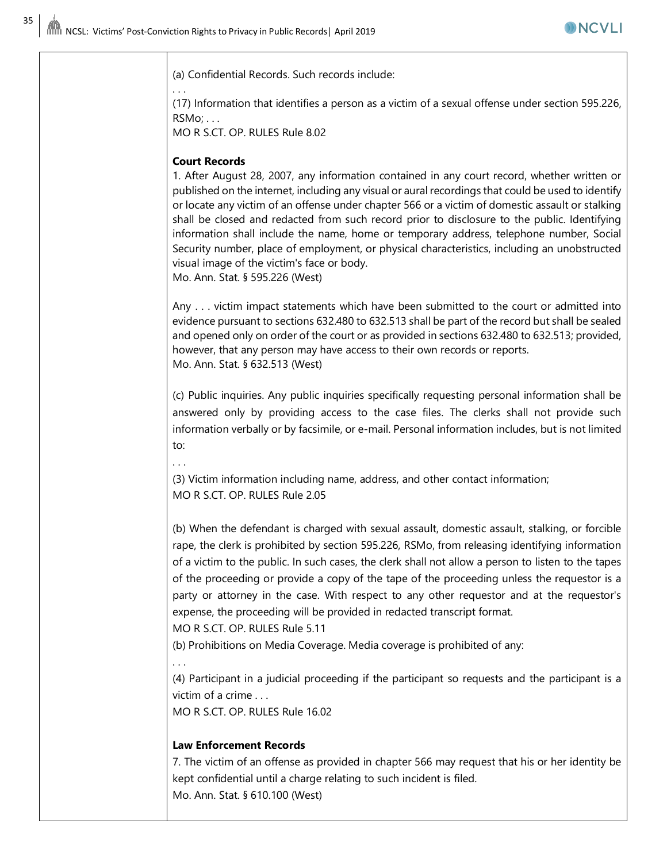

(a) Confidential Records. Such records include:

. . . (17) Information that identifies a person as a victim of a sexual offense under section 595.226, RSMo; . . .

MO R S.CT. OP. RULES Rule 8.02

## **Court Records**

. . .

. . .

1. After August 28, 2007, any information contained in any court record, whether written or published on the internet, including any visual or aural recordings that could be used to identify or locate any victim of an offense under chapter 566 or a victim of domestic assault or stalking shall be closed and redacted from such record prior to disclosure to the public. Identifying information shall include the name, home or temporary address, telephone number, Social Security number, place of employment, or physical characteristics, including an unobstructed visual image of the victim's face or body.

Mo. Ann. Stat. § 595.226 (West)

Any . . . victim impact statements which have been submitted to the court or admitted into evidence pursuant to sections 632.480 to 632.513 shall be part of the record but shall be sealed and opened only on order of the court or as provided in sections 632.480 to 632.513; provided, however, that any person may have access to their own records or reports. Mo. Ann. Stat. § 632.513 (West)

(c) Public inquiries. Any public inquiries specifically requesting personal information shall be answered only by providing access to the case files. The clerks shall not provide such information verbally or by facsimile, or e-mail. Personal information includes, but is not limited to:

(3) Victim information including name, address, and other contact information; MO R S.CT. OP. RULES Rule 2.05

(b) When the defendant is charged with sexual assault, domestic assault, stalking, or forcible rape, the clerk is prohibited by section 595.226, RSMo, from releasing identifying information of a victim to the public. In such cases, the clerk shall not allow a person to listen to the tapes of the proceeding or provide a copy of the tape of the proceeding unless the requestor is a party or attorney in the case. With respect to any other requestor and at the requestor's expense, the proceeding will be provided in redacted transcript format.

MO R S.CT. OP. RULES Rule 5.11

(b) Prohibitions on Media Coverage. Media coverage is prohibited of any:

(4) Participant in a judicial proceeding if the participant so requests and the participant is a victim of a crime . . .

MO R S.CT. OP. RULES Rule 16.02

## **Law Enforcement Records**

7. The victim of an offense as provided in chapter 566 may request that his or her identity be kept confidential until a charge relating to such incident is filed. Mo. Ann. Stat. § 610.100 (West)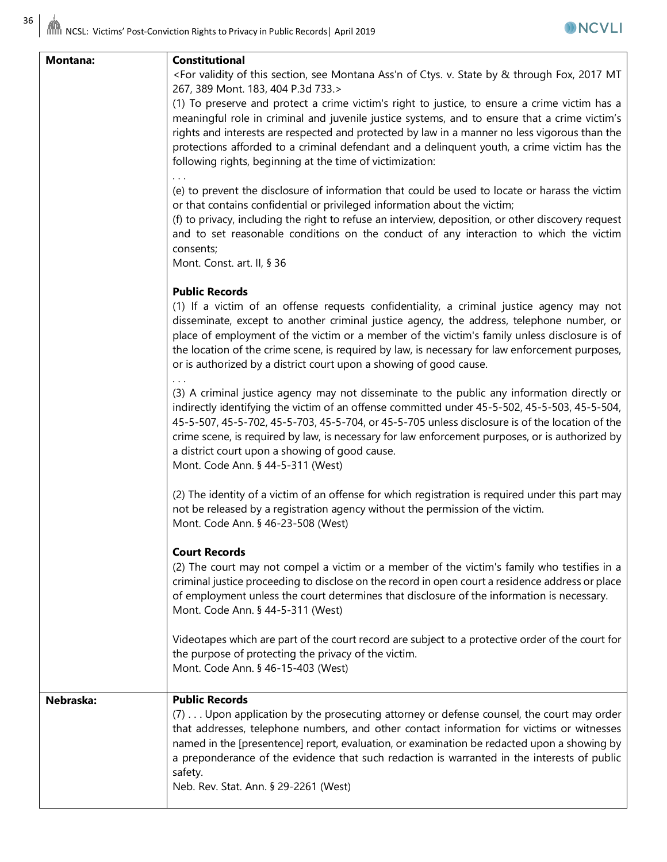

| <b>Montana:</b> | <b>Constitutional</b><br><for &="" 2017="" ass'n="" by="" ctys.="" fox,="" montana="" mt<br="" of="" section,="" see="" state="" this="" through="" v.="" validity="">267, 389 Mont. 183, 404 P.3d 733.&gt;<br/>(1) To preserve and protect a crime victim's right to justice, to ensure a crime victim has a<br/>meaningful role in criminal and juvenile justice systems, and to ensure that a crime victim's<br/>rights and interests are respected and protected by law in a manner no less vigorous than the<br/>protections afforded to a criminal defendant and a delinquent youth, a crime victim has the<br/>following rights, beginning at the time of victimization:<br/>(e) to prevent the disclosure of information that could be used to locate or harass the victim</for> |
|-----------------|------------------------------------------------------------------------------------------------------------------------------------------------------------------------------------------------------------------------------------------------------------------------------------------------------------------------------------------------------------------------------------------------------------------------------------------------------------------------------------------------------------------------------------------------------------------------------------------------------------------------------------------------------------------------------------------------------------------------------------------------------------------------------------------|
|                 | or that contains confidential or privileged information about the victim;<br>(f) to privacy, including the right to refuse an interview, deposition, or other discovery request<br>and to set reasonable conditions on the conduct of any interaction to which the victim<br>consents;<br>Mont. Const. art. II, § 36                                                                                                                                                                                                                                                                                                                                                                                                                                                                     |
|                 | <b>Public Records</b>                                                                                                                                                                                                                                                                                                                                                                                                                                                                                                                                                                                                                                                                                                                                                                    |
|                 | (1) If a victim of an offense requests confidentiality, a criminal justice agency may not<br>disseminate, except to another criminal justice agency, the address, telephone number, or<br>place of employment of the victim or a member of the victim's family unless disclosure is of<br>the location of the crime scene, is required by law, is necessary for law enforcement purposes,<br>or is authorized by a district court upon a showing of good cause.                                                                                                                                                                                                                                                                                                                          |
|                 | (3) A criminal justice agency may not disseminate to the public any information directly or<br>indirectly identifying the victim of an offense committed under 45-5-502, 45-5-503, 45-5-504,<br>45-5-507, 45-5-702, 45-5-703, 45-5-704, or 45-5-705 unless disclosure is of the location of the<br>crime scene, is required by law, is necessary for law enforcement purposes, or is authorized by<br>a district court upon a showing of good cause.<br>Mont. Code Ann. § 44-5-311 (West)                                                                                                                                                                                                                                                                                                |
|                 | (2) The identity of a victim of an offense for which registration is required under this part may<br>not be released by a registration agency without the permission of the victim.<br>Mont. Code Ann. § 46-23-508 (West)                                                                                                                                                                                                                                                                                                                                                                                                                                                                                                                                                                |
|                 | <b>Court Records</b>                                                                                                                                                                                                                                                                                                                                                                                                                                                                                                                                                                                                                                                                                                                                                                     |
|                 | (2) The court may not compel a victim or a member of the victim's family who testifies in a<br>criminal justice proceeding to disclose on the record in open court a residence address or place<br>of employment unless the court determines that disclosure of the information is necessary.<br>Mont. Code Ann. § 44-5-311 (West)                                                                                                                                                                                                                                                                                                                                                                                                                                                       |
|                 | Videotapes which are part of the court record are subject to a protective order of the court for<br>the purpose of protecting the privacy of the victim.<br>Mont. Code Ann. § 46-15-403 (West)                                                                                                                                                                                                                                                                                                                                                                                                                                                                                                                                                                                           |
| Nebraska:       | <b>Public Records</b>                                                                                                                                                                                                                                                                                                                                                                                                                                                                                                                                                                                                                                                                                                                                                                    |
|                 | (7) Upon application by the prosecuting attorney or defense counsel, the court may order<br>that addresses, telephone numbers, and other contact information for victims or witnesses<br>named in the [presentence] report, evaluation, or examination be redacted upon a showing by<br>a preponderance of the evidence that such redaction is warranted in the interests of public<br>safety.                                                                                                                                                                                                                                                                                                                                                                                           |
|                 | Neb. Rev. Stat. Ann. § 29-2261 (West)                                                                                                                                                                                                                                                                                                                                                                                                                                                                                                                                                                                                                                                                                                                                                    |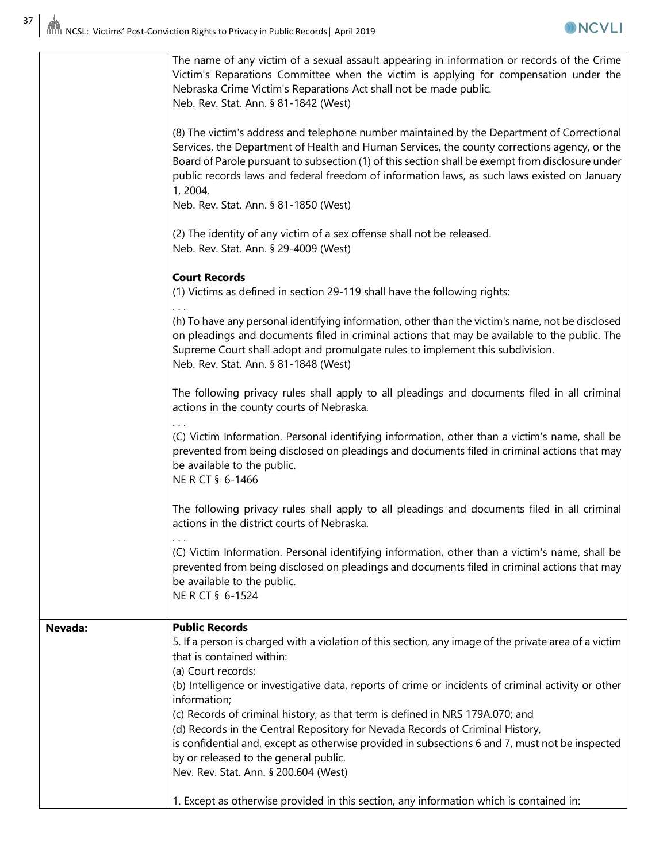

|         | (c) Records of criminal history, as that term is defined in NRS 179A.070; and<br>(d) Records in the Central Repository for Nevada Records of Criminal History,<br>is confidential and, except as otherwise provided in subsections 6 and 7, must not be inspected<br>by or released to the general public.<br>Nev. Rev. Stat. Ann. § 200.604 (West)                                            |
|---------|------------------------------------------------------------------------------------------------------------------------------------------------------------------------------------------------------------------------------------------------------------------------------------------------------------------------------------------------------------------------------------------------|
|         | 5. If a person is charged with a violation of this section, any image of the private area of a victim<br>that is contained within:<br>(a) Court records;<br>(b) Intelligence or investigative data, reports of crime or incidents of criminal activity or other<br>information;                                                                                                                |
| Nevada: | (C) Victim Information. Personal identifying information, other than a victim's name, shall be<br>prevented from being disclosed on pleadings and documents filed in criminal actions that may<br>be available to the public.<br>NE R CT § 6-1524<br><b>Public Records</b>                                                                                                                     |
|         | The following privacy rules shall apply to all pleadings and documents filed in all criminal<br>actions in the district courts of Nebraska.                                                                                                                                                                                                                                                    |
|         | (C) Victim Information. Personal identifying information, other than a victim's name, shall be<br>prevented from being disclosed on pleadings and documents filed in criminal actions that may<br>be available to the public.<br>NE R CT § 6-1466                                                                                                                                              |
|         | The following privacy rules shall apply to all pleadings and documents filed in all criminal<br>actions in the county courts of Nebraska.                                                                                                                                                                                                                                                      |
|         | (h) To have any personal identifying information, other than the victim's name, not be disclosed<br>on pleadings and documents filed in criminal actions that may be available to the public. The<br>Supreme Court shall adopt and promulgate rules to implement this subdivision.<br>Neb. Rev. Stat. Ann. § 81-1848 (West)                                                                    |
|         | <b>Court Records</b><br>(1) Victims as defined in section 29-119 shall have the following rights:                                                                                                                                                                                                                                                                                              |
|         | (2) The identity of any victim of a sex offense shall not be released.<br>Neb. Rev. Stat. Ann. § 29-4009 (West)                                                                                                                                                                                                                                                                                |
|         | 1, 2004.<br>Neb. Rev. Stat. Ann. § 81-1850 (West)                                                                                                                                                                                                                                                                                                                                              |
|         | (8) The victim's address and telephone number maintained by the Department of Correctional<br>Services, the Department of Health and Human Services, the county corrections agency, or the<br>Board of Parole pursuant to subsection (1) of this section shall be exempt from disclosure under<br>public records laws and federal freedom of information laws, as such laws existed on January |
|         | The name of any victim of a sexual assault appearing in information or records of the Crime<br>Victim's Reparations Committee when the victim is applying for compensation under the<br>Nebraska Crime Victim's Reparations Act shall not be made public.<br>Neb. Rev. Stat. Ann. § 81-1842 (West)                                                                                             |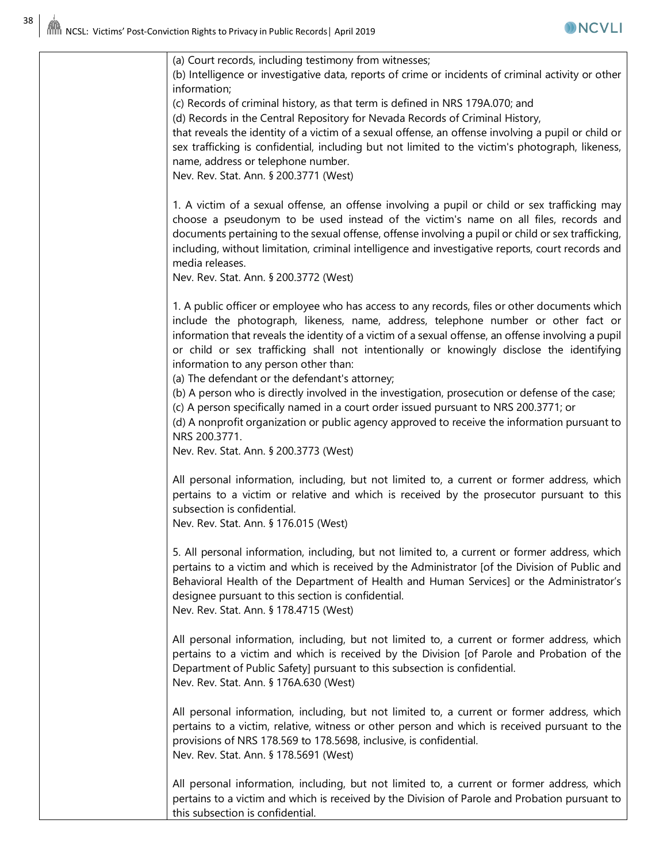

| (a) Court records, including testimony from witnesses;<br>(b) Intelligence or investigative data, reports of crime or incidents of criminal activity or other                                                                                                                                                                                                                                                                                                                      |
|------------------------------------------------------------------------------------------------------------------------------------------------------------------------------------------------------------------------------------------------------------------------------------------------------------------------------------------------------------------------------------------------------------------------------------------------------------------------------------|
| information;<br>(c) Records of criminal history, as that term is defined in NRS 179A.070; and<br>(d) Records in the Central Repository for Nevada Records of Criminal History,<br>that reveals the identity of a victim of a sexual offense, an offense involving a pupil or child or<br>sex trafficking is confidential, including but not limited to the victim's photograph, likeness,<br>name, address or telephone number.<br>Nev. Rev. Stat. Ann. § 200.3771 (West)          |
| 1. A victim of a sexual offense, an offense involving a pupil or child or sex trafficking may<br>choose a pseudonym to be used instead of the victim's name on all files, records and<br>documents pertaining to the sexual offense, offense involving a pupil or child or sex trafficking,<br>including, without limitation, criminal intelligence and investigative reports, court records and<br>media releases.<br>Nev. Rev. Stat. Ann. § 200.3772 (West)                      |
| 1. A public officer or employee who has access to any records, files or other documents which<br>include the photograph, likeness, name, address, telephone number or other fact or<br>information that reveals the identity of a victim of a sexual offense, an offense involving a pupil<br>or child or sex trafficking shall not intentionally or knowingly disclose the identifying<br>information to any person other than:<br>(a) The defendant or the defendant's attorney; |
| (b) A person who is directly involved in the investigation, prosecution or defense of the case;<br>(c) A person specifically named in a court order issued pursuant to NRS 200.3771; or<br>(d) A nonprofit organization or public agency approved to receive the information pursuant to<br>NRS 200.3771.<br>Nev. Rev. Stat. Ann. § 200.3773 (West)                                                                                                                                |
|                                                                                                                                                                                                                                                                                                                                                                                                                                                                                    |
| All personal information, including, but not limited to, a current or former address, which<br>pertains to a victim or relative and which is received by the prosecutor pursuant to this<br>subsection is confidential.<br>Nev. Rev. Stat. Ann. § 176.015 (West)                                                                                                                                                                                                                   |
| 5. All personal information, including, but not limited to, a current or former address, which<br>pertains to a victim and which is received by the Administrator [of the Division of Public and<br>Behavioral Health of the Department of Health and Human Services] or the Administrator's<br>designee pursuant to this section is confidential.<br>Nev. Rev. Stat. Ann. § 178.4715 (West)                                                                                       |
| All personal information, including, but not limited to, a current or former address, which<br>pertains to a victim and which is received by the Division [of Parole and Probation of the<br>Department of Public Safety] pursuant to this subsection is confidential.<br>Nev. Rev. Stat. Ann. § 176A.630 (West)                                                                                                                                                                   |
| All personal information, including, but not limited to, a current or former address, which<br>pertains to a victim, relative, witness or other person and which is received pursuant to the<br>provisions of NRS 178.569 to 178.5698, inclusive, is confidential.<br>Nev. Rev. Stat. Ann. § 178.5691 (West)                                                                                                                                                                       |
| All personal information, including, but not limited to, a current or former address, which<br>pertains to a victim and which is received by the Division of Parole and Probation pursuant to<br>this subsection is confidential.                                                                                                                                                                                                                                                  |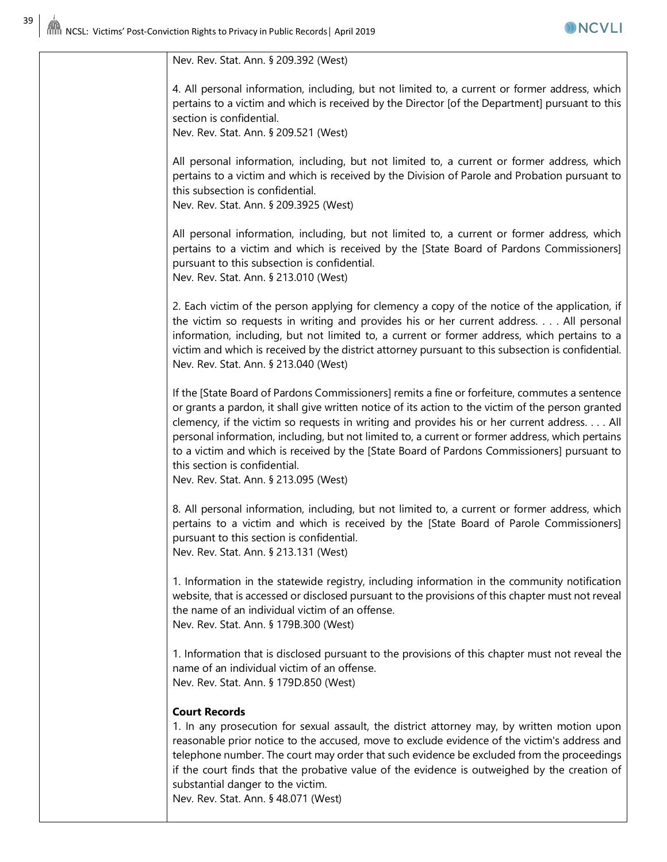

Nev. Rev. Stat. Ann. § 209.392 (West) 4. All personal information, including, but not limited to, a current or former address, which pertains to a victim and which is received by the Director [of the Department] pursuant to this section is confidential. Nev. Rev. Stat. Ann. § 209.521 (West) All personal information, including, but not limited to, a current or former address, which pertains to a victim and which is received by the Division of Parole and Probation pursuant to this subsection is confidential. Nev. Rev. Stat. Ann. § 209.3925 (West) All personal information, including, but not limited to, a current or former address, which pertains to a victim and which is received by the [State Board of Pardons Commissioners] pursuant to this subsection is confidential. Nev. Rev. Stat. Ann. § 213.010 (West) 2. Each victim of the person applying for clemency a copy of the notice of the application, if the victim so requests in writing and provides his or her current address. . . . All personal information, including, but not limited to, a current or former address, which pertains to a victim and which is received by the district attorney pursuant to this subsection is confidential. Nev. Rev. Stat. Ann. § 213.040 (West) If the [State Board of Pardons Commissioners] remits a fine or forfeiture, commutes a sentence or grants a pardon, it shall give written notice of its action to the victim of the person granted clemency, if the victim so requests in writing and provides his or her current address. . . . All personal information, including, but not limited to, a current or former address, which pertains to a victim and which is received by the [State Board of Pardons Commissioners] pursuant to this section is confidential. Nev. Rev. Stat. Ann. § 213.095 (West) 8. All personal information, including, but not limited to, a current or former address, which pertains to a victim and which is received by the [State Board of Parole Commissioners] pursuant to this section is confidential. Nev. Rev. Stat. Ann. § 213.131 (West) 1. Information in the statewide registry, including information in the community notification website, that is accessed or disclosed pursuant to the provisions of this chapter must not reveal the name of an individual victim of an offense. Nev. Rev. Stat. Ann. § 179B.300 (West) 1. Information that is disclosed pursuant to the provisions of this chapter must not reveal the name of an individual victim of an offense. Nev. Rev. Stat. Ann. § 179D.850 (West) **Court Records** 1. In any prosecution for sexual assault, the district attorney may, by written motion upon reasonable prior notice to the accused, move to exclude evidence of the victim's address and telephone number. The court may order that such evidence be excluded from the proceedings if the court finds that the probative value of the evidence is outweighed by the creation of substantial danger to the victim. Nev. Rev. Stat. Ann. § 48.071 (West)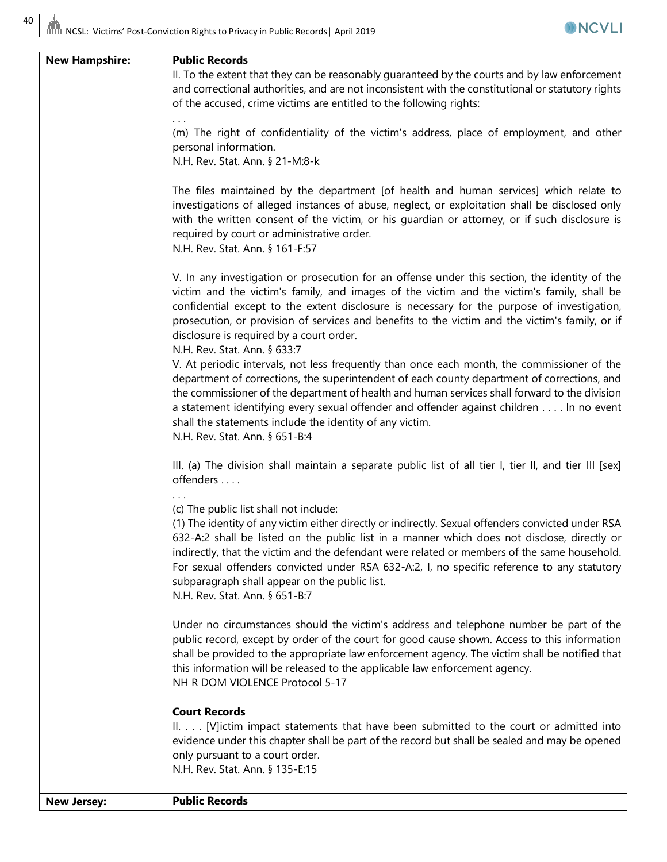

| <b>New Hampshire:</b> | <b>Public Records</b>                                                                                                                                                                                                                                                                                                                                                                                                                                                                                                         |
|-----------------------|-------------------------------------------------------------------------------------------------------------------------------------------------------------------------------------------------------------------------------------------------------------------------------------------------------------------------------------------------------------------------------------------------------------------------------------------------------------------------------------------------------------------------------|
|                       | II. To the extent that they can be reasonably guaranteed by the courts and by law enforcement<br>and correctional authorities, and are not inconsistent with the constitutional or statutory rights<br>of the accused, crime victims are entitled to the following rights:                                                                                                                                                                                                                                                    |
|                       | (m) The right of confidentiality of the victim's address, place of employment, and other<br>personal information.<br>N.H. Rev. Stat. Ann. § 21-M:8-k                                                                                                                                                                                                                                                                                                                                                                          |
|                       | The files maintained by the department [of health and human services] which relate to<br>investigations of alleged instances of abuse, neglect, or exploitation shall be disclosed only<br>with the written consent of the victim, or his guardian or attorney, or if such disclosure is<br>required by court or administrative order.<br>N.H. Rev. Stat. Ann. § 161-F:57                                                                                                                                                     |
|                       | V. In any investigation or prosecution for an offense under this section, the identity of the<br>victim and the victim's family, and images of the victim and the victim's family, shall be<br>confidential except to the extent disclosure is necessary for the purpose of investigation,<br>prosecution, or provision of services and benefits to the victim and the victim's family, or if<br>disclosure is required by a court order.<br>N.H. Rev. Stat. Ann. § 633:7                                                     |
|                       | V. At periodic intervals, not less frequently than once each month, the commissioner of the<br>department of corrections, the superintendent of each county department of corrections, and<br>the commissioner of the department of health and human services shall forward to the division<br>a statement identifying every sexual offender and offender against children In no event<br>shall the statements include the identity of any victim.<br>N.H. Rev. Stat. Ann. § 651-B:4                                          |
|                       | III. (a) The division shall maintain a separate public list of all tier I, tier II, and tier III [sex]<br>offenders                                                                                                                                                                                                                                                                                                                                                                                                           |
|                       | (c) The public list shall not include:<br>(1) The identity of any victim either directly or indirectly. Sexual offenders convicted under RSA<br>632-A:2 shall be listed on the public list in a manner which does not disclose, directly or<br>indirectly, that the victim and the defendant were related or members of the same household.<br>For sexual offenders convicted under RSA 632-A:2, I, no specific reference to any statutory<br>subparagraph shall appear on the public list.<br>N.H. Rev. Stat. Ann. § 651-B:7 |
|                       | Under no circumstances should the victim's address and telephone number be part of the<br>public record, except by order of the court for good cause shown. Access to this information<br>shall be provided to the appropriate law enforcement agency. The victim shall be notified that<br>this information will be released to the applicable law enforcement agency.<br>NH R DOM VIOLENCE Protocol 5-17                                                                                                                    |
|                       | <b>Court Records</b><br>II. [V]ictim impact statements that have been submitted to the court or admitted into<br>evidence under this chapter shall be part of the record but shall be sealed and may be opened<br>only pursuant to a court order.<br>N.H. Rev. Stat. Ann. § 135-E:15                                                                                                                                                                                                                                          |
| <b>New Jersey:</b>    | <b>Public Records</b>                                                                                                                                                                                                                                                                                                                                                                                                                                                                                                         |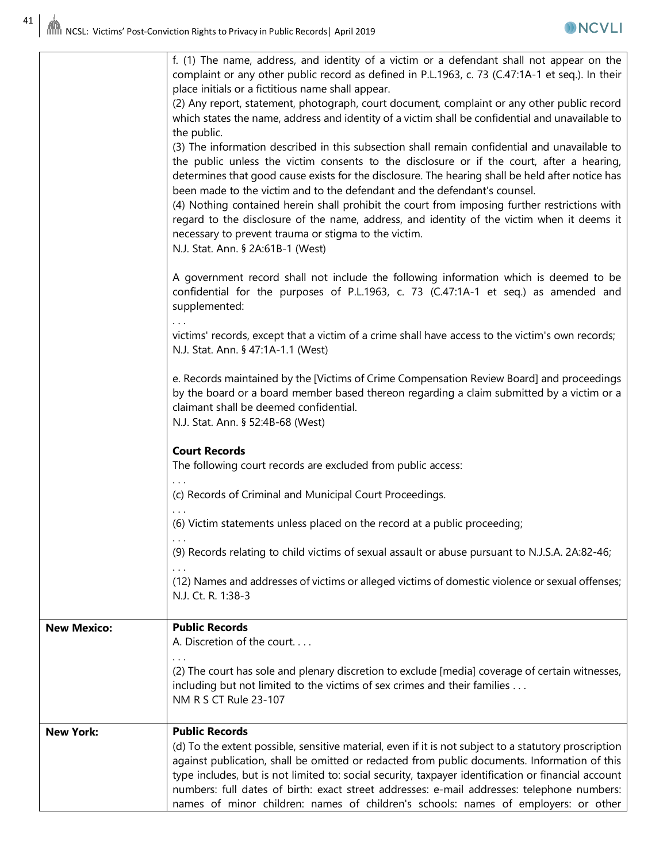

|                    | f. (1) The name, address, and identity of a victim or a defendant shall not appear on the<br>complaint or any other public record as defined in P.L.1963, c. 73 (C.47:1A-1 et seq.). In their                                                                                                                                                                                                                                                                                                                                                                              |
|--------------------|----------------------------------------------------------------------------------------------------------------------------------------------------------------------------------------------------------------------------------------------------------------------------------------------------------------------------------------------------------------------------------------------------------------------------------------------------------------------------------------------------------------------------------------------------------------------------|
|                    | place initials or a fictitious name shall appear.                                                                                                                                                                                                                                                                                                                                                                                                                                                                                                                          |
|                    | (2) Any report, statement, photograph, court document, complaint or any other public record                                                                                                                                                                                                                                                                                                                                                                                                                                                                                |
|                    | which states the name, address and identity of a victim shall be confidential and unavailable to                                                                                                                                                                                                                                                                                                                                                                                                                                                                           |
|                    | the public.                                                                                                                                                                                                                                                                                                                                                                                                                                                                                                                                                                |
|                    | (3) The information described in this subsection shall remain confidential and unavailable to<br>the public unless the victim consents to the disclosure or if the court, after a hearing,<br>determines that good cause exists for the disclosure. The hearing shall be held after notice has<br>been made to the victim and to the defendant and the defendant's counsel.<br>(4) Nothing contained herein shall prohibit the court from imposing further restrictions with<br>regard to the disclosure of the name, address, and identity of the victim when it deems it |
|                    | necessary to prevent trauma or stigma to the victim.<br>N.J. Stat. Ann. § 2A:61B-1 (West)                                                                                                                                                                                                                                                                                                                                                                                                                                                                                  |
|                    | A government record shall not include the following information which is deemed to be<br>confidential for the purposes of P.L.1963, c. 73 (C.47:1A-1 et seq.) as amended and<br>supplemented:                                                                                                                                                                                                                                                                                                                                                                              |
|                    | victims' records, except that a victim of a crime shall have access to the victim's own records;<br>N.J. Stat. Ann. § 47:1A-1.1 (West)                                                                                                                                                                                                                                                                                                                                                                                                                                     |
|                    | e. Records maintained by the [Victims of Crime Compensation Review Board] and proceedings<br>by the board or a board member based thereon regarding a claim submitted by a victim or a<br>claimant shall be deemed confidential.<br>N.J. Stat. Ann. § 52:4B-68 (West)                                                                                                                                                                                                                                                                                                      |
|                    | <b>Court Records</b>                                                                                                                                                                                                                                                                                                                                                                                                                                                                                                                                                       |
|                    | The following court records are excluded from public access:                                                                                                                                                                                                                                                                                                                                                                                                                                                                                                               |
|                    | (c) Records of Criminal and Municipal Court Proceedings.                                                                                                                                                                                                                                                                                                                                                                                                                                                                                                                   |
|                    | (6) Victim statements unless placed on the record at a public proceeding;                                                                                                                                                                                                                                                                                                                                                                                                                                                                                                  |
|                    | (9) Records relating to child victims of sexual assault or abuse pursuant to N.J.S.A. 2A:82-46;                                                                                                                                                                                                                                                                                                                                                                                                                                                                            |
|                    | .<br>(12) Names and addresses of victims or alleged victims of domestic violence or sexual offenses;<br>N.J. Ct. R. 1:38-3                                                                                                                                                                                                                                                                                                                                                                                                                                                 |
| <b>New Mexico:</b> | <b>Public Records</b><br>A. Discretion of the court                                                                                                                                                                                                                                                                                                                                                                                                                                                                                                                        |
|                    | (2) The court has sole and plenary discretion to exclude [media] coverage of certain witnesses,<br>including but not limited to the victims of sex crimes and their families<br>NM R S CT Rule 23-107                                                                                                                                                                                                                                                                                                                                                                      |
| <b>New York:</b>   | <b>Public Records</b>                                                                                                                                                                                                                                                                                                                                                                                                                                                                                                                                                      |
|                    | (d) To the extent possible, sensitive material, even if it is not subject to a statutory proscription<br>against publication, shall be omitted or redacted from public documents. Information of this<br>type includes, but is not limited to: social security, taxpayer identification or financial account<br>numbers: full dates of birth: exact street addresses: e-mail addresses: telephone numbers:<br>names of minor children: names of children's schools: names of employers: or other                                                                           |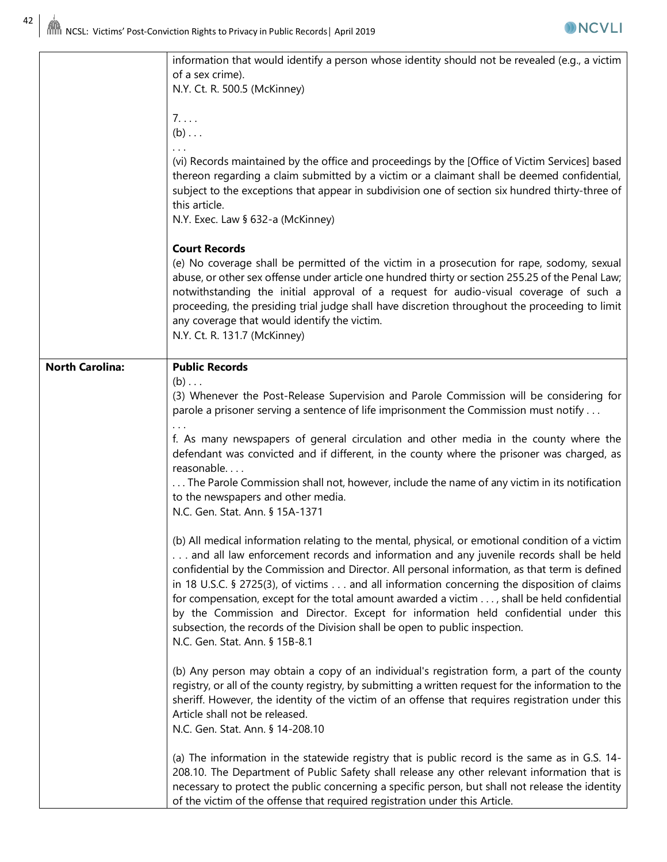

|                        | information that would identify a person whose identity should not be revealed (e.g., a victim<br>of a sex crime).<br>N.Y. Ct. R. 500.5 (McKinney)<br>$7. \ldots$<br>$(b) \ldots$<br>(vi) Records maintained by the office and proceedings by the [Office of Victim Services] based<br>thereon regarding a claim submitted by a victim or a claimant shall be deemed confidential,<br>subject to the exceptions that appear in subdivision one of section six hundred thirty-three of<br>this article.<br>N.Y. Exec. Law § 632-a (McKinney)<br><b>Court Records</b><br>(e) No coverage shall be permitted of the victim in a prosecution for rape, sodomy, sexual<br>abuse, or other sex offense under article one hundred thirty or section 255.25 of the Penal Law;<br>notwithstanding the initial approval of a request for audio-visual coverage of such a<br>proceeding, the presiding trial judge shall have discretion throughout the proceeding to limit |
|------------------------|------------------------------------------------------------------------------------------------------------------------------------------------------------------------------------------------------------------------------------------------------------------------------------------------------------------------------------------------------------------------------------------------------------------------------------------------------------------------------------------------------------------------------------------------------------------------------------------------------------------------------------------------------------------------------------------------------------------------------------------------------------------------------------------------------------------------------------------------------------------------------------------------------------------------------------------------------------------|
|                        | any coverage that would identify the victim.<br>N.Y. Ct. R. 131.7 (McKinney)                                                                                                                                                                                                                                                                                                                                                                                                                                                                                                                                                                                                                                                                                                                                                                                                                                                                                     |
| <b>North Carolina:</b> | <b>Public Records</b><br>$(b) \ldots$<br>(3) Whenever the Post-Release Supervision and Parole Commission will be considering for<br>parole a prisoner serving a sentence of life imprisonment the Commission must notify<br>f. As many newspapers of general circulation and other media in the county where the<br>defendant was convicted and if different, in the county where the prisoner was charged, as<br>reasonable<br>The Parole Commission shall not, however, include the name of any victim in its notification<br>to the newspapers and other media.<br>N.C. Gen. Stat. Ann. § 15A-1371                                                                                                                                                                                                                                                                                                                                                            |
|                        | (b) All medical information relating to the mental, physical, or emotional condition of a victim<br>and all law enforcement records and information and any juvenile records shall be held<br>confidential by the Commission and Director. All personal information, as that term is defined<br>in 18 U.S.C. § 2725(3), of victims and all information concerning the disposition of claims<br>for compensation, except for the total amount awarded a victim , shall be held confidential<br>by the Commission and Director. Except for information held confidential under this<br>subsection, the records of the Division shall be open to public inspection.<br>N.C. Gen. Stat. Ann. § 15B-8.1                                                                                                                                                                                                                                                               |
|                        | (b) Any person may obtain a copy of an individual's registration form, a part of the county<br>registry, or all of the county registry, by submitting a written request for the information to the<br>sheriff. However, the identity of the victim of an offense that requires registration under this<br>Article shall not be released.<br>N.C. Gen. Stat. Ann. § 14-208.10                                                                                                                                                                                                                                                                                                                                                                                                                                                                                                                                                                                     |
|                        | (a) The information in the statewide registry that is public record is the same as in G.S. 14-<br>208.10. The Department of Public Safety shall release any other relevant information that is<br>necessary to protect the public concerning a specific person, but shall not release the identity<br>of the victim of the offense that required registration under this Article.                                                                                                                                                                                                                                                                                                                                                                                                                                                                                                                                                                                |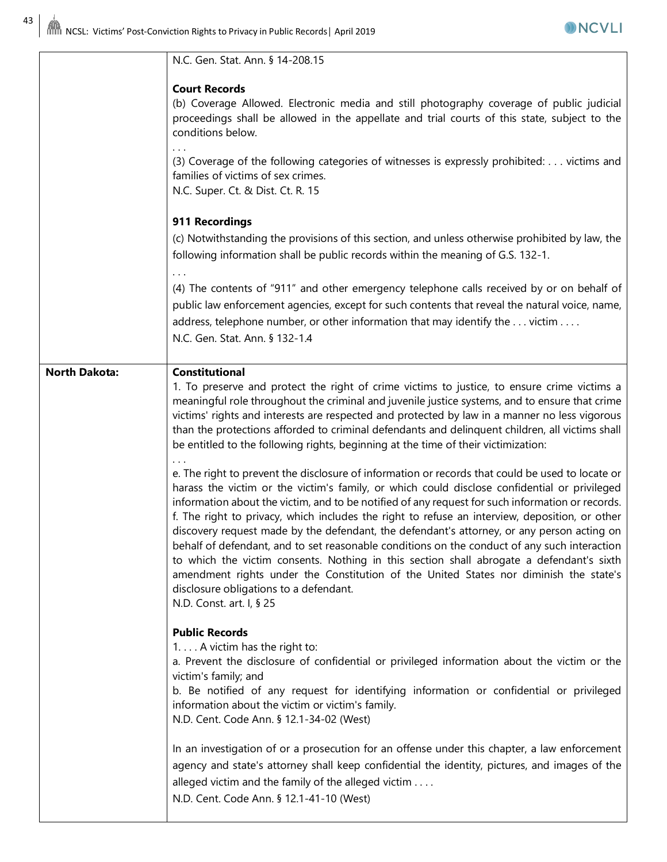

|                      | N.C. Gen. Stat. Ann. § 14-208.15                                                                                                                                                                                                                                                                                                                                                                                                                                                                                                                                                                                                                                                                                                                                                                                                                                                                                                                                                                                                                                                                                                                                                                                                                                                                              |
|----------------------|---------------------------------------------------------------------------------------------------------------------------------------------------------------------------------------------------------------------------------------------------------------------------------------------------------------------------------------------------------------------------------------------------------------------------------------------------------------------------------------------------------------------------------------------------------------------------------------------------------------------------------------------------------------------------------------------------------------------------------------------------------------------------------------------------------------------------------------------------------------------------------------------------------------------------------------------------------------------------------------------------------------------------------------------------------------------------------------------------------------------------------------------------------------------------------------------------------------------------------------------------------------------------------------------------------------|
|                      | <b>Court Records</b><br>(b) Coverage Allowed. Electronic media and still photography coverage of public judicial<br>proceedings shall be allowed in the appellate and trial courts of this state, subject to the<br>conditions below.                                                                                                                                                                                                                                                                                                                                                                                                                                                                                                                                                                                                                                                                                                                                                                                                                                                                                                                                                                                                                                                                         |
|                      | (3) Coverage of the following categories of witnesses is expressly prohibited: victims and<br>families of victims of sex crimes.<br>N.C. Super. Ct. & Dist. Ct. R. 15                                                                                                                                                                                                                                                                                                                                                                                                                                                                                                                                                                                                                                                                                                                                                                                                                                                                                                                                                                                                                                                                                                                                         |
|                      |                                                                                                                                                                                                                                                                                                                                                                                                                                                                                                                                                                                                                                                                                                                                                                                                                                                                                                                                                                                                                                                                                                                                                                                                                                                                                                               |
|                      | 911 Recordings<br>(c) Notwithstanding the provisions of this section, and unless otherwise prohibited by law, the<br>following information shall be public records within the meaning of G.S. 132-1.                                                                                                                                                                                                                                                                                                                                                                                                                                                                                                                                                                                                                                                                                                                                                                                                                                                                                                                                                                                                                                                                                                          |
|                      | (4) The contents of "911" and other emergency telephone calls received by or on behalf of<br>public law enforcement agencies, except for such contents that reveal the natural voice, name,<br>address, telephone number, or other information that may identify the  victim<br>N.C. Gen. Stat. Ann. § 132-1.4                                                                                                                                                                                                                                                                                                                                                                                                                                                                                                                                                                                                                                                                                                                                                                                                                                                                                                                                                                                                |
|                      |                                                                                                                                                                                                                                                                                                                                                                                                                                                                                                                                                                                                                                                                                                                                                                                                                                                                                                                                                                                                                                                                                                                                                                                                                                                                                                               |
| <b>North Dakota:</b> | <b>Constitutional</b><br>1. To preserve and protect the right of crime victims to justice, to ensure crime victims a<br>meaningful role throughout the criminal and juvenile justice systems, and to ensure that crime<br>victims' rights and interests are respected and protected by law in a manner no less vigorous<br>than the protections afforded to criminal defendants and delinquent children, all victims shall<br>be entitled to the following rights, beginning at the time of their victimization:<br>e. The right to prevent the disclosure of information or records that could be used to locate or<br>harass the victim or the victim's family, or which could disclose confidential or privileged<br>information about the victim, and to be notified of any request for such information or records.<br>f. The right to privacy, which includes the right to refuse an interview, deposition, or other<br>discovery request made by the defendant, the defendant's attorney, or any person acting on<br>behalf of defendant, and to set reasonable conditions on the conduct of any such interaction<br>to which the victim consents. Nothing in this section shall abrogate a defendant's sixth<br>amendment rights under the Constitution of the United States nor diminish the state's |
|                      | disclosure obligations to a defendant.<br>N.D. Const. art. I, § 25                                                                                                                                                                                                                                                                                                                                                                                                                                                                                                                                                                                                                                                                                                                                                                                                                                                                                                                                                                                                                                                                                                                                                                                                                                            |
|                      | <b>Public Records</b><br>1. A victim has the right to:<br>a. Prevent the disclosure of confidential or privileged information about the victim or the<br>victim's family; and<br>b. Be notified of any request for identifying information or confidential or privileged<br>information about the victim or victim's family.                                                                                                                                                                                                                                                                                                                                                                                                                                                                                                                                                                                                                                                                                                                                                                                                                                                                                                                                                                                  |
|                      | N.D. Cent. Code Ann. § 12.1-34-02 (West)                                                                                                                                                                                                                                                                                                                                                                                                                                                                                                                                                                                                                                                                                                                                                                                                                                                                                                                                                                                                                                                                                                                                                                                                                                                                      |
|                      | In an investigation of or a prosecution for an offense under this chapter, a law enforcement<br>agency and state's attorney shall keep confidential the identity, pictures, and images of the<br>alleged victim and the family of the alleged victim<br>N.D. Cent. Code Ann. § 12.1-41-10 (West)                                                                                                                                                                                                                                                                                                                                                                                                                                                                                                                                                                                                                                                                                                                                                                                                                                                                                                                                                                                                              |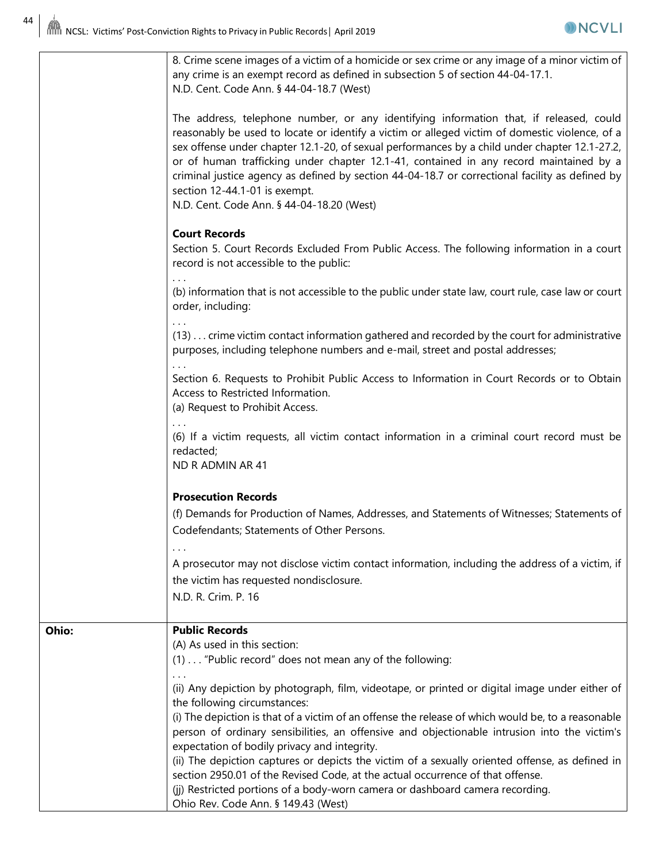

|       | 8. Crime scene images of a victim of a homicide or sex crime or any image of a minor victim of<br>any crime is an exempt record as defined in subsection 5 of section 44-04-17.1.<br>N.D. Cent. Code Ann. § 44-04-18.7 (West)                                                                                                                                                                                                                                                                                                                                        |
|-------|----------------------------------------------------------------------------------------------------------------------------------------------------------------------------------------------------------------------------------------------------------------------------------------------------------------------------------------------------------------------------------------------------------------------------------------------------------------------------------------------------------------------------------------------------------------------|
|       | The address, telephone number, or any identifying information that, if released, could<br>reasonably be used to locate or identify a victim or alleged victim of domestic violence, of a<br>sex offense under chapter 12.1-20, of sexual performances by a child under chapter 12.1-27.2,<br>or of human trafficking under chapter 12.1-41, contained in any record maintained by a<br>criminal justice agency as defined by section 44-04-18.7 or correctional facility as defined by<br>section 12-44.1-01 is exempt.<br>N.D. Cent. Code Ann. § 44-04-18.20 (West) |
|       | <b>Court Records</b><br>Section 5. Court Records Excluded From Public Access. The following information in a court<br>record is not accessible to the public:                                                                                                                                                                                                                                                                                                                                                                                                        |
|       | (b) information that is not accessible to the public under state law, court rule, case law or court<br>order, including:                                                                                                                                                                                                                                                                                                                                                                                                                                             |
|       | (13) crime victim contact information gathered and recorded by the court for administrative<br>purposes, including telephone numbers and e-mail, street and postal addresses;                                                                                                                                                                                                                                                                                                                                                                                        |
|       | Section 6. Requests to Prohibit Public Access to Information in Court Records or to Obtain<br>Access to Restricted Information.<br>(a) Request to Prohibit Access.                                                                                                                                                                                                                                                                                                                                                                                                   |
|       | (6) If a victim requests, all victim contact information in a criminal court record must be<br>redacted;<br>ND R ADMIN AR 41                                                                                                                                                                                                                                                                                                                                                                                                                                         |
|       | <b>Prosecution Records</b>                                                                                                                                                                                                                                                                                                                                                                                                                                                                                                                                           |
|       | (f) Demands for Production of Names, Addresses, and Statements of Witnesses; Statements of                                                                                                                                                                                                                                                                                                                                                                                                                                                                           |
|       | Codefendants; Statements of Other Persons.                                                                                                                                                                                                                                                                                                                                                                                                                                                                                                                           |
|       | $\cdots$<br>A prosecutor may not disclose victim contact information, including the address of a victim, if<br>the victim has requested nondisclosure.<br>N.D. R. Crim. P. 16                                                                                                                                                                                                                                                                                                                                                                                        |
| Ohio: | <b>Public Records</b>                                                                                                                                                                                                                                                                                                                                                                                                                                                                                                                                                |
|       | (A) As used in this section:                                                                                                                                                                                                                                                                                                                                                                                                                                                                                                                                         |
|       | (1) "Public record" does not mean any of the following:                                                                                                                                                                                                                                                                                                                                                                                                                                                                                                              |
|       | (ii) Any depiction by photograph, film, videotape, or printed or digital image under either of                                                                                                                                                                                                                                                                                                                                                                                                                                                                       |
|       | the following circumstances:                                                                                                                                                                                                                                                                                                                                                                                                                                                                                                                                         |
|       | (i) The depiction is that of a victim of an offense the release of which would be, to a reasonable                                                                                                                                                                                                                                                                                                                                                                                                                                                                   |
|       | person of ordinary sensibilities, an offensive and objectionable intrusion into the victim's<br>expectation of bodily privacy and integrity.                                                                                                                                                                                                                                                                                                                                                                                                                         |
|       | (ii) The depiction captures or depicts the victim of a sexually oriented offense, as defined in                                                                                                                                                                                                                                                                                                                                                                                                                                                                      |
|       | section 2950.01 of the Revised Code, at the actual occurrence of that offense.<br>(jj) Restricted portions of a body-worn camera or dashboard camera recording.                                                                                                                                                                                                                                                                                                                                                                                                      |
|       | Ohio Rev. Code Ann. § 149.43 (West)                                                                                                                                                                                                                                                                                                                                                                                                                                                                                                                                  |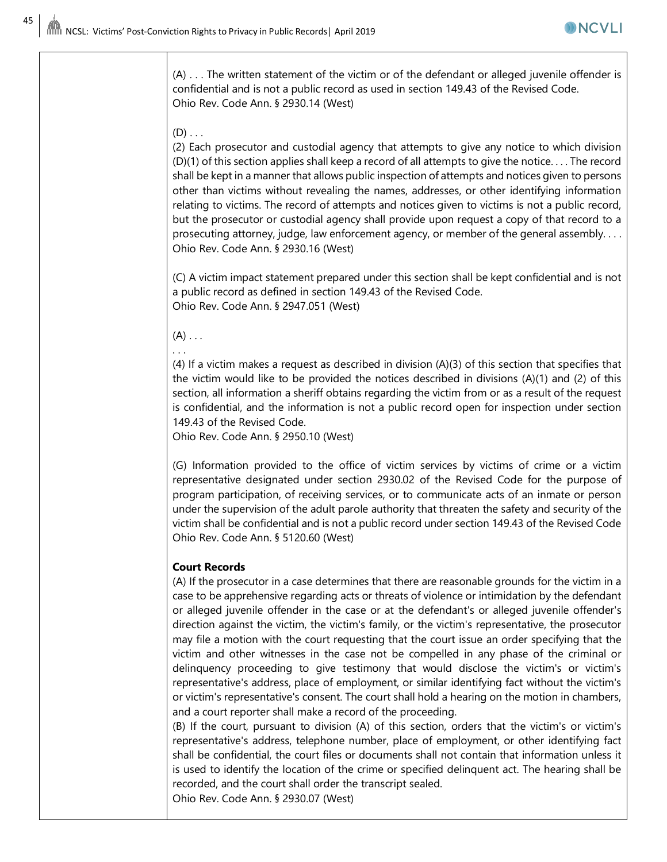45



(A) . . . The written statement of the victim or of the defendant or alleged juvenile offender is confidential and is not a public record as used in section 149.43 of the Revised Code. Ohio Rev. Code Ann. § 2930.14 (West)

#### $(D) \ldots$

(2) Each prosecutor and custodial agency that attempts to give any notice to which division (D)(1) of this section applies shall keep a record of all attempts to give the notice. . . . The record shall be kept in a manner that allows public inspection of attempts and notices given to persons other than victims without revealing the names, addresses, or other identifying information relating to victims. The record of attempts and notices given to victims is not a public record, but the prosecutor or custodial agency shall provide upon request a copy of that record to a prosecuting attorney, judge, law enforcement agency, or member of the general assembly. . . . Ohio Rev. Code Ann. § 2930.16 (West)

(C) A victim impact statement prepared under this section shall be kept confidential and is not a public record as defined in section 149.43 of the Revised Code. Ohio Rev. Code Ann. § 2947.051 (West)

 $(A)$  ...

(4) If a victim makes a request as described in division  $(A)(3)$  of this section that specifies that the victim would like to be provided the notices described in divisions (A)(1) and (2) of this section, all information a sheriff obtains regarding the victim from or as a result of the request is confidential, and the information is not a public record open for inspection under section 149.43 of the Revised Code.

Ohio Rev. Code Ann. § 2950.10 (West)

(G) Information provided to the office of victim services by victims of crime or a victim representative designated under section 2930.02 of the Revised Code for the purpose of program participation, of receiving services, or to communicate acts of an inmate or person under the supervision of the adult parole authority that threaten the safety and security of the victim shall be confidential and is not a public record under section 149.43 of the Revised Code Ohio Rev. Code Ann. § 5120.60 (West)

#### **Court Records**

(A) If the prosecutor in a case determines that there are reasonable grounds for the victim in a case to be apprehensive regarding acts or threats of violence or intimidation by the defendant or alleged juvenile offender in the case or at the defendant's or alleged juvenile offender's direction against the victim, the victim's family, or the victim's representative, the prosecutor may file a motion with the court requesting that the court issue an order specifying that the victim and other witnesses in the case not be compelled in any phase of the criminal or delinquency proceeding to give testimony that would disclose the victim's or victim's representative's address, place of employment, or similar identifying fact without the victim's or victim's representative's consent. The court shall hold a hearing on the motion in chambers, and a court reporter shall make a record of the proceeding.

(B) If the court, pursuant to division (A) of this section, orders that the victim's or victim's representative's address, telephone number, place of employment, or other identifying fact shall be confidential, the court files or documents shall not contain that information unless it is used to identify the location of the crime or specified delinquent act. The hearing shall be recorded, and the court shall order the transcript sealed.

Ohio Rev. Code Ann. § 2930.07 (West)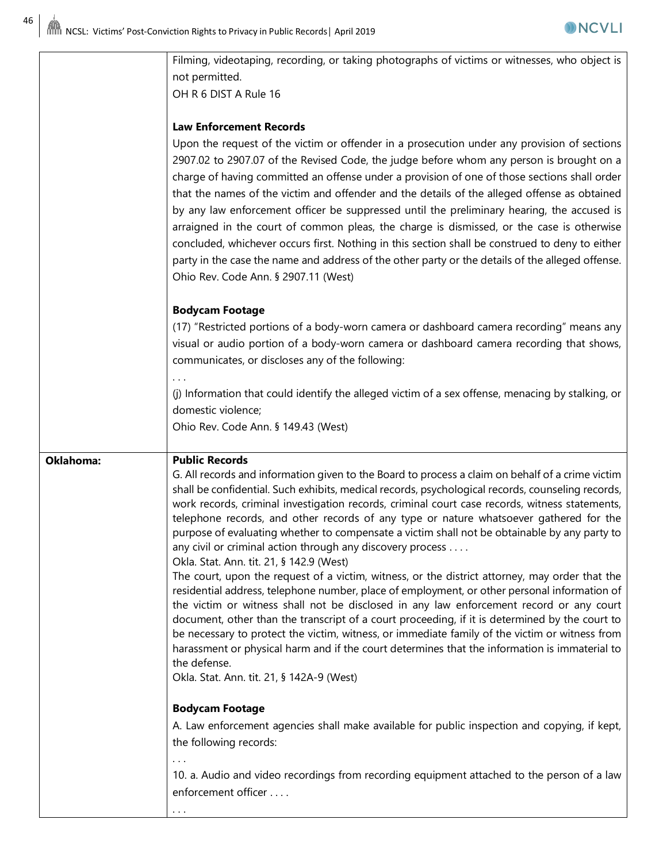

|                  | Filming, videotaping, recording, or taking photographs of victims or witnesses, who object is                                                                                                         |
|------------------|-------------------------------------------------------------------------------------------------------------------------------------------------------------------------------------------------------|
|                  | not permitted.                                                                                                                                                                                        |
|                  | OH R 6 DIST A Rule 16                                                                                                                                                                                 |
|                  |                                                                                                                                                                                                       |
|                  | <b>Law Enforcement Records</b>                                                                                                                                                                        |
|                  | Upon the request of the victim or offender in a prosecution under any provision of sections                                                                                                           |
|                  | 2907.02 to 2907.07 of the Revised Code, the judge before whom any person is brought on a                                                                                                              |
|                  | charge of having committed an offense under a provision of one of those sections shall order                                                                                                          |
|                  | that the names of the victim and offender and the details of the alleged offense as obtained                                                                                                          |
|                  | by any law enforcement officer be suppressed until the preliminary hearing, the accused is                                                                                                            |
|                  | arraigned in the court of common pleas, the charge is dismissed, or the case is otherwise                                                                                                             |
|                  | concluded, whichever occurs first. Nothing in this section shall be construed to deny to either                                                                                                       |
|                  | party in the case the name and address of the other party or the details of the alleged offense.                                                                                                      |
|                  | Ohio Rev. Code Ann. § 2907.11 (West)                                                                                                                                                                  |
|                  |                                                                                                                                                                                                       |
|                  | <b>Bodycam Footage</b>                                                                                                                                                                                |
|                  | (17) "Restricted portions of a body-worn camera or dashboard camera recording" means any                                                                                                              |
|                  | visual or audio portion of a body-worn camera or dashboard camera recording that shows,                                                                                                               |
|                  | communicates, or discloses any of the following:                                                                                                                                                      |
|                  |                                                                                                                                                                                                       |
|                  | (j) Information that could identify the alleged victim of a sex offense, menacing by stalking, or                                                                                                     |
|                  | domestic violence;                                                                                                                                                                                    |
|                  | Ohio Rev. Code Ann. § 149.43 (West)                                                                                                                                                                   |
|                  |                                                                                                                                                                                                       |
|                  |                                                                                                                                                                                                       |
|                  |                                                                                                                                                                                                       |
| <b>Oklahoma:</b> | <b>Public Records</b>                                                                                                                                                                                 |
|                  | G. All records and information given to the Board to process a claim on behalf of a crime victim<br>shall be confidential. Such exhibits, medical records, psychological records, counseling records, |
|                  | work records, criminal investigation records, criminal court case records, witness statements,                                                                                                        |
|                  | telephone records, and other records of any type or nature whatsoever gathered for the                                                                                                                |
|                  | purpose of evaluating whether to compensate a victim shall not be obtainable by any party to                                                                                                          |
|                  | any civil or criminal action through any discovery process                                                                                                                                            |
|                  | Okla. Stat. Ann. tit. 21, § 142.9 (West)                                                                                                                                                              |
|                  | The court, upon the request of a victim, witness, or the district attorney, may order that the                                                                                                        |
|                  | residential address, telephone number, place of employment, or other personal information of                                                                                                          |
|                  | the victim or witness shall not be disclosed in any law enforcement record or any court<br>document, other than the transcript of a court proceeding, if it is determined by the court to             |
|                  | be necessary to protect the victim, witness, or immediate family of the victim or witness from                                                                                                        |
|                  | harassment or physical harm and if the court determines that the information is immaterial to                                                                                                         |
|                  | the defense.                                                                                                                                                                                          |
|                  | Okla. Stat. Ann. tit. 21, § 142A-9 (West)                                                                                                                                                             |
|                  |                                                                                                                                                                                                       |
|                  | <b>Bodycam Footage</b>                                                                                                                                                                                |
|                  | A. Law enforcement agencies shall make available for public inspection and copying, if kept,                                                                                                          |
|                  | the following records:                                                                                                                                                                                |
|                  |                                                                                                                                                                                                       |
|                  | 10. a. Audio and video recordings from recording equipment attached to the person of a law                                                                                                            |
|                  | enforcement officer                                                                                                                                                                                   |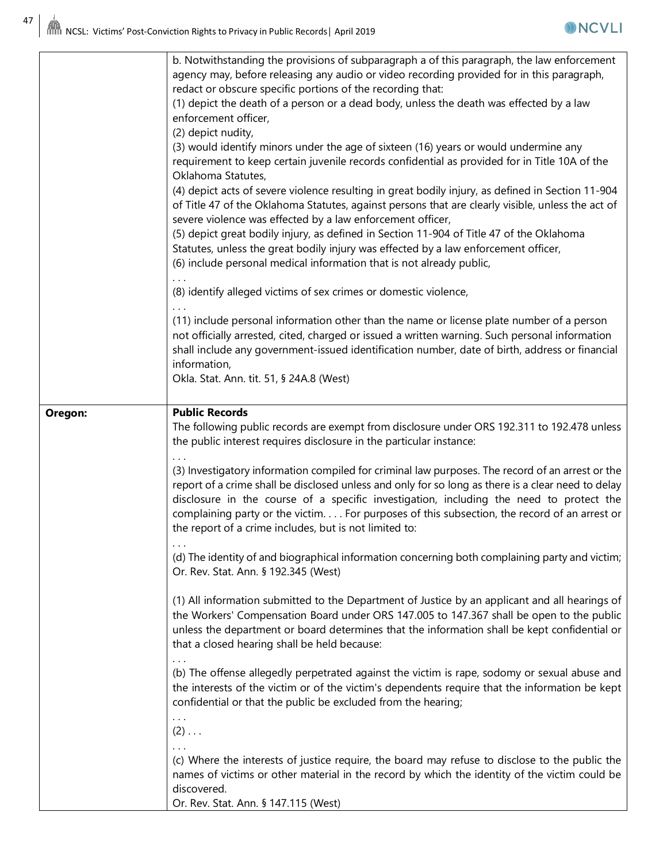

|         | b. Notwithstanding the provisions of subparagraph a of this paragraph, the law enforcement<br>agency may, before releasing any audio or video recording provided for in this paragraph,<br>redact or obscure specific portions of the recording that:<br>(1) depict the death of a person or a dead body, unless the death was effected by a law<br>enforcement officer,<br>(2) depict nudity,<br>(3) would identify minors under the age of sixteen (16) years or would undermine any<br>requirement to keep certain juvenile records confidential as provided for in Title 10A of the<br>Oklahoma Statutes,<br>(4) depict acts of severe violence resulting in great bodily injury, as defined in Section 11-904<br>of Title 47 of the Oklahoma Statutes, against persons that are clearly visible, unless the act of<br>severe violence was effected by a law enforcement officer,<br>(5) depict great bodily injury, as defined in Section 11-904 of Title 47 of the Oklahoma<br>Statutes, unless the great bodily injury was effected by a law enforcement officer,<br>(6) include personal medical information that is not already public,<br>(8) identify alleged victims of sex crimes or domestic violence,<br>(11) include personal information other than the name or license plate number of a person<br>not officially arrested, cited, charged or issued a written warning. Such personal information<br>shall include any government-issued identification number, date of birth, address or financial<br>information,<br>Okla. Stat. Ann. tit. 51, § 24A.8 (West) |
|---------|-----------------------------------------------------------------------------------------------------------------------------------------------------------------------------------------------------------------------------------------------------------------------------------------------------------------------------------------------------------------------------------------------------------------------------------------------------------------------------------------------------------------------------------------------------------------------------------------------------------------------------------------------------------------------------------------------------------------------------------------------------------------------------------------------------------------------------------------------------------------------------------------------------------------------------------------------------------------------------------------------------------------------------------------------------------------------------------------------------------------------------------------------------------------------------------------------------------------------------------------------------------------------------------------------------------------------------------------------------------------------------------------------------------------------------------------------------------------------------------------------------------------------------------------------------------------------------------|
|         |                                                                                                                                                                                                                                                                                                                                                                                                                                                                                                                                                                                                                                                                                                                                                                                                                                                                                                                                                                                                                                                                                                                                                                                                                                                                                                                                                                                                                                                                                                                                                                                   |
| Oregon: | <b>Public Records</b><br>The following public records are exempt from disclosure under ORS 192.311 to 192.478 unless<br>the public interest requires disclosure in the particular instance:<br>(3) Investigatory information compiled for criminal law purposes. The record of an arrest or the<br>report of a crime shall be disclosed unless and only for so long as there is a clear need to delay<br>disclosure in the course of a specific investigation, including the need to protect the<br>complaining party or the victim. For purposes of this subsection, the record of an arrest or<br>the report of a crime includes, but is not limited to:<br>(d) The identity of and biographical information concerning both complaining party and victim;<br>Or. Rev. Stat. Ann. § 192.345 (West)                                                                                                                                                                                                                                                                                                                                                                                                                                                                                                                                                                                                                                                                                                                                                                              |
|         | (1) All information submitted to the Department of Justice by an applicant and all hearings of<br>the Workers' Compensation Board under ORS 147.005 to 147.367 shall be open to the public<br>unless the department or board determines that the information shall be kept confidential or<br>that a closed hearing shall be held because:                                                                                                                                                                                                                                                                                                                                                                                                                                                                                                                                                                                                                                                                                                                                                                                                                                                                                                                                                                                                                                                                                                                                                                                                                                        |
|         | (b) The offense allegedly perpetrated against the victim is rape, sodomy or sexual abuse and<br>the interests of the victim or of the victim's dependents require that the information be kept<br>confidential or that the public be excluded from the hearing;<br>$\cdots$<br>$(2) \ldots$                                                                                                                                                                                                                                                                                                                                                                                                                                                                                                                                                                                                                                                                                                                                                                                                                                                                                                                                                                                                                                                                                                                                                                                                                                                                                       |
|         |                                                                                                                                                                                                                                                                                                                                                                                                                                                                                                                                                                                                                                                                                                                                                                                                                                                                                                                                                                                                                                                                                                                                                                                                                                                                                                                                                                                                                                                                                                                                                                                   |
|         | (c) Where the interests of justice require, the board may refuse to disclose to the public the<br>names of victims or other material in the record by which the identity of the victim could be<br>discovered.<br>Or. Rev. Stat. Ann. § 147.115 (West)                                                                                                                                                                                                                                                                                                                                                                                                                                                                                                                                                                                                                                                                                                                                                                                                                                                                                                                                                                                                                                                                                                                                                                                                                                                                                                                            |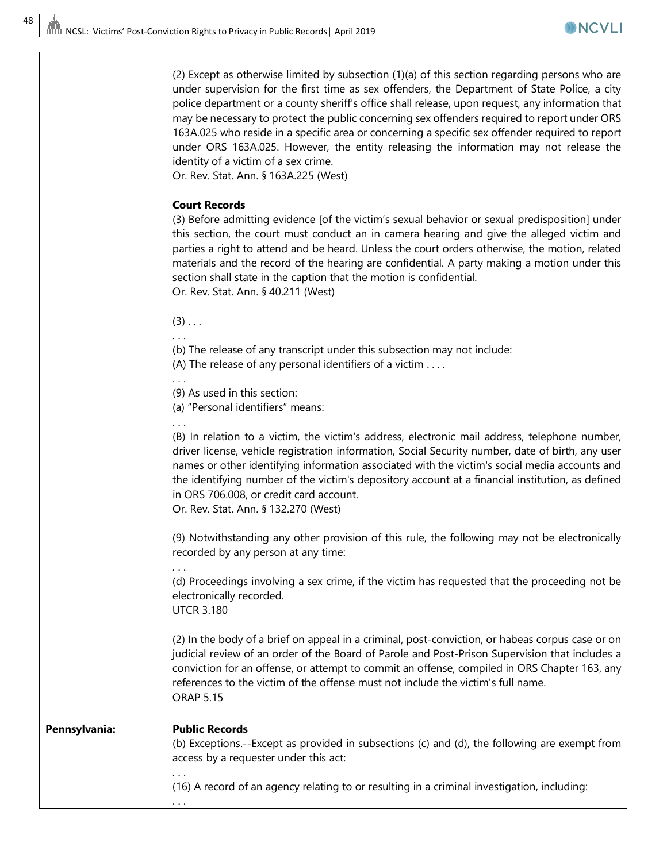

|               | (2) Except as otherwise limited by subsection (1)(a) of this section regarding persons who are<br>under supervision for the first time as sex offenders, the Department of State Police, a city<br>police department or a county sheriff's office shall release, upon request, any information that<br>may be necessary to protect the public concerning sex offenders required to report under ORS<br>163A.025 who reside in a specific area or concerning a specific sex offender required to report<br>under ORS 163A.025. However, the entity releasing the information may not release the<br>identity of a victim of a sex crime.<br>Or. Rev. Stat. Ann. § 163A.225 (West) |
|---------------|----------------------------------------------------------------------------------------------------------------------------------------------------------------------------------------------------------------------------------------------------------------------------------------------------------------------------------------------------------------------------------------------------------------------------------------------------------------------------------------------------------------------------------------------------------------------------------------------------------------------------------------------------------------------------------|
|               | <b>Court Records</b><br>(3) Before admitting evidence [of the victim's sexual behavior or sexual predisposition] under<br>this section, the court must conduct an in camera hearing and give the alleged victim and<br>parties a right to attend and be heard. Unless the court orders otherwise, the motion, related<br>materials and the record of the hearing are confidential. A party making a motion under this<br>section shall state in the caption that the motion is confidential.<br>Or. Rev. Stat. Ann. § 40.211 (West)                                                                                                                                              |
|               | $(3)$                                                                                                                                                                                                                                                                                                                                                                                                                                                                                                                                                                                                                                                                            |
|               | (b) The release of any transcript under this subsection may not include:<br>(A) The release of any personal identifiers of a victim                                                                                                                                                                                                                                                                                                                                                                                                                                                                                                                                              |
|               | (9) As used in this section:<br>(a) "Personal identifiers" means:                                                                                                                                                                                                                                                                                                                                                                                                                                                                                                                                                                                                                |
|               | (B) In relation to a victim, the victim's address, electronic mail address, telephone number,<br>driver license, vehicle registration information, Social Security number, date of birth, any user<br>names or other identifying information associated with the victim's social media accounts and<br>the identifying number of the victim's depository account at a financial institution, as defined<br>in ORS 706.008, or credit card account.<br>Or. Rev. Stat. Ann. § 132.270 (West)                                                                                                                                                                                       |
|               | (9) Notwithstanding any other provision of this rule, the following may not be electronically<br>recorded by any person at any time:                                                                                                                                                                                                                                                                                                                                                                                                                                                                                                                                             |
|               | (d) Proceedings involving a sex crime, if the victim has requested that the proceeding not be<br>electronically recorded.<br><b>UTCR 3.180</b>                                                                                                                                                                                                                                                                                                                                                                                                                                                                                                                                   |
|               | (2) In the body of a brief on appeal in a criminal, post-conviction, or habeas corpus case or on<br>judicial review of an order of the Board of Parole and Post-Prison Supervision that includes a<br>conviction for an offense, or attempt to commit an offense, compiled in ORS Chapter 163, any<br>references to the victim of the offense must not include the victim's full name.<br><b>ORAP 5.15</b>                                                                                                                                                                                                                                                                       |
| Pennsylvania: | <b>Public Records</b><br>(b) Exceptions.--Except as provided in subsections (c) and (d), the following are exempt from<br>access by a requester under this act:                                                                                                                                                                                                                                                                                                                                                                                                                                                                                                                  |
|               | (16) A record of an agency relating to or resulting in a criminal investigation, including:                                                                                                                                                                                                                                                                                                                                                                                                                                                                                                                                                                                      |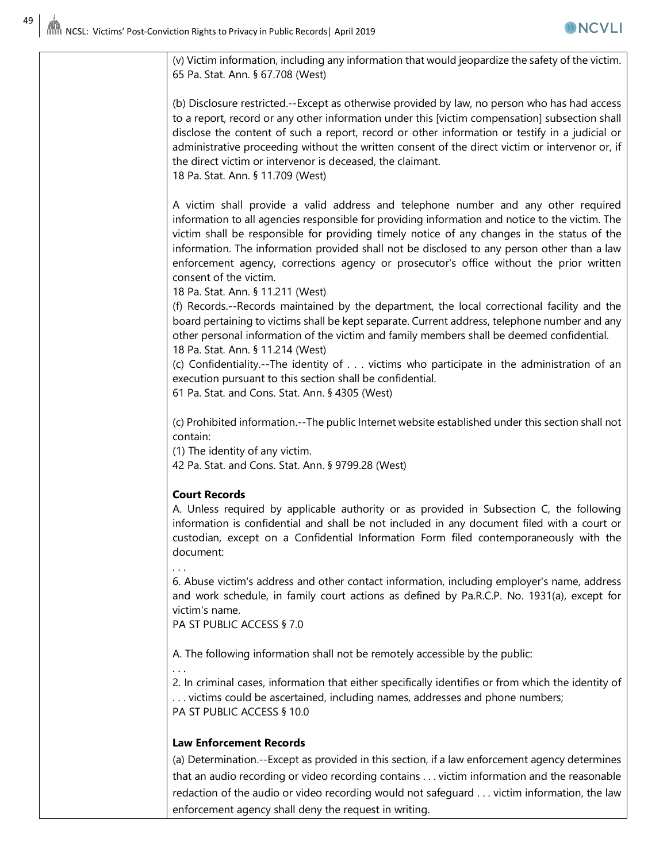49



(v) Victim information, including any information that would jeopardize the safety of the victim. 65 Pa. Stat. Ann. § 67.708 (West)

(b) Disclosure restricted.--Except as otherwise provided by law, no person who has had access to a report, record or any other information under this [victim compensation] subsection shall disclose the content of such a report, record or other information or testify in a judicial or administrative proceeding without the written consent of the direct victim or intervenor or, if the direct victim or intervenor is deceased, the claimant. 18 Pa. Stat. Ann. § 11.709 (West)

A victim shall provide a valid address and telephone number and any other required information to all agencies responsible for providing information and notice to the victim. The victim shall be responsible for providing timely notice of any changes in the status of the information. The information provided shall not be disclosed to any person other than a law enforcement agency, corrections agency or prosecutor's office without the prior written consent of the victim.

18 Pa. Stat. Ann. § 11.211 (West)

(f) Records.--Records maintained by the department, the local correctional facility and the board pertaining to victims shall be kept separate. Current address, telephone number and any other personal information of the victim and family members shall be deemed confidential.

18 Pa. Stat. Ann. § 11.214 (West)

(c) Confidentiality.--The identity of . . . victims who participate in the administration of an execution pursuant to this section shall be confidential.

61 Pa. Stat. and Cons. Stat. Ann. § 4305 (West)

(c) Prohibited information.--The public Internet website established under this section shall not contain:

(1) The identity of any victim.

42 Pa. Stat. and Cons. Stat. Ann. § 9799.28 (West)

#### **Court Records**

A. Unless required by applicable authority or as provided in Subsection C, the following information is confidential and shall be not included in any document filed with a court or custodian, except on a Confidential Information Form filed contemporaneously with the document:

. . .

6. Abuse victim's address and other contact information, including employer's name, address and work schedule, in family court actions as defined by Pa.R.C.P. No. 1931(a), except for victim's name.

PA ST PUBLIC ACCESS § 7.0

A. The following information shall not be remotely accessible by the public:

. . . 2. In criminal cases, information that either specifically identifies or from which the identity of . . . victims could be ascertained, including names, addresses and phone numbers; PA ST PUBLIC ACCESS § 10.0

# **Law Enforcement Records**

(a) Determination.--Except as provided in this section, if a law enforcement agency determines that an audio recording or video recording contains . . . victim information and the reasonable redaction of the audio or video recording would not safeguard . . . victim information, the law enforcement agency shall deny the request in writing.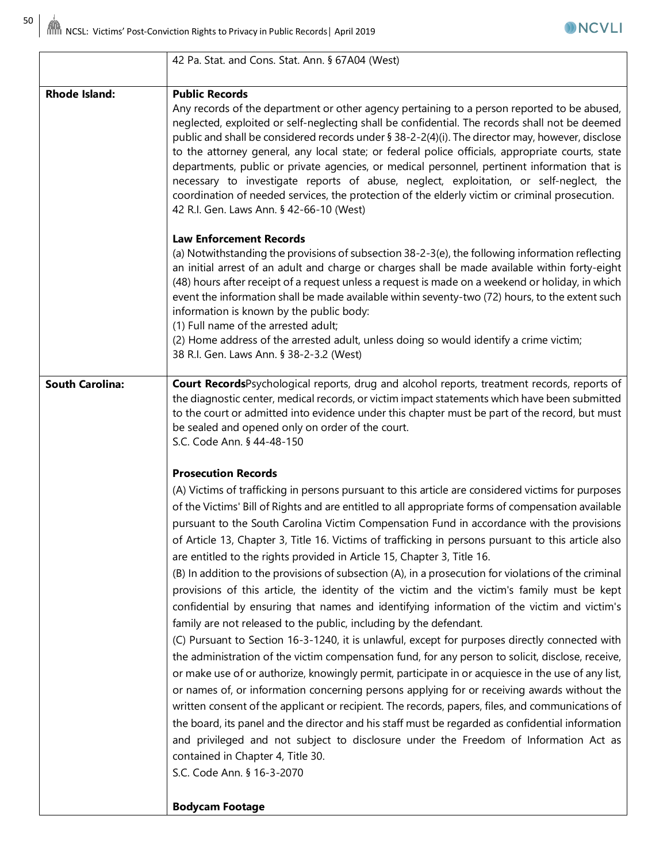

|                        | 42 Pa. Stat. and Cons. Stat. Ann. § 67A04 (West)                                                                                                                                                                                                                                                                                                                                                                                                                                                                                                                                                                                                                                                                                                                                                                                                                                                                                                                                                                                                                                                                                                                                                                                                                                                                                                                                                                                                                                                                                                                                                                                                                                                          |
|------------------------|-----------------------------------------------------------------------------------------------------------------------------------------------------------------------------------------------------------------------------------------------------------------------------------------------------------------------------------------------------------------------------------------------------------------------------------------------------------------------------------------------------------------------------------------------------------------------------------------------------------------------------------------------------------------------------------------------------------------------------------------------------------------------------------------------------------------------------------------------------------------------------------------------------------------------------------------------------------------------------------------------------------------------------------------------------------------------------------------------------------------------------------------------------------------------------------------------------------------------------------------------------------------------------------------------------------------------------------------------------------------------------------------------------------------------------------------------------------------------------------------------------------------------------------------------------------------------------------------------------------------------------------------------------------------------------------------------------------|
| <b>Rhode Island:</b>   | <b>Public Records</b><br>Any records of the department or other agency pertaining to a person reported to be abused,<br>neglected, exploited or self-neglecting shall be confidential. The records shall not be deemed<br>public and shall be considered records under § 38-2-2(4)(i). The director may, however, disclose<br>to the attorney general, any local state; or federal police officials, appropriate courts, state<br>departments, public or private agencies, or medical personnel, pertinent information that is<br>necessary to investigate reports of abuse, neglect, exploitation, or self-neglect, the<br>coordination of needed services, the protection of the elderly victim or criminal prosecution.<br>42 R.I. Gen. Laws Ann. § 42-66-10 (West)                                                                                                                                                                                                                                                                                                                                                                                                                                                                                                                                                                                                                                                                                                                                                                                                                                                                                                                                    |
|                        | <b>Law Enforcement Records</b><br>(a) Notwithstanding the provisions of subsection 38-2-3(e), the following information reflecting<br>an initial arrest of an adult and charge or charges shall be made available within forty-eight<br>(48) hours after receipt of a request unless a request is made on a weekend or holiday, in which<br>event the information shall be made available within seventy-two (72) hours, to the extent such<br>information is known by the public body:<br>(1) Full name of the arrested adult;<br>(2) Home address of the arrested adult, unless doing so would identify a crime victim;<br>38 R.I. Gen. Laws Ann. § 38-2-3.2 (West)                                                                                                                                                                                                                                                                                                                                                                                                                                                                                                                                                                                                                                                                                                                                                                                                                                                                                                                                                                                                                                     |
| <b>South Carolina:</b> | Court RecordsPsychological reports, drug and alcohol reports, treatment records, reports of<br>the diagnostic center, medical records, or victim impact statements which have been submitted<br>to the court or admitted into evidence under this chapter must be part of the record, but must<br>be sealed and opened only on order of the court.<br>S.C. Code Ann. § 44-48-150                                                                                                                                                                                                                                                                                                                                                                                                                                                                                                                                                                                                                                                                                                                                                                                                                                                                                                                                                                                                                                                                                                                                                                                                                                                                                                                          |
|                        | <b>Prosecution Records</b><br>(A) Victims of trafficking in persons pursuant to this article are considered victims for purposes<br>of the Victims' Bill of Rights and are entitled to all appropriate forms of compensation available<br>pursuant to the South Carolina Victim Compensation Fund in accordance with the provisions<br>of Article 13, Chapter 3, Title 16. Victims of trafficking in persons pursuant to this article also<br>are entitled to the rights provided in Article 15, Chapter 3, Title 16.<br>(B) In addition to the provisions of subsection (A), in a prosecution for violations of the criminal<br>provisions of this article, the identity of the victim and the victim's family must be kept<br>confidential by ensuring that names and identifying information of the victim and victim's<br>family are not released to the public, including by the defendant.<br>(C) Pursuant to Section 16-3-1240, it is unlawful, except for purposes directly connected with<br>the administration of the victim compensation fund, for any person to solicit, disclose, receive,<br>or make use of or authorize, knowingly permit, participate in or acquiesce in the use of any list,<br>or names of, or information concerning persons applying for or receiving awards without the<br>written consent of the applicant or recipient. The records, papers, files, and communications of<br>the board, its panel and the director and his staff must be regarded as confidential information<br>and privileged and not subject to disclosure under the Freedom of Information Act as<br>contained in Chapter 4, Title 30.<br>S.C. Code Ann. § 16-3-2070<br><b>Bodycam Footage</b> |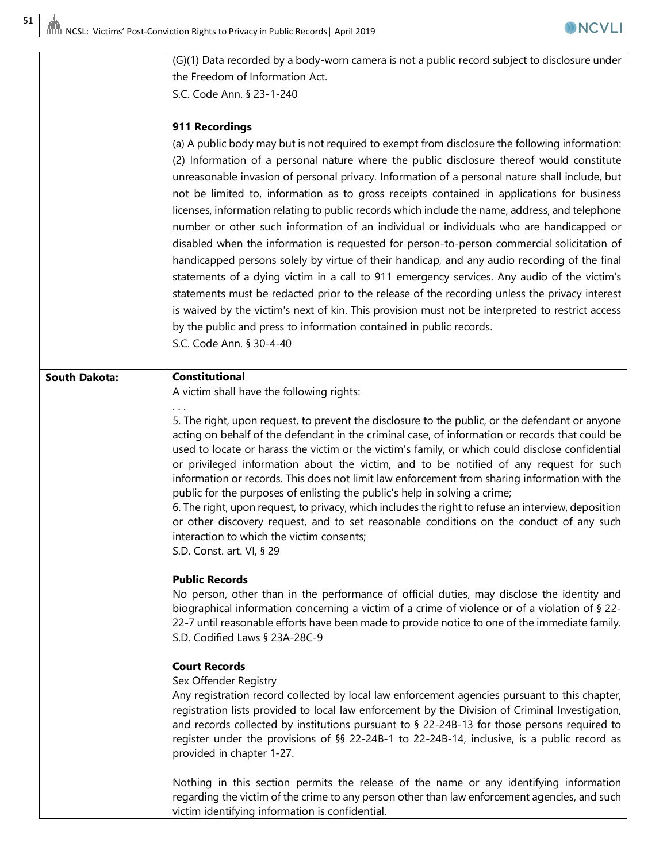

|                      | (G)(1) Data recorded by a body-worn camera is not a public record subject to disclosure under                                                                                                                                                                                                                                                                                                                                                                                                                                                                                                                                                                                                                                                                                                                                                                                                                                                                                                                                                                                                                                                                                                  |
|----------------------|------------------------------------------------------------------------------------------------------------------------------------------------------------------------------------------------------------------------------------------------------------------------------------------------------------------------------------------------------------------------------------------------------------------------------------------------------------------------------------------------------------------------------------------------------------------------------------------------------------------------------------------------------------------------------------------------------------------------------------------------------------------------------------------------------------------------------------------------------------------------------------------------------------------------------------------------------------------------------------------------------------------------------------------------------------------------------------------------------------------------------------------------------------------------------------------------|
|                      | the Freedom of Information Act.                                                                                                                                                                                                                                                                                                                                                                                                                                                                                                                                                                                                                                                                                                                                                                                                                                                                                                                                                                                                                                                                                                                                                                |
|                      | S.C. Code Ann. § 23-1-240                                                                                                                                                                                                                                                                                                                                                                                                                                                                                                                                                                                                                                                                                                                                                                                                                                                                                                                                                                                                                                                                                                                                                                      |
|                      |                                                                                                                                                                                                                                                                                                                                                                                                                                                                                                                                                                                                                                                                                                                                                                                                                                                                                                                                                                                                                                                                                                                                                                                                |
|                      | 911 Recordings                                                                                                                                                                                                                                                                                                                                                                                                                                                                                                                                                                                                                                                                                                                                                                                                                                                                                                                                                                                                                                                                                                                                                                                 |
|                      | (a) A public body may but is not required to exempt from disclosure the following information:<br>(2) Information of a personal nature where the public disclosure thereof would constitute<br>unreasonable invasion of personal privacy. Information of a personal nature shall include, but<br>not be limited to, information as to gross receipts contained in applications for business<br>licenses, information relating to public records which include the name, address, and telephone<br>number or other such information of an individual or individuals who are handicapped or<br>disabled when the information is requested for person-to-person commercial solicitation of<br>handicapped persons solely by virtue of their handicap, and any audio recording of the final<br>statements of a dying victim in a call to 911 emergency services. Any audio of the victim's<br>statements must be redacted prior to the release of the recording unless the privacy interest<br>is waived by the victim's next of kin. This provision must not be interpreted to restrict access<br>by the public and press to information contained in public records.<br>S.C. Code Ann. § 30-4-40 |
| <b>South Dakota:</b> | <b>Constitutional</b>                                                                                                                                                                                                                                                                                                                                                                                                                                                                                                                                                                                                                                                                                                                                                                                                                                                                                                                                                                                                                                                                                                                                                                          |
|                      | A victim shall have the following rights:                                                                                                                                                                                                                                                                                                                                                                                                                                                                                                                                                                                                                                                                                                                                                                                                                                                                                                                                                                                                                                                                                                                                                      |
|                      |                                                                                                                                                                                                                                                                                                                                                                                                                                                                                                                                                                                                                                                                                                                                                                                                                                                                                                                                                                                                                                                                                                                                                                                                |
|                      | 5. The right, upon request, to prevent the disclosure to the public, or the defendant or anyone<br>acting on behalf of the defendant in the criminal case, of information or records that could be<br>used to locate or harass the victim or the victim's family, or which could disclose confidential<br>or privileged information about the victim, and to be notified of any request for such<br>information or records. This does not limit law enforcement from sharing information with the<br>public for the purposes of enlisting the public's help in solving a crime;<br>6. The right, upon request, to privacy, which includes the right to refuse an interview, deposition<br>or other discovery request, and to set reasonable conditions on the conduct of any such<br>interaction to which the victim consents;<br>S.D. Const. art. VI, § 29                                                                                                                                                                                                                                                                                                                                    |
|                      | <b>Public Records</b>                                                                                                                                                                                                                                                                                                                                                                                                                                                                                                                                                                                                                                                                                                                                                                                                                                                                                                                                                                                                                                                                                                                                                                          |
|                      | No person, other than in the performance of official duties, may disclose the identity and<br>biographical information concerning a victim of a crime of violence or of a violation of § 22-<br>22-7 until reasonable efforts have been made to provide notice to one of the immediate family.<br>S.D. Codified Laws § 23A-28C-9                                                                                                                                                                                                                                                                                                                                                                                                                                                                                                                                                                                                                                                                                                                                                                                                                                                               |
|                      | <b>Court Records</b><br>Sex Offender Registry                                                                                                                                                                                                                                                                                                                                                                                                                                                                                                                                                                                                                                                                                                                                                                                                                                                                                                                                                                                                                                                                                                                                                  |
|                      | Any registration record collected by local law enforcement agencies pursuant to this chapter,<br>registration lists provided to local law enforcement by the Division of Criminal Investigation,<br>and records collected by institutions pursuant to $\S$ 22-24B-13 for those persons required to<br>register under the provisions of §§ 22-24B-1 to 22-24B-14, inclusive, is a public record as<br>provided in chapter 1-27.                                                                                                                                                                                                                                                                                                                                                                                                                                                                                                                                                                                                                                                                                                                                                                 |
|                      | Nothing in this section permits the release of the name or any identifying information<br>regarding the victim of the crime to any person other than law enforcement agencies, and such<br>victim identifying information is confidential.                                                                                                                                                                                                                                                                                                                                                                                                                                                                                                                                                                                                                                                                                                                                                                                                                                                                                                                                                     |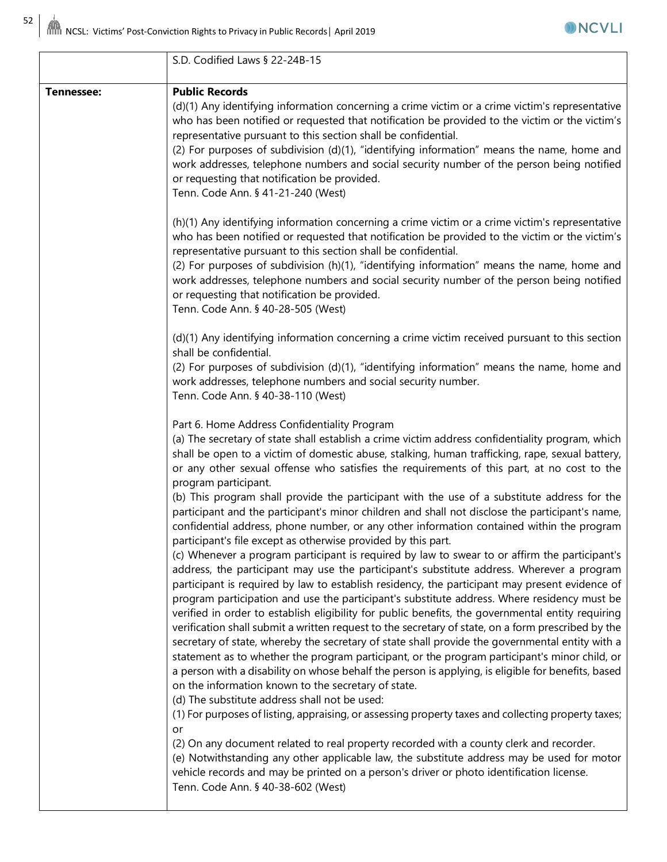

|            | S.D. Codified Laws § 22-24B-15                                                                                                                                                                                                                                                                                                                                                                                                                                                                                                                                                                                                                                                                                                                                                                                                                                                                                                                                                                                                                                                                                                                                                                                                                                                                                                                                                                                                                                                                                                                                                                                                                                                                                                                                                                                                                                                                                                                                                                                                                                                                                                                                                                                |
|------------|---------------------------------------------------------------------------------------------------------------------------------------------------------------------------------------------------------------------------------------------------------------------------------------------------------------------------------------------------------------------------------------------------------------------------------------------------------------------------------------------------------------------------------------------------------------------------------------------------------------------------------------------------------------------------------------------------------------------------------------------------------------------------------------------------------------------------------------------------------------------------------------------------------------------------------------------------------------------------------------------------------------------------------------------------------------------------------------------------------------------------------------------------------------------------------------------------------------------------------------------------------------------------------------------------------------------------------------------------------------------------------------------------------------------------------------------------------------------------------------------------------------------------------------------------------------------------------------------------------------------------------------------------------------------------------------------------------------------------------------------------------------------------------------------------------------------------------------------------------------------------------------------------------------------------------------------------------------------------------------------------------------------------------------------------------------------------------------------------------------------------------------------------------------------------------------------------------------|
| Tennessee: | <b>Public Records</b>                                                                                                                                                                                                                                                                                                                                                                                                                                                                                                                                                                                                                                                                                                                                                                                                                                                                                                                                                                                                                                                                                                                                                                                                                                                                                                                                                                                                                                                                                                                                                                                                                                                                                                                                                                                                                                                                                                                                                                                                                                                                                                                                                                                         |
|            | (d)(1) Any identifying information concerning a crime victim or a crime victim's representative<br>who has been notified or requested that notification be provided to the victim or the victim's<br>representative pursuant to this section shall be confidential.<br>(2) For purposes of subdivision (d)(1), "identifying information" means the name, home and<br>work addresses, telephone numbers and social security number of the person being notified<br>or requesting that notification be provided.<br>Tenn. Code Ann. § 41-21-240 (West)                                                                                                                                                                                                                                                                                                                                                                                                                                                                                                                                                                                                                                                                                                                                                                                                                                                                                                                                                                                                                                                                                                                                                                                                                                                                                                                                                                                                                                                                                                                                                                                                                                                          |
|            | (h)(1) Any identifying information concerning a crime victim or a crime victim's representative<br>who has been notified or requested that notification be provided to the victim or the victim's<br>representative pursuant to this section shall be confidential.<br>(2) For purposes of subdivision (h)(1), "identifying information" means the name, home and<br>work addresses, telephone numbers and social security number of the person being notified<br>or requesting that notification be provided.<br>Tenn. Code Ann. § 40-28-505 (West)                                                                                                                                                                                                                                                                                                                                                                                                                                                                                                                                                                                                                                                                                                                                                                                                                                                                                                                                                                                                                                                                                                                                                                                                                                                                                                                                                                                                                                                                                                                                                                                                                                                          |
|            | (d)(1) Any identifying information concerning a crime victim received pursuant to this section<br>shall be confidential.<br>(2) For purposes of subdivision (d)(1), "identifying information" means the name, home and<br>work addresses, telephone numbers and social security number.<br>Tenn. Code Ann. § 40-38-110 (West)                                                                                                                                                                                                                                                                                                                                                                                                                                                                                                                                                                                                                                                                                                                                                                                                                                                                                                                                                                                                                                                                                                                                                                                                                                                                                                                                                                                                                                                                                                                                                                                                                                                                                                                                                                                                                                                                                 |
|            | Part 6. Home Address Confidentiality Program<br>(a) The secretary of state shall establish a crime victim address confidentiality program, which<br>shall be open to a victim of domestic abuse, stalking, human trafficking, rape, sexual battery,<br>or any other sexual offense who satisfies the requirements of this part, at no cost to the<br>program participant.<br>(b) This program shall provide the participant with the use of a substitute address for the<br>participant and the participant's minor children and shall not disclose the participant's name,<br>confidential address, phone number, or any other information contained within the program<br>participant's file except as otherwise provided by this part.<br>(c) Whenever a program participant is required by law to swear to or affirm the participant's<br>address, the participant may use the participant's substitute address. Wherever a program<br>participant is required by law to establish residency, the participant may present evidence of<br>program participation and use the participant's substitute address. Where residency must be<br>verified in order to establish eligibility for public benefits, the governmental entity requiring<br>verification shall submit a written request to the secretary of state, on a form prescribed by the<br>secretary of state, whereby the secretary of state shall provide the governmental entity with a<br>statement as to whether the program participant, or the program participant's minor child, or<br>a person with a disability on whose behalf the person is applying, is eligible for benefits, based<br>on the information known to the secretary of state.<br>(d) The substitute address shall not be used:<br>(1) For purposes of listing, appraising, or assessing property taxes and collecting property taxes;<br>or<br>(2) On any document related to real property recorded with a county clerk and recorder.<br>(e) Notwithstanding any other applicable law, the substitute address may be used for motor<br>vehicle records and may be printed on a person's driver or photo identification license.<br>Tenn. Code Ann. § 40-38-602 (West) |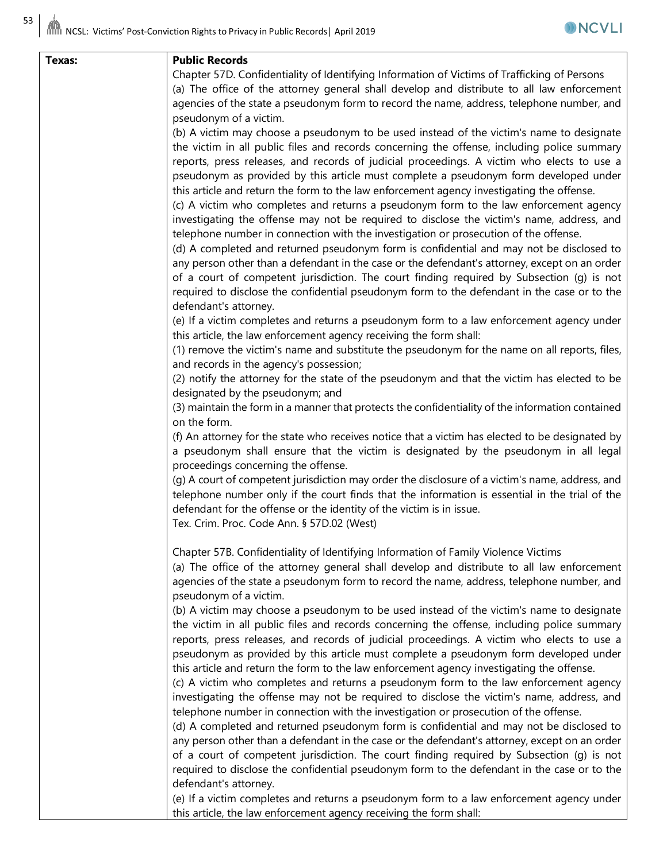| Texas: | <b>Public Records</b>                                                                                                                   |
|--------|-----------------------------------------------------------------------------------------------------------------------------------------|
|        | Chapter 57D. Confidentiality of Identifying Information of Victims of Trafficking of Persons                                            |
|        | (a) The office of the attorney general shall develop and distribute to all law enforcement                                              |
|        | agencies of the state a pseudonym form to record the name, address, telephone number, and                                               |
|        | pseudonym of a victim.                                                                                                                  |
|        | (b) A victim may choose a pseudonym to be used instead of the victim's name to designate                                                |
|        | the victim in all public files and records concerning the offense, including police summary                                             |
|        | reports, press releases, and records of judicial proceedings. A victim who elects to use a                                              |
|        | pseudonym as provided by this article must complete a pseudonym form developed under                                                    |
|        | this article and return the form to the law enforcement agency investigating the offense.                                               |
|        | (c) A victim who completes and returns a pseudonym form to the law enforcement agency                                                   |
|        | investigating the offense may not be required to disclose the victim's name, address, and                                               |
|        | telephone number in connection with the investigation or prosecution of the offense.                                                    |
|        | (d) A completed and returned pseudonym form is confidential and may not be disclosed to                                                 |
|        | any person other than a defendant in the case or the defendant's attorney, except on an order                                           |
|        | of a court of competent jurisdiction. The court finding required by Subsection (g) is not                                               |
|        | required to disclose the confidential pseudonym form to the defendant in the case or to the                                             |
|        | defendant's attorney.                                                                                                                   |
|        |                                                                                                                                         |
|        | (e) If a victim completes and returns a pseudonym form to a law enforcement agency under                                                |
|        | this article, the law enforcement agency receiving the form shall:                                                                      |
|        | (1) remove the victim's name and substitute the pseudonym for the name on all reports, files,                                           |
|        | and records in the agency's possession;<br>(2) notify the attorney for the state of the pseudonym and that the victim has elected to be |
|        | designated by the pseudonym; and                                                                                                        |
|        | (3) maintain the form in a manner that protects the confidentiality of the information contained                                        |
|        | on the form.                                                                                                                            |
|        | (f) An attorney for the state who receives notice that a victim has elected to be designated by                                         |
|        | a pseudonym shall ensure that the victim is designated by the pseudonym in all legal                                                    |
|        | proceedings concerning the offense.                                                                                                     |
|        | (g) A court of competent jurisdiction may order the disclosure of a victim's name, address, and                                         |
|        | telephone number only if the court finds that the information is essential in the trial of the                                          |
|        | defendant for the offense or the identity of the victim is in issue.                                                                    |
|        | Tex. Crim. Proc. Code Ann. § 57D.02 (West)                                                                                              |
|        |                                                                                                                                         |
|        | Chapter 57B. Confidentiality of Identifying Information of Family Violence Victims                                                      |
|        | (a) The office of the attorney general shall develop and distribute to all law enforcement                                              |
|        | agencies of the state a pseudonym form to record the name, address, telephone number, and                                               |
|        | pseudonym of a victim.                                                                                                                  |
|        | (b) A victim may choose a pseudonym to be used instead of the victim's name to designate                                                |
|        | the victim in all public files and records concerning the offense, including police summary                                             |
|        | reports, press releases, and records of judicial proceedings. A victim who elects to use a                                              |
|        | pseudonym as provided by this article must complete a pseudonym form developed under                                                    |
|        | this article and return the form to the law enforcement agency investigating the offense.                                               |
|        | (c) A victim who completes and returns a pseudonym form to the law enforcement agency                                                   |
|        | investigating the offense may not be required to disclose the victim's name, address, and                                               |
|        | telephone number in connection with the investigation or prosecution of the offense.                                                    |
|        | (d) A completed and returned pseudonym form is confidential and may not be disclosed to                                                 |
|        | any person other than a defendant in the case or the defendant's attorney, except on an order                                           |
|        | of a court of competent jurisdiction. The court finding required by Subsection (g) is not                                               |
|        | required to disclose the confidential pseudonym form to the defendant in the case or to the                                             |
|        | defendant's attorney.                                                                                                                   |
|        | (e) If a victim completes and returns a pseudonym form to a law enforcement agency under                                                |
|        | this article, the law enforcement agency receiving the form shall:                                                                      |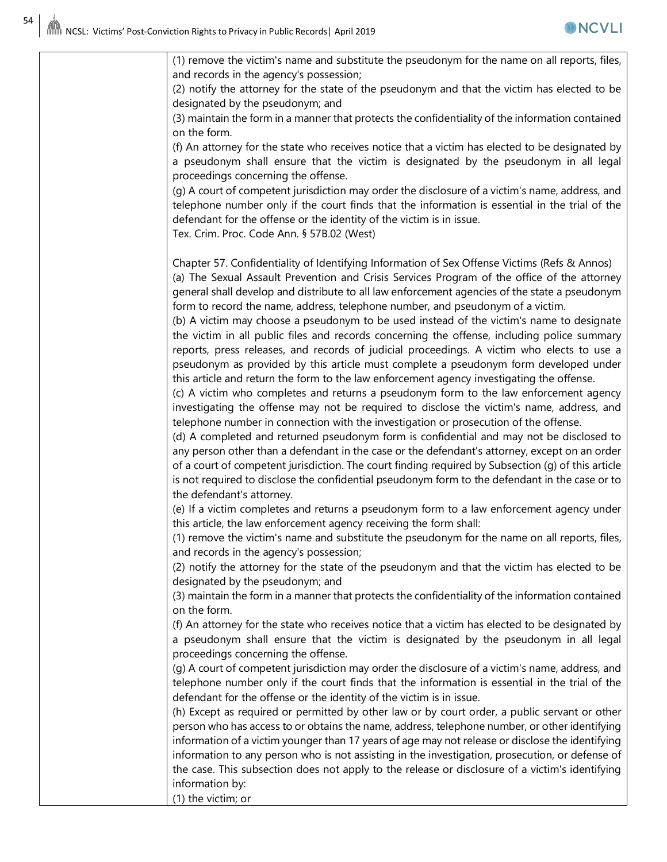| (1) remove the victim's name and substitute the pseudonym for the name on all reports, files,                                                                                           |
|-----------------------------------------------------------------------------------------------------------------------------------------------------------------------------------------|
| and records in the agency's possession;                                                                                                                                                 |
| (2) notify the attorney for the state of the pseudonym and that the victim has elected to be                                                                                            |
| designated by the pseudonym; and                                                                                                                                                        |
| (3) maintain the form in a manner that protects the confidentiality of the information contained<br>on the form.                                                                        |
| (f) An attorney for the state who receives notice that a victim has elected to be designated by                                                                                         |
| a pseudonym shall ensure that the victim is designated by the pseudonym in all legal                                                                                                    |
| proceedings concerning the offense.                                                                                                                                                     |
| (g) A court of competent jurisdiction may order the disclosure of a victim's name, address, and                                                                                         |
| telephone number only if the court finds that the information is essential in the trial of the                                                                                          |
| defendant for the offense or the identity of the victim is in issue.                                                                                                                    |
| Tex. Crim. Proc. Code Ann. § 57B.02 (West)                                                                                                                                              |
|                                                                                                                                                                                         |
| Chapter 57. Confidentiality of Identifying Information of Sex Offense Victims (Refs & Annos)                                                                                            |
| (a) The Sexual Assault Prevention and Crisis Services Program of the office of the attorney                                                                                             |
| general shall develop and distribute to all law enforcement agencies of the state a pseudonym                                                                                           |
| form to record the name, address, telephone number, and pseudonym of a victim.                                                                                                          |
| (b) A victim may choose a pseudonym to be used instead of the victim's name to designate<br>the victim in all public files and records concerning the offense, including police summary |
| reports, press releases, and records of judicial proceedings. A victim who elects to use a                                                                                              |
| pseudonym as provided by this article must complete a pseudonym form developed under                                                                                                    |
| this article and return the form to the law enforcement agency investigating the offense.                                                                                               |
| (c) A victim who completes and returns a pseudonym form to the law enforcement agency                                                                                                   |
| investigating the offense may not be required to disclose the victim's name, address, and                                                                                               |
| telephone number in connection with the investigation or prosecution of the offense.                                                                                                    |
| (d) A completed and returned pseudonym form is confidential and may not be disclosed to                                                                                                 |
| any person other than a defendant in the case or the defendant's attorney, except on an order                                                                                           |
| of a court of competent jurisdiction. The court finding required by Subsection (g) of this article                                                                                      |
| is not required to disclose the confidential pseudonym form to the defendant in the case or to                                                                                          |
| the defendant's attorney.<br>(e) If a victim completes and returns a pseudonym form to a law enforcement agency under                                                                   |
| this article, the law enforcement agency receiving the form shall:                                                                                                                      |
| (1) remove the victim's name and substitute the pseudonym for the name on all reports, files,                                                                                           |
| and records in the agency's possession;                                                                                                                                                 |
| (2) notify the attorney for the state of the pseudonym and that the victim has elected to be                                                                                            |
| designated by the pseudonym; and                                                                                                                                                        |
| (3) maintain the form in a manner that protects the confidentiality of the information contained                                                                                        |
| on the form.                                                                                                                                                                            |
| (f) An attorney for the state who receives notice that a victim has elected to be designated by                                                                                         |
| a pseudonym shall ensure that the victim is designated by the pseudonym in all legal                                                                                                    |
| proceedings concerning the offense.                                                                                                                                                     |
| (g) A court of competent jurisdiction may order the disclosure of a victim's name, address, and                                                                                         |
| telephone number only if the court finds that the information is essential in the trial of the                                                                                          |
| defendant for the offense or the identity of the victim is in issue.<br>(h) Except as required or permitted by other law or by court order, a public servant or other                   |
| person who has access to or obtains the name, address, telephone number, or other identifying                                                                                           |
| information of a victim younger than 17 years of age may not release or disclose the identifying                                                                                        |
| information to any person who is not assisting in the investigation, prosecution, or defense of                                                                                         |
| the case. This subsection does not apply to the release or disclosure of a victim's identifying                                                                                         |
| information by:                                                                                                                                                                         |
| (1) the victim; or                                                                                                                                                                      |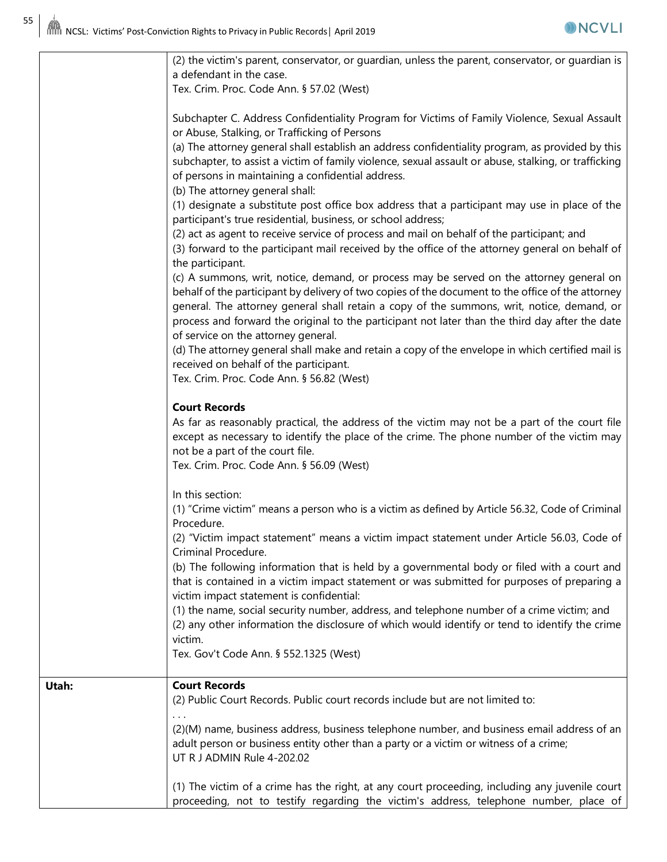

|       | (2) the victim's parent, conservator, or guardian, unless the parent, conservator, or guardian is<br>a defendant in the case.                                                                                                                                                                                                                                                                                                         |
|-------|---------------------------------------------------------------------------------------------------------------------------------------------------------------------------------------------------------------------------------------------------------------------------------------------------------------------------------------------------------------------------------------------------------------------------------------|
|       | Tex. Crim. Proc. Code Ann. § 57.02 (West)                                                                                                                                                                                                                                                                                                                                                                                             |
|       | Subchapter C. Address Confidentiality Program for Victims of Family Violence, Sexual Assault<br>or Abuse, Stalking, or Trafficking of Persons                                                                                                                                                                                                                                                                                         |
|       | (a) The attorney general shall establish an address confidentiality program, as provided by this<br>subchapter, to assist a victim of family violence, sexual assault or abuse, stalking, or trafficking<br>of persons in maintaining a confidential address.<br>(b) The attorney general shall:                                                                                                                                      |
|       | (1) designate a substitute post office box address that a participant may use in place of the<br>participant's true residential, business, or school address;                                                                                                                                                                                                                                                                         |
|       | (2) act as agent to receive service of process and mail on behalf of the participant; and<br>(3) forward to the participant mail received by the office of the attorney general on behalf of<br>the participant.                                                                                                                                                                                                                      |
|       | (c) A summons, writ, notice, demand, or process may be served on the attorney general on<br>behalf of the participant by delivery of two copies of the document to the office of the attorney<br>general. The attorney general shall retain a copy of the summons, writ, notice, demand, or<br>process and forward the original to the participant not later than the third day after the date<br>of service on the attorney general. |
|       | (d) The attorney general shall make and retain a copy of the envelope in which certified mail is<br>received on behalf of the participant.<br>Tex. Crim. Proc. Code Ann. § 56.82 (West)                                                                                                                                                                                                                                               |
|       | <b>Court Records</b><br>As far as reasonably practical, the address of the victim may not be a part of the court file<br>except as necessary to identify the place of the crime. The phone number of the victim may<br>not be a part of the court file.<br>Tex. Crim. Proc. Code Ann. § 56.09 (West)                                                                                                                                  |
|       | In this section:                                                                                                                                                                                                                                                                                                                                                                                                                      |
|       | (1) "Crime victim" means a person who is a victim as defined by Article 56.32, Code of Criminal<br>Procedure.                                                                                                                                                                                                                                                                                                                         |
|       | (2) "Victim impact statement" means a victim impact statement under Article 56.03, Code of<br>Criminal Procedure.                                                                                                                                                                                                                                                                                                                     |
|       | (b) The following information that is held by a governmental body or filed with a court and<br>that is contained in a victim impact statement or was submitted for purposes of preparing a<br>victim impact statement is confidential:                                                                                                                                                                                                |
|       | (1) the name, social security number, address, and telephone number of a crime victim; and<br>(2) any other information the disclosure of which would identify or tend to identify the crime<br>victim.<br>Tex. Gov't Code Ann. § 552.1325 (West)                                                                                                                                                                                     |
| Utah: | <b>Court Records</b>                                                                                                                                                                                                                                                                                                                                                                                                                  |
|       | (2) Public Court Records. Public court records include but are not limited to:                                                                                                                                                                                                                                                                                                                                                        |
|       | (2)(M) name, business address, business telephone number, and business email address of an<br>adult person or business entity other than a party or a victim or witness of a crime;<br>UT R J ADMIN Rule 4-202.02                                                                                                                                                                                                                     |
|       | (1) The victim of a crime has the right, at any court proceeding, including any juvenile court<br>proceeding, not to testify regarding the victim's address, telephone number, place of                                                                                                                                                                                                                                               |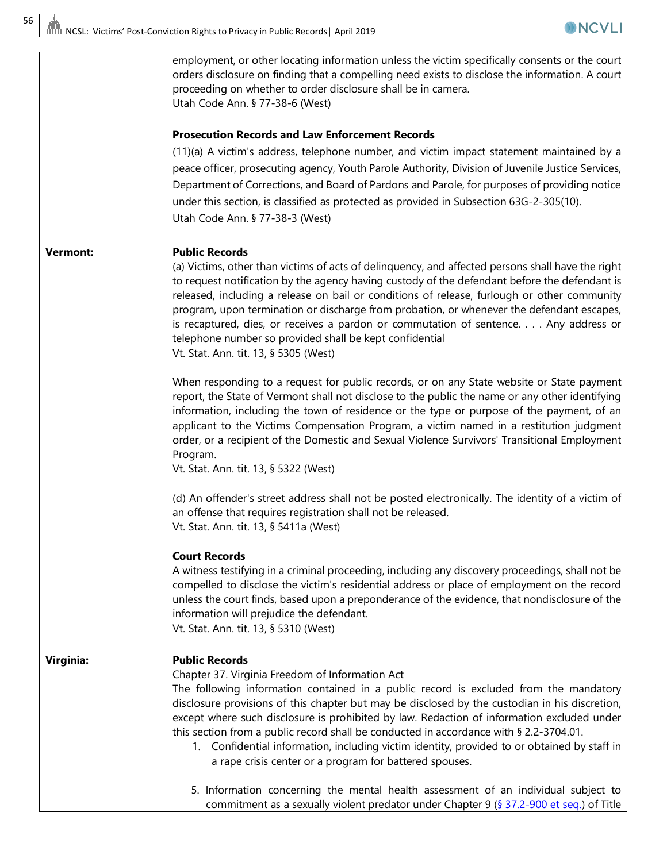

|                 | employment, or other locating information unless the victim specifically consents or the court<br>orders disclosure on finding that a compelling need exists to disclose the information. A court<br>proceeding on whether to order disclosure shall be in camera.<br>Utah Code Ann. § 77-38-6 (West)                                                                                                                                                                                                                                                                                                                 |
|-----------------|-----------------------------------------------------------------------------------------------------------------------------------------------------------------------------------------------------------------------------------------------------------------------------------------------------------------------------------------------------------------------------------------------------------------------------------------------------------------------------------------------------------------------------------------------------------------------------------------------------------------------|
|                 | <b>Prosecution Records and Law Enforcement Records</b><br>(11)(a) A victim's address, telephone number, and victim impact statement maintained by a<br>peace officer, prosecuting agency, Youth Parole Authority, Division of Juvenile Justice Services,<br>Department of Corrections, and Board of Pardons and Parole, for purposes of providing notice<br>under this section, is classified as protected as provided in Subsection 63G-2-305(10).<br>Utah Code Ann. § 77-38-3 (West)                                                                                                                                |
| <b>Vermont:</b> | <b>Public Records</b><br>(a) Victims, other than victims of acts of delinquency, and affected persons shall have the right<br>to request notification by the agency having custody of the defendant before the defendant is<br>released, including a release on bail or conditions of release, furlough or other community<br>program, upon termination or discharge from probation, or whenever the defendant escapes,<br>is recaptured, dies, or receives a pardon or commutation of sentence. Any address or<br>telephone number so provided shall be kept confidential<br>Vt. Stat. Ann. tit. 13, § 5305 (West)   |
|                 | When responding to a request for public records, or on any State website or State payment<br>report, the State of Vermont shall not disclose to the public the name or any other identifying<br>information, including the town of residence or the type or purpose of the payment, of an<br>applicant to the Victims Compensation Program, a victim named in a restitution judgment<br>order, or a recipient of the Domestic and Sexual Violence Survivors' Transitional Employment<br>Program.<br>Vt. Stat. Ann. tit. 13, § 5322 (West)                                                                             |
|                 | (d) An offender's street address shall not be posted electronically. The identity of a victim of<br>an offense that requires registration shall not be released.<br>Vt. Stat. Ann. tit. 13, § 5411a (West)                                                                                                                                                                                                                                                                                                                                                                                                            |
|                 | <b>Court Records</b><br>A witness testifying in a criminal proceeding, including any discovery proceedings, shall not be<br>compelled to disclose the victim's residential address or place of employment on the record<br>unless the court finds, based upon a preponderance of the evidence, that nondisclosure of the<br>information will prejudice the defendant.<br>Vt. Stat. Ann. tit. 13, § 5310 (West)                                                                                                                                                                                                        |
| Virginia:       | <b>Public Records</b><br>Chapter 37. Virginia Freedom of Information Act<br>The following information contained in a public record is excluded from the mandatory<br>disclosure provisions of this chapter but may be disclosed by the custodian in his discretion,<br>except where such disclosure is prohibited by law. Redaction of information excluded under<br>this section from a public record shall be conducted in accordance with § 2.2-3704.01.<br>1. Confidential information, including victim identity, provided to or obtained by staff in<br>a rape crisis center or a program for battered spouses. |
|                 | 5. Information concerning the mental health assessment of an individual subject to<br>commitment as a sexually violent predator under Chapter 9 ( $\frac{6}{37.2}$ -900 et seq.) of Title                                                                                                                                                                                                                                                                                                                                                                                                                             |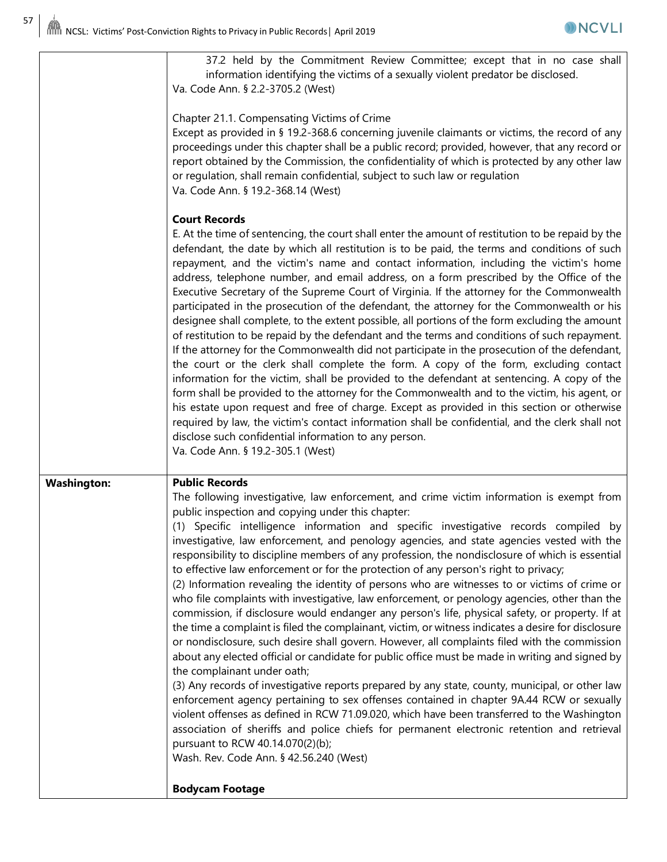

|                    | 37.2 held by the Commitment Review Committee; except that in no case shall<br>information identifying the victims of a sexually violent predator be disclosed.<br>Va. Code Ann. § 2.2-3705.2 (West)                                                                                                                                                                                                                                                                                                                                                                                                                                                                                                                                                                                                                                                                                                                                                                                                                                                                                                                                                                                                                                                                                                                                                                                                                                                                                                                                                                                                                                                                               |
|--------------------|-----------------------------------------------------------------------------------------------------------------------------------------------------------------------------------------------------------------------------------------------------------------------------------------------------------------------------------------------------------------------------------------------------------------------------------------------------------------------------------------------------------------------------------------------------------------------------------------------------------------------------------------------------------------------------------------------------------------------------------------------------------------------------------------------------------------------------------------------------------------------------------------------------------------------------------------------------------------------------------------------------------------------------------------------------------------------------------------------------------------------------------------------------------------------------------------------------------------------------------------------------------------------------------------------------------------------------------------------------------------------------------------------------------------------------------------------------------------------------------------------------------------------------------------------------------------------------------------------------------------------------------------------------------------------------------|
|                    | Chapter 21.1. Compensating Victims of Crime<br>Except as provided in § 19.2-368.6 concerning juvenile claimants or victims, the record of any<br>proceedings under this chapter shall be a public record; provided, however, that any record or<br>report obtained by the Commission, the confidentiality of which is protected by any other law<br>or regulation, shall remain confidential, subject to such law or regulation<br>Va. Code Ann. § 19.2-368.14 (West)                                                                                                                                                                                                                                                                                                                                                                                                                                                                                                                                                                                                                                                                                                                                                                                                                                                                                                                                                                                                                                                                                                                                                                                                             |
|                    | <b>Court Records</b><br>E. At the time of sentencing, the court shall enter the amount of restitution to be repaid by the<br>defendant, the date by which all restitution is to be paid, the terms and conditions of such<br>repayment, and the victim's name and contact information, including the victim's home<br>address, telephone number, and email address, on a form prescribed by the Office of the<br>Executive Secretary of the Supreme Court of Virginia. If the attorney for the Commonwealth<br>participated in the prosecution of the defendant, the attorney for the Commonwealth or his<br>designee shall complete, to the extent possible, all portions of the form excluding the amount<br>of restitution to be repaid by the defendant and the terms and conditions of such repayment.<br>If the attorney for the Commonwealth did not participate in the prosecution of the defendant,<br>the court or the clerk shall complete the form. A copy of the form, excluding contact<br>information for the victim, shall be provided to the defendant at sentencing. A copy of the<br>form shall be provided to the attorney for the Commonwealth and to the victim, his agent, or<br>his estate upon request and free of charge. Except as provided in this section or otherwise<br>required by law, the victim's contact information shall be confidential, and the clerk shall not<br>disclose such confidential information to any person.<br>Va. Code Ann. § 19.2-305.1 (West)                                                                                                                                                                             |
| <b>Washington:</b> | <b>Public Records</b><br>The following investigative, law enforcement, and crime victim information is exempt from<br>public inspection and copying under this chapter:<br>(1) Specific intelligence information and specific investigative records compiled by<br>investigative, law enforcement, and penology agencies, and state agencies vested with the<br>responsibility to discipline members of any profession, the nondisclosure of which is essential<br>to effective law enforcement or for the protection of any person's right to privacy;<br>(2) Information revealing the identity of persons who are witnesses to or victims of crime or<br>who file complaints with investigative, law enforcement, or penology agencies, other than the<br>commission, if disclosure would endanger any person's life, physical safety, or property. If at<br>the time a complaint is filed the complainant, victim, or witness indicates a desire for disclosure<br>or nondisclosure, such desire shall govern. However, all complaints filed with the commission<br>about any elected official or candidate for public office must be made in writing and signed by<br>the complainant under oath;<br>(3) Any records of investigative reports prepared by any state, county, municipal, or other law<br>enforcement agency pertaining to sex offenses contained in chapter 9A.44 RCW or sexually<br>violent offenses as defined in RCW 71.09.020, which have been transferred to the Washington<br>association of sheriffs and police chiefs for permanent electronic retention and retrieval<br>pursuant to RCW 40.14.070(2)(b);<br>Wash. Rev. Code Ann. § 42.56.240 (West) |
|                    | <b>Bodycam Footage</b>                                                                                                                                                                                                                                                                                                                                                                                                                                                                                                                                                                                                                                                                                                                                                                                                                                                                                                                                                                                                                                                                                                                                                                                                                                                                                                                                                                                                                                                                                                                                                                                                                                                            |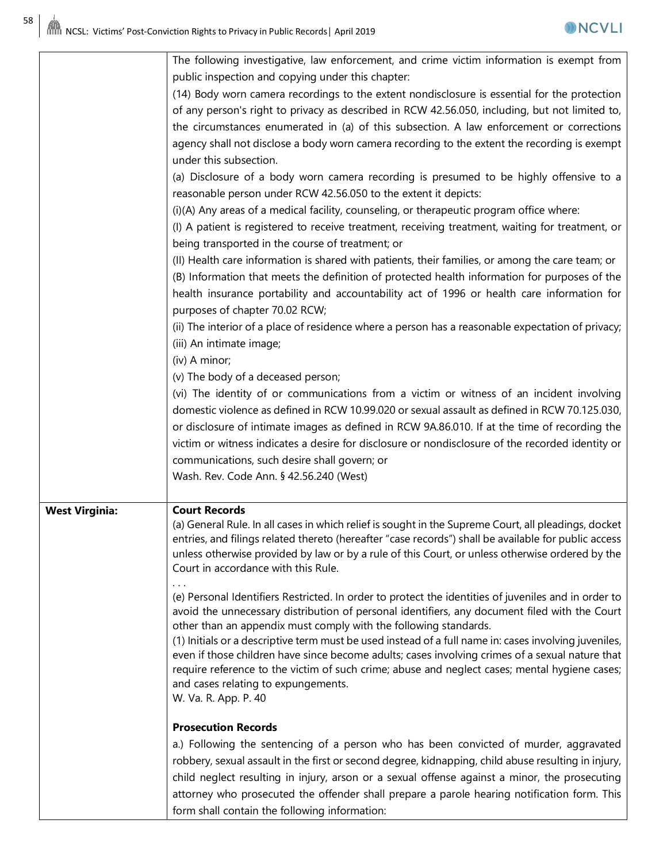$\overline{\phantom{a}}$ 

|                       | The following investigative, law enforcement, and crime victim information is exempt from                                                                         |
|-----------------------|-------------------------------------------------------------------------------------------------------------------------------------------------------------------|
|                       | public inspection and copying under this chapter:                                                                                                                 |
|                       | (14) Body worn camera recordings to the extent nondisclosure is essential for the protection                                                                      |
|                       | of any person's right to privacy as described in RCW 42.56.050, including, but not limited to,                                                                    |
|                       | the circumstances enumerated in (a) of this subsection. A law enforcement or corrections                                                                          |
|                       | agency shall not disclose a body worn camera recording to the extent the recording is exempt                                                                      |
|                       | under this subsection.                                                                                                                                            |
|                       | (a) Disclosure of a body worn camera recording is presumed to be highly offensive to a                                                                            |
|                       | reasonable person under RCW 42.56.050 to the extent it depicts:                                                                                                   |
|                       |                                                                                                                                                                   |
|                       | (i)(A) Any areas of a medical facility, counseling, or therapeutic program office where:                                                                          |
|                       | (I) A patient is registered to receive treatment, receiving treatment, waiting for treatment, or                                                                  |
|                       | being transported in the course of treatment; or                                                                                                                  |
|                       | (II) Health care information is shared with patients, their families, or among the care team; or                                                                  |
|                       | (B) Information that meets the definition of protected health information for purposes of the                                                                     |
|                       | health insurance portability and accountability act of 1996 or health care information for                                                                        |
|                       | purposes of chapter 70.02 RCW;                                                                                                                                    |
|                       | (ii) The interior of a place of residence where a person has a reasonable expectation of privacy;                                                                 |
|                       | (iii) An intimate image;                                                                                                                                          |
|                       | (iv) A minor;                                                                                                                                                     |
|                       |                                                                                                                                                                   |
|                       | (v) The body of a deceased person;                                                                                                                                |
|                       | (vi) The identity of or communications from a victim or witness of an incident involving                                                                          |
|                       | domestic violence as defined in RCW 10.99.020 or sexual assault as defined in RCW 70.125.030,                                                                     |
|                       | or disclosure of intimate images as defined in RCW 9A.86.010. If at the time of recording the                                                                     |
|                       | victim or witness indicates a desire for disclosure or nondisclosure of the recorded identity or                                                                  |
|                       | communications, such desire shall govern; or                                                                                                                      |
|                       | Wash. Rev. Code Ann. § 42.56.240 (West)                                                                                                                           |
|                       |                                                                                                                                                                   |
| <b>West Virginia:</b> | <b>Court Records</b>                                                                                                                                              |
|                       | (a) General Rule. In all cases in which relief is sought in the Supreme Court, all pleadings, docket                                                              |
|                       | entries, and filings related thereto (hereafter "case records") shall be available for public access                                                              |
|                       | unless otherwise provided by law or by a rule of this Court, or unless otherwise ordered by the                                                                   |
|                       | Court in accordance with this Rule.                                                                                                                               |
|                       |                                                                                                                                                                   |
|                       | (e) Personal Identifiers Restricted. In order to protect the identities of juveniles and in order to                                                              |
|                       | avoid the unnecessary distribution of personal identifiers, any document filed with the Court<br>other than an appendix must comply with the following standards. |
|                       | (1) Initials or a descriptive term must be used instead of a full name in: cases involving juveniles,                                                             |
|                       | even if those children have since become adults; cases involving crimes of a sexual nature that                                                                   |
|                       | require reference to the victim of such crime; abuse and neglect cases; mental hygiene cases;                                                                     |
|                       | and cases relating to expungements.                                                                                                                               |
|                       | W. Va. R. App. P. 40                                                                                                                                              |
|                       | <b>Prosecution Records</b>                                                                                                                                        |
|                       | a.) Following the sentencing of a person who has been convicted of murder, aggravated                                                                             |
|                       |                                                                                                                                                                   |
|                       | robbery, sexual assault in the first or second degree, kidnapping, child abuse resulting in injury,                                                               |
|                       | child neglect resulting in injury, arson or a sexual offense against a minor, the prosecuting                                                                     |
|                       | attorney who prosecuted the offender shall prepare a parole hearing notification form. This                                                                       |
|                       | form shall contain the following information:                                                                                                                     |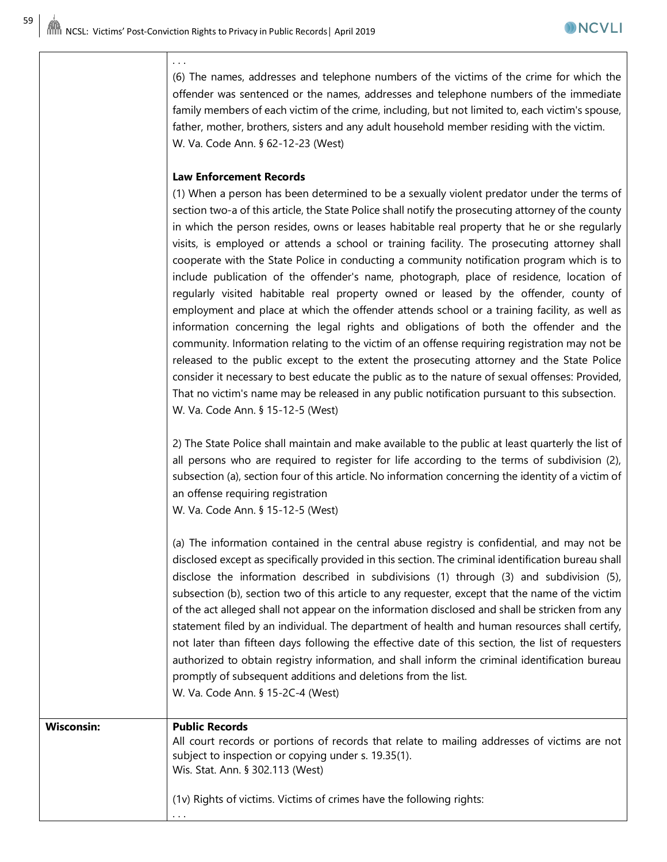| $\cdots$                                                                                         |
|--------------------------------------------------------------------------------------------------|
| (6) The names, addresses and telephone numbers of the victims of the crime for which the         |
| offender was sentenced or the names, addresses and telephone numbers of the immediate            |
| family members of each victim of the crime, including, but not limited to, each victim's spouse, |
| father, mother, brothers, sisters and any adult household member residing with the victim.       |
| W. Va. Code Ann. § 62-12-23 (West)                                                               |

## **Law Enforcement Records**

(1) When a person has been determined to be a sexually violent predator under the terms of section two-a of this article, the State Police shall notify the prosecuting attorney of the county in which the person resides, owns or leases habitable real property that he or she regularly visits, is employed or attends a school or training facility. The prosecuting attorney shall cooperate with the State Police in conducting a community notification program which is to include publication of the offender's name, photograph, place of residence, location of regularly visited habitable real property owned or leased by the offender, county of employment and place at which the offender attends school or a training facility, as well as information concerning the legal rights and obligations of both the offender and the community. Information relating to the victim of an offense requiring registration may not be released to the public except to the extent the prosecuting attorney and the State Police consider it necessary to best educate the public as to the nature of sexual offenses: Provided, That no victim's name may be released in any public notification pursuant to this subsection. W. Va. Code Ann. § 15-12-5 (West)

2) The State Police shall maintain and make available to the public at least quarterly the list of all persons who are required to register for life according to the terms of subdivision (2), subsection (a), section four of this article. No information concerning the identity of a victim of an offense requiring registration W. Va. Code Ann. § 15-12-5 (West)

(a) The information contained in the central abuse registry is confidential, and may not be disclosed except as specifically provided in this section. The criminal identification bureau shall disclose the information described in subdivisions (1) through (3) and subdivision (5), subsection (b), section two of this article to any requester, except that the name of the victim of the act alleged shall not appear on the information disclosed and shall be stricken from any statement filed by an individual. The department of health and human resources shall certify, not later than fifteen days following the effective date of this section, the list of requesters authorized to obtain registry information, and shall inform the criminal identification bureau promptly of subsequent additions and deletions from the list. W. Va. Code Ann. § 15-2C-4 (West) **Wisconsin: Public Records**

All court records or portions of records that relate to mailing addresses of victims are not subject to inspection or copying under s. 19.35(1). Wis. Stat. Ann. § 302.113 (West)

(1v) Rights of victims. Victims of crimes have the following rights:

. . .

59